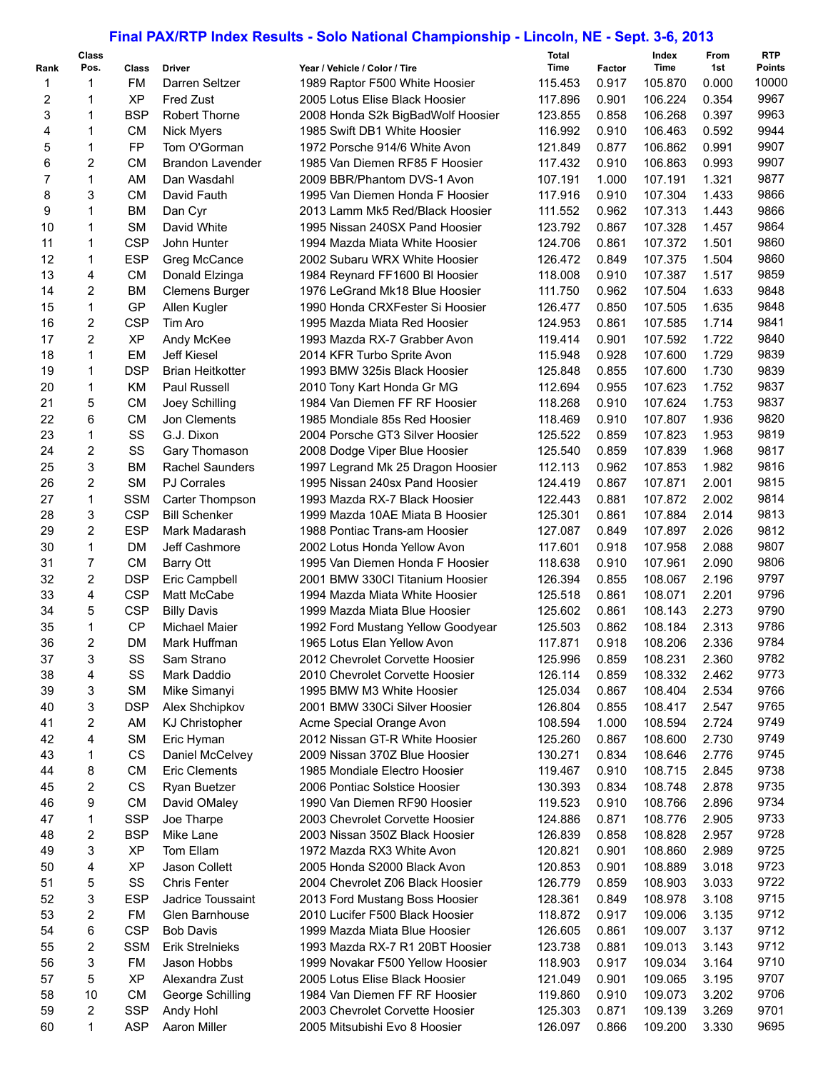## **Final PAX/RTP Index Results - Solo National Championship - Lincoln, NE - Sept. 3-6, 2013**

| Rank           | <b>Class</b><br>Pos. | Class      | <b>Driver</b>                     | Year / Vehicle / Color / Tire                                     | <b>Total</b><br>Time | Factor | Index<br>Time | From<br>1st | <b>RTP</b><br><b>Points</b> |
|----------------|----------------------|------------|-----------------------------------|-------------------------------------------------------------------|----------------------|--------|---------------|-------------|-----------------------------|
| 1              | 1                    | FM         | Darren Seltzer                    | 1989 Raptor F500 White Hoosier                                    | 115.453              | 0.917  | 105.870       | 0.000       | 10000                       |
| 2              | 1                    | <b>XP</b>  | <b>Fred Zust</b>                  | 2005 Lotus Elise Black Hoosier                                    | 117.896              | 0.901  | 106.224       | 0.354       | 9967                        |
| 3              | 1                    | <b>BSP</b> | <b>Robert Thorne</b>              |                                                                   | 123.855              | 0.858  | 106.268       | 0.397       | 9963                        |
| 4              | 1                    | <b>CM</b>  |                                   | 2008 Honda S2k BigBadWolf Hoosier<br>1985 Swift DB1 White Hoosier | 116.992              | 0.910  | 106.463       | 0.592       | 9944                        |
| 5              | 1                    | FP         | <b>Nick Myers</b><br>Tom O'Gorman | 1972 Porsche 914/6 White Avon                                     | 121.849              | 0.877  | 106.862       | 0.991       | 9907                        |
|                |                      |            |                                   |                                                                   |                      |        |               |             | 9907                        |
| 6              | 2                    | <b>CM</b>  | <b>Brandon Lavender</b>           | 1985 Van Diemen RF85 F Hoosier                                    | 117.432              | 0.910  | 106.863       | 0.993       |                             |
| $\overline{7}$ | $\mathbf{1}$         | AM         | Dan Wasdahl                       | 2009 BBR/Phantom DVS-1 Avon                                       | 107.191              | 1.000  | 107.191       | 1.321       | 9877<br>9866                |
| 8              | 3                    | <b>CM</b>  | David Fauth                       | 1995 Van Diemen Honda F Hoosier                                   | 117.916              | 0.910  | 107.304       | 1.433       | 9866                        |
| 9              | 1                    | <b>BM</b>  | Dan Cyr                           | 2013 Lamm Mk5 Red/Black Hoosier                                   | 111.552              | 0.962  | 107.313       | 1.443       |                             |
| 10             | 1                    | <b>SM</b>  | David White                       | 1995 Nissan 240SX Pand Hoosier                                    | 123.792              | 0.867  | 107.328       | 1.457       | 9864                        |
| 11             | $\mathbf{1}$         | <b>CSP</b> | John Hunter                       | 1994 Mazda Miata White Hoosier                                    | 124.706              | 0.861  | 107.372       | 1.501       | 9860                        |
| 12             | $\mathbf{1}$         | <b>ESP</b> | Greg McCance                      | 2002 Subaru WRX White Hoosier                                     | 126.472              | 0.849  | 107.375       | 1.504       | 9860                        |
| 13             | 4                    | <b>CM</b>  | Donald Elzinga                    | 1984 Reynard FF1600 BI Hoosier                                    | 118.008              | 0.910  | 107.387       | 1.517       | 9859                        |
| 14             | $\overline{2}$       | <b>BM</b>  | <b>Clemens Burger</b>             | 1976 LeGrand Mk18 Blue Hoosier                                    | 111.750              | 0.962  | 107.504       | 1.633       | 9848                        |
| 15             | $\mathbf 1$          | GP         | Allen Kugler                      | 1990 Honda CRXFester Si Hoosier                                   | 126.477              | 0.850  | 107.505       | 1.635       | 9848                        |
| 16             | $\overline{2}$       | <b>CSP</b> | Tim Aro                           | 1995 Mazda Miata Red Hoosier                                      | 124.953              | 0.861  | 107.585       | 1.714       | 9841                        |
| 17             | $\overline{2}$       | <b>XP</b>  | Andy McKee                        | 1993 Mazda RX-7 Grabber Avon                                      | 119.414              | 0.901  | 107.592       | 1.722       | 9840                        |
| 18             | 1                    | EM         | <b>Jeff Kiesel</b>                | 2014 KFR Turbo Sprite Avon                                        | 115.948              | 0.928  | 107.600       | 1.729       | 9839                        |
| 19             | $\mathbf{1}$         | <b>DSP</b> | <b>Brian Heitkotter</b>           | 1993 BMW 325is Black Hoosier                                      | 125.848              | 0.855  | 107.600       | 1.730       | 9839                        |
| 20             | 1                    | KM         | <b>Paul Russell</b>               | 2010 Tony Kart Honda Gr MG                                        | 112.694              | 0.955  | 107.623       | 1.752       | 9837                        |
| 21             | 5                    | <b>CM</b>  | Joey Schilling                    | 1984 Van Diemen FF RF Hoosier                                     | 118.268              | 0.910  | 107.624       | 1.753       | 9837                        |
| 22             | 6                    | <b>CM</b>  | Jon Clements                      | 1985 Mondiale 85s Red Hoosier                                     | 118.469              | 0.910  | 107.807       | 1.936       | 9820                        |
| 23             | $\mathbf 1$          | SS         | G.J. Dixon                        | 2004 Porsche GT3 Silver Hoosier                                   | 125.522              | 0.859  | 107.823       | 1.953       | 9819                        |
| 24             | $\overline{c}$       | SS         | Gary Thomason                     | 2008 Dodge Viper Blue Hoosier                                     | 125.540              | 0.859  | 107.839       | 1.968       | 9817                        |
| 25             | 3                    | <b>BM</b>  | <b>Rachel Saunders</b>            | 1997 Legrand Mk 25 Dragon Hoosier                                 | 112.113              | 0.962  | 107.853       | 1.982       | 9816                        |
| 26             | $\overline{2}$       | <b>SM</b>  | <b>PJ Corrales</b>                | 1995 Nissan 240sx Pand Hoosier                                    | 124.419              | 0.867  | 107.871       | 2.001       | 9815                        |
| 27             | 1                    | <b>SSM</b> | Carter Thompson                   | 1993 Mazda RX-7 Black Hoosier                                     | 122.443              | 0.881  | 107.872       | 2.002       | 9814                        |
| 28             | 3                    | <b>CSP</b> | <b>Bill Schenker</b>              | 1999 Mazda 10AE Miata B Hoosier                                   | 125.301              | 0.861  | 107.884       | 2.014       | 9813                        |
| 29             | 2                    | <b>ESP</b> | Mark Madarash                     | 1988 Pontiac Trans-am Hoosier                                     | 127.087              | 0.849  | 107.897       | 2.026       | 9812                        |
| 30             | $\mathbf{1}$         | <b>DM</b>  | Jeff Cashmore                     | 2002 Lotus Honda Yellow Avon                                      | 117.601              | 0.918  | 107.958       | 2.088       | 9807                        |
| 31             | $\overline{7}$       | <b>CM</b>  | Barry Ott                         | 1995 Van Diemen Honda F Hoosier                                   | 118.638              | 0.910  | 107.961       | 2.090       | 9806                        |
| 32             | $\overline{2}$       | <b>DSP</b> | Eric Campbell                     | 2001 BMW 330CI Titanium Hoosier                                   | 126.394              | 0.855  | 108.067       | 2.196       | 9797                        |
| 33             | 4                    | <b>CSP</b> | Matt McCabe                       | 1994 Mazda Miata White Hoosier                                    | 125.518              | 0.861  | 108.071       | 2.201       | 9796                        |
| 34             | 5                    | <b>CSP</b> | <b>Billy Davis</b>                | 1999 Mazda Miata Blue Hoosier                                     | 125.602              | 0.861  | 108.143       | 2.273       | 9790                        |
| 35             | 1                    | <b>CP</b>  | <b>Michael Maier</b>              | 1992 Ford Mustang Yellow Goodyear                                 | 125.503              | 0.862  | 108.184       | 2.313       | 9786                        |
| 36             | $\overline{2}$       | DM         | Mark Huffman                      | 1965 Lotus Elan Yellow Avon                                       | 117.871              | 0.918  | 108.206       | 2.336       | 9784                        |
| 37             | 3                    | SS         | Sam Strano                        | 2012 Chevrolet Corvette Hoosier                                   | 125.996              | 0.859  | 108.231       | 2.360       | 9782                        |
| 38             | 4                    | SS         | Mark Daddio                       | 2010 Chevrolet Corvette Hoosier                                   | 126.114              | 0.859  | 108.332       | 2.462       | 9773                        |
| 39             | 3                    | <b>SM</b>  | Mike Simanyi                      | 1995 BMW M3 White Hoosier                                         | 125.034              | 0.867  | 108.404       | 2.534       | 9766                        |
| 40             | 3                    | <b>DSP</b> | Alex Shchipkov                    | 2001 BMW 330Ci Silver Hoosier                                     | 126.804              | 0.855  | 108.417       | 2.547       | 9765                        |
| 41             | 2                    | AM         | <b>KJ Christopher</b>             | Acme Special Orange Avon                                          | 108.594              | 1.000  | 108.594       | 2.724       | 9749                        |
| 42             | 4                    | <b>SM</b>  | Eric Hyman                        | 2012 Nissan GT-R White Hoosier                                    | 125.260              | 0.867  | 108.600       | 2.730       | 9749                        |
| 43             | 1                    | CS         | Daniel McCelvey                   | 2009 Nissan 370Z Blue Hoosier                                     | 130.271              | 0.834  | 108.646       | 2.776       | 9745                        |
| 44             | 8                    | <b>CM</b>  | <b>Eric Clements</b>              | 1985 Mondiale Electro Hoosier                                     | 119.467              | 0.910  | 108.715       | 2.845       | 9738                        |
| 45             | 2                    | CS         | Ryan Buetzer                      | 2006 Pontiac Solstice Hoosier                                     | 130.393              | 0.834  | 108.748       | 2.878       | 9735                        |
| 46             | 9                    | <b>CM</b>  | David OMaley                      | 1990 Van Diemen RF90 Hoosier                                      | 119.523              | 0.910  | 108.766       | 2.896       | 9734                        |
| 47             | 1                    | <b>SSP</b> | Joe Tharpe                        | 2003 Chevrolet Corvette Hoosier                                   | 124.886              | 0.871  | 108.776       | 2.905       | 9733                        |
| 48             | 2                    | <b>BSP</b> | Mike Lane                         | 2003 Nissan 350Z Black Hoosier                                    | 126.839              | 0.858  | 108.828       | 2.957       | 9728                        |
| 49             | 3                    | XP         | Tom Ellam                         | 1972 Mazda RX3 White Avon                                         | 120.821              | 0.901  | 108.860       | 2.989       | 9725                        |
| 50             | 4                    | XP         | Jason Collett                     | 2005 Honda S2000 Black Avon                                       | 120.853              | 0.901  | 108.889       | 3.018       | 9723                        |
| 51             | 5                    | SS         | <b>Chris Fenter</b>               | 2004 Chevrolet Z06 Black Hoosier                                  | 126.779              | 0.859  | 108.903       | 3.033       | 9722                        |
| 52             | 3                    | <b>ESP</b> | Jadrice Toussaint                 | 2013 Ford Mustang Boss Hoosier                                    | 128.361              | 0.849  | 108.978       | 3.108       | 9715                        |
| 53             | 2                    | FM         | Glen Barnhouse                    | 2010 Lucifer F500 Black Hoosier                                   | 118.872              | 0.917  | 109.006       | 3.135       | 9712                        |
| 54             | 6                    | <b>CSP</b> | <b>Bob Davis</b>                  | 1999 Mazda Miata Blue Hoosier                                     | 126.605              | 0.861  | 109.007       | 3.137       | 9712                        |
| 55             | 2                    | <b>SSM</b> | <b>Erik Strelnieks</b>            | 1993 Mazda RX-7 R1 20BT Hoosier                                   | 123.738              | 0.881  | 109.013       | 3.143       | 9712                        |
| 56             | 3                    | FM         | Jason Hobbs                       | 1999 Novakar F500 Yellow Hoosier                                  | 118.903              | 0.917  | 109.034       | 3.164       | 9710                        |
| 57             | 5                    | <b>XP</b>  | Alexandra Zust                    | 2005 Lotus Elise Black Hoosier                                    | 121.049              | 0.901  | 109.065       | 3.195       | 9707                        |
| 58             | 10                   | <b>CM</b>  | George Schilling                  | 1984 Van Diemen FF RF Hoosier                                     | 119.860              | 0.910  | 109.073       | 3.202       | 9706                        |
| 59             | 2                    | <b>SSP</b> | Andy Hohl                         | 2003 Chevrolet Corvette Hoosier                                   | 125.303              | 0.871  | 109.139       | 3.269       | 9701                        |
| 60             | 1                    | <b>ASP</b> | Aaron Miller                      | 2005 Mitsubishi Evo 8 Hoosier                                     | 126.097              | 0.866  | 109.200       | 3.330       | 9695                        |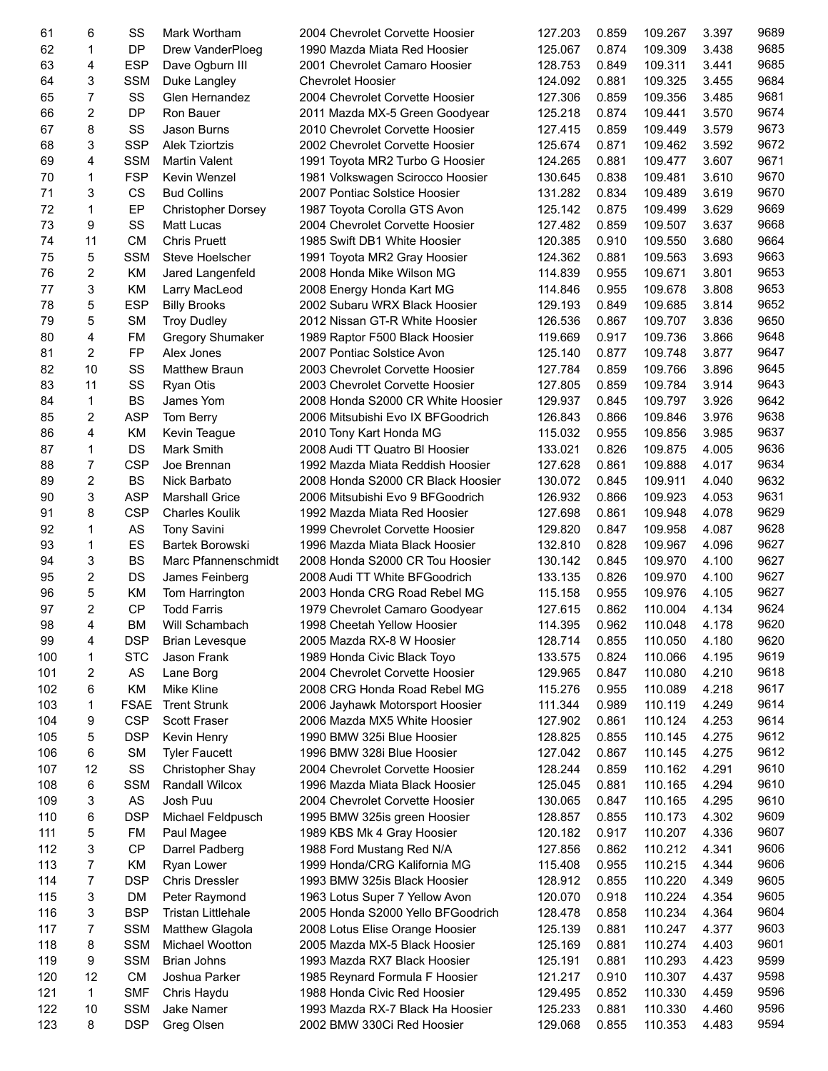| 61  | 6              | SS          | Mark Wortham              | 2004 Chevrolet Corvette Hoosier   | 127.203 | 0.859 | 109.267 | 3.397 | 9689 |
|-----|----------------|-------------|---------------------------|-----------------------------------|---------|-------|---------|-------|------|
| 62  | 1              | <b>DP</b>   | Drew VanderPloeg          | 1990 Mazda Miata Red Hoosier      | 125.067 | 0.874 | 109.309 | 3.438 | 9685 |
| 63  | 4              | <b>ESP</b>  | Dave Ogburn III           | 2001 Chevrolet Camaro Hoosier     | 128.753 | 0.849 | 109.311 | 3.441 | 9685 |
| 64  | 3              | <b>SSM</b>  | Duke Langley              | <b>Chevrolet Hoosier</b>          | 124.092 | 0.881 | 109.325 | 3.455 | 9684 |
| 65  | $\overline{7}$ | SS          | Glen Hernandez            | 2004 Chevrolet Corvette Hoosier   | 127.306 | 0.859 | 109.356 | 3.485 | 9681 |
| 66  | $\overline{c}$ | DP          | Ron Bauer                 | 2011 Mazda MX-5 Green Goodyear    | 125.218 | 0.874 | 109.441 | 3.570 | 9674 |
| 67  | 8              | SS          | Jason Burns               | 2010 Chevrolet Corvette Hoosier   | 127.415 | 0.859 | 109.449 | 3.579 | 9673 |
| 68  | 3              | <b>SSP</b>  | <b>Alek Tziortzis</b>     | 2002 Chevrolet Corvette Hoosier   | 125.674 | 0.871 | 109.462 | 3.592 | 9672 |
| 69  | 4              | <b>SSM</b>  | <b>Martin Valent</b>      | 1991 Toyota MR2 Turbo G Hoosier   | 124.265 | 0.881 | 109.477 | 3.607 | 9671 |
| 70  | 1              | <b>FSP</b>  | Kevin Wenzel              | 1981 Volkswagen Scirocco Hoosier  | 130.645 | 0.838 | 109.481 | 3.610 | 9670 |
| 71  | 3              | CS          | <b>Bud Collins</b>        | 2007 Pontiac Solstice Hoosier     | 131.282 | 0.834 | 109.489 | 3.619 | 9670 |
| 72  | 1              | EP          | <b>Christopher Dorsey</b> | 1987 Toyota Corolla GTS Avon      | 125.142 | 0.875 | 109.499 | 3.629 | 9669 |
| 73  | 9              | SS          | Matt Lucas                | 2004 Chevrolet Corvette Hoosier   | 127.482 | 0.859 | 109.507 | 3.637 | 9668 |
| 74  | 11             | <b>CM</b>   | <b>Chris Pruett</b>       | 1985 Swift DB1 White Hoosier      | 120.385 | 0.910 | 109.550 | 3.680 | 9664 |
| 75  | 5              | <b>SSM</b>  | Steve Hoelscher           | 1991 Toyota MR2 Gray Hoosier      | 124.362 | 0.881 | 109.563 | 3.693 | 9663 |
| 76  | $\overline{2}$ | <b>KM</b>   | Jared Langenfeld          | 2008 Honda Mike Wilson MG         | 114.839 | 0.955 | 109.671 | 3.801 | 9653 |
| 77  | 3              | KM          | Larry MacLeod             | 2008 Energy Honda Kart MG         | 114.846 | 0.955 | 109.678 | 3.808 | 9653 |
| 78  | 5              | <b>ESP</b>  | <b>Billy Brooks</b>       | 2002 Subaru WRX Black Hoosier     | 129.193 | 0.849 | 109.685 | 3.814 | 9652 |
| 79  | 5              | <b>SM</b>   | <b>Troy Dudley</b>        | 2012 Nissan GT-R White Hoosier    | 126.536 | 0.867 | 109.707 | 3.836 | 9650 |
| 80  | 4              | <b>FM</b>   | <b>Gregory Shumaker</b>   | 1989 Raptor F500 Black Hoosier    | 119.669 | 0.917 | 109.736 | 3.866 | 9648 |
| 81  | $\overline{c}$ | <b>FP</b>   | Alex Jones                | 2007 Pontiac Solstice Avon        | 125.140 | 0.877 | 109.748 | 3.877 | 9647 |
| 82  | 10             | SS          | <b>Matthew Braun</b>      | 2003 Chevrolet Corvette Hoosier   | 127.784 | 0.859 | 109.766 | 3.896 | 9645 |
| 83  | 11             | SS          | <b>Ryan Otis</b>          | 2003 Chevrolet Corvette Hoosier   | 127.805 | 0.859 | 109.784 | 3.914 | 9643 |
| 84  | 1              | <b>BS</b>   | James Yom                 | 2008 Honda S2000 CR White Hoosier | 129.937 | 0.845 | 109.797 | 3.926 | 9642 |
| 85  | $\overline{c}$ | <b>ASP</b>  | Tom Berry                 | 2006 Mitsubishi Evo IX BFGoodrich | 126.843 | 0.866 | 109.846 | 3.976 | 9638 |
| 86  | 4              | KM          | Kevin Teague              | 2010 Tony Kart Honda MG           | 115.032 | 0.955 | 109.856 | 3.985 | 9637 |
| 87  | $\mathbf{1}$   | DS          | Mark Smith                | 2008 Audi TT Quatro BI Hoosier    | 133.021 | 0.826 | 109.875 | 4.005 | 9636 |
| 88  | $\overline{7}$ | <b>CSP</b>  | Joe Brennan               | 1992 Mazda Miata Reddish Hoosier  | 127.628 | 0.861 | 109.888 | 4.017 | 9634 |
| 89  | $\overline{c}$ | <b>BS</b>   | Nick Barbato              | 2008 Honda S2000 CR Black Hoosier | 130.072 | 0.845 | 109.911 | 4.040 | 9632 |
| 90  | 3              | <b>ASP</b>  | <b>Marshall Grice</b>     | 2006 Mitsubishi Evo 9 BFGoodrich  | 126.932 | 0.866 | 109.923 | 4.053 | 9631 |
| 91  | 8              | <b>CSP</b>  | <b>Charles Koulik</b>     | 1992 Mazda Miata Red Hoosier      | 127.698 | 0.861 | 109.948 | 4.078 | 9629 |
| 92  | 1              | AS          | <b>Tony Savini</b>        | 1999 Chevrolet Corvette Hoosier   | 129.820 | 0.847 | 109.958 | 4.087 | 9628 |
| 93  | $\mathbf{1}$   | ES          | <b>Bartek Borowski</b>    | 1996 Mazda Miata Black Hoosier    | 132.810 | 0.828 | 109.967 | 4.096 | 9627 |
| 94  | 3              | <b>BS</b>   | Marc Pfannenschmidt       | 2008 Honda S2000 CR Tou Hoosier   | 130.142 | 0.845 | 109.970 | 4.100 | 9627 |
| 95  | $\overline{2}$ | DS          | James Feinberg            | 2008 Audi TT White BFGoodrich     | 133.135 | 0.826 | 109.970 | 4.100 | 9627 |
| 96  | 5              | <b>KM</b>   | Tom Harrington            | 2003 Honda CRG Road Rebel MG      | 115.158 | 0.955 | 109.976 | 4.105 | 9627 |
| 97  | $\overline{c}$ | <b>CP</b>   | <b>Todd Farris</b>        | 1979 Chevrolet Camaro Goodyear    | 127.615 | 0.862 | 110.004 | 4.134 | 9624 |
| 98  | 4              | <b>BM</b>   | Will Schambach            | 1998 Cheetah Yellow Hoosier       | 114.395 | 0.962 | 110.048 | 4.178 | 9620 |
| 99  | 4              | <b>DSP</b>  | <b>Brian Levesque</b>     | 2005 Mazda RX-8 W Hoosier         | 128.714 | 0.855 | 110.050 | 4.180 | 9620 |
| 100 | 1              | <b>STC</b>  | Jason Frank               | 1989 Honda Civic Black Toyo       | 133.575 | 0.824 | 110.066 | 4.195 | 9619 |
| 101 | 2              | AS          | Lane Borg                 | 2004 Chevrolet Corvette Hoosier   | 129.965 | 0.847 | 110.080 | 4.210 | 9618 |
| 102 | 6              | KM          | Mike Kline                | 2008 CRG Honda Road Rebel MG      | 115.276 | 0.955 | 110.089 | 4.218 | 9617 |
| 103 | 1              | <b>FSAE</b> | <b>Trent Strunk</b>       | 2006 Jayhawk Motorsport Hoosier   | 111.344 | 0.989 | 110.119 | 4.249 | 9614 |
| 104 | 9              | <b>CSP</b>  | Scott Fraser              | 2006 Mazda MX5 White Hoosier      | 127.902 | 0.861 | 110.124 | 4.253 | 9614 |
| 105 | 5              | <b>DSP</b>  | Kevin Henry               | 1990 BMW 325i Blue Hoosier        | 128.825 | 0.855 | 110.145 | 4.275 | 9612 |
| 106 | 6              | <b>SM</b>   | <b>Tyler Faucett</b>      | 1996 BMW 328i Blue Hoosier        | 127.042 | 0.867 | 110.145 | 4.275 | 9612 |
| 107 | 12             | SS          | <b>Christopher Shay</b>   | 2004 Chevrolet Corvette Hoosier   | 128.244 | 0.859 | 110.162 | 4.291 | 9610 |
| 108 | 6              | <b>SSM</b>  | Randall Wilcox            | 1996 Mazda Miata Black Hoosier    | 125.045 | 0.881 | 110.165 | 4.294 | 9610 |
| 109 | 3              | AS          | Josh Puu                  | 2004 Chevrolet Corvette Hoosier   | 130.065 | 0.847 | 110.165 | 4.295 | 9610 |
| 110 | 6              | <b>DSP</b>  | Michael Feldpusch         | 1995 BMW 325is green Hoosier      | 128.857 | 0.855 | 110.173 | 4.302 | 9609 |
| 111 | 5              | FM          | Paul Magee                | 1989 KBS Mk 4 Gray Hoosier        | 120.182 | 0.917 | 110.207 | 4.336 | 9607 |
| 112 | 3              | <b>CP</b>   | Darrel Padberg            | 1988 Ford Mustang Red N/A         | 127.856 | 0.862 | 110.212 | 4.341 | 9606 |
| 113 | 7              | KM          | Ryan Lower                | 1999 Honda/CRG Kalifornia MG      | 115.408 | 0.955 | 110.215 | 4.344 | 9606 |
| 114 | 7              | <b>DSP</b>  | <b>Chris Dressler</b>     | 1993 BMW 325 is Black Hoosier     | 128.912 | 0.855 | 110.220 | 4.349 | 9605 |
| 115 | 3              | DM          | Peter Raymond             | 1963 Lotus Super 7 Yellow Avon    | 120.070 | 0.918 | 110.224 | 4.354 | 9605 |
| 116 | 3              | <b>BSP</b>  | <b>Tristan Littlehale</b> | 2005 Honda S2000 Yello BFGoodrich | 128.478 | 0.858 | 110.234 | 4.364 | 9604 |
| 117 | 7              | <b>SSM</b>  | <b>Matthew Glagola</b>    | 2008 Lotus Elise Orange Hoosier   | 125.139 | 0.881 | 110.247 | 4.377 | 9603 |
| 118 | 8              | <b>SSM</b>  | Michael Wootton           | 2005 Mazda MX-5 Black Hoosier     | 125.169 | 0.881 | 110.274 | 4.403 | 9601 |
| 119 | 9              | <b>SSM</b>  | Brian Johns               | 1993 Mazda RX7 Black Hoosier      | 125.191 | 0.881 | 110.293 | 4.423 | 9599 |
| 120 | 12             | <b>CM</b>   | Joshua Parker             | 1985 Reynard Formula F Hoosier    | 121.217 | 0.910 | 110.307 | 4.437 | 9598 |
| 121 | $\mathbf{1}$   | <b>SMF</b>  | Chris Haydu               | 1988 Honda Civic Red Hoosier      | 129.495 | 0.852 | 110.330 | 4.459 | 9596 |
| 122 | 10             | <b>SSM</b>  | Jake Namer                | 1993 Mazda RX-7 Black Ha Hoosier  | 125.233 | 0.881 | 110.330 | 4.460 | 9596 |
| 123 | 8              | <b>DSP</b>  | Greg Olsen                | 2002 BMW 330Ci Red Hoosier        | 129.068 | 0.855 | 110.353 | 4.483 | 9594 |
|     |                |             |                           |                                   |         |       |         |       |      |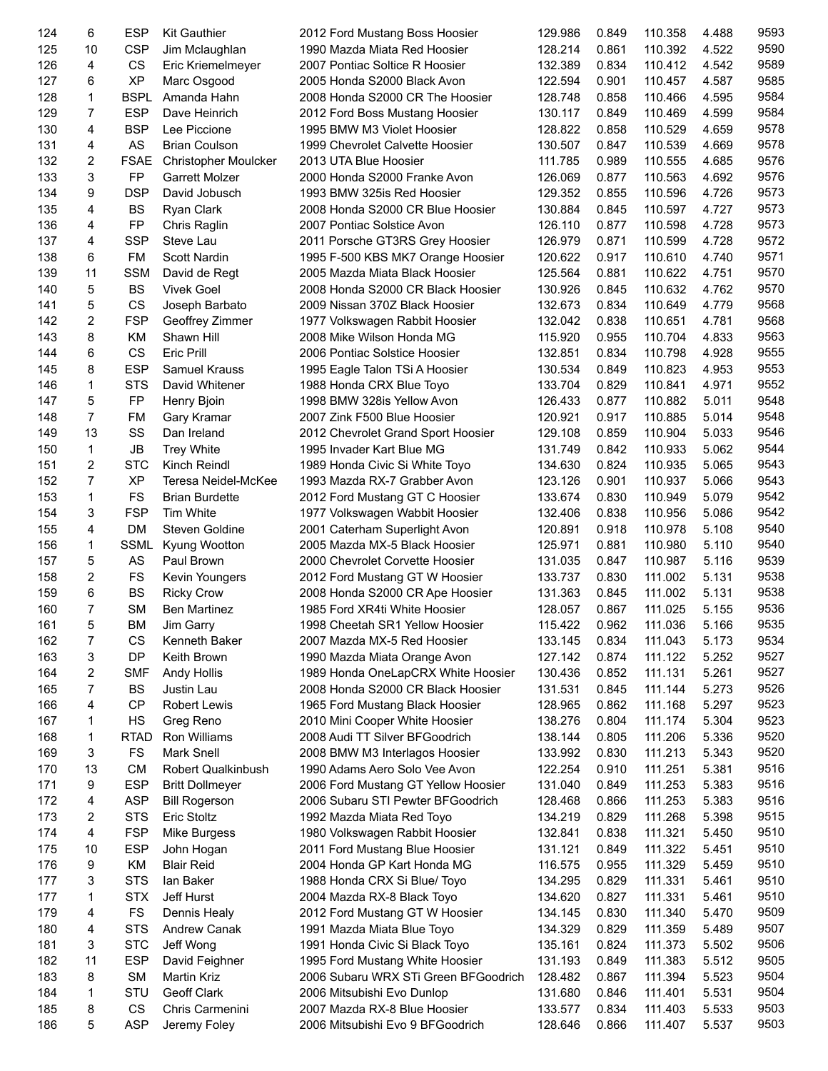| 124 | 6              | <b>ESP</b>  | <b>Kit Gauthier</b>       | 2012 Ford Mustang Boss Hoosier       | 129.986 | 0.849 | 110.358 | 4.488 | 9593 |
|-----|----------------|-------------|---------------------------|--------------------------------------|---------|-------|---------|-------|------|
| 125 | 10             | <b>CSP</b>  | Jim Mclaughlan            | 1990 Mazda Miata Red Hoosier         | 128.214 | 0.861 | 110.392 | 4.522 | 9590 |
| 126 | 4              | CS          | Eric Kriemelmeyer         | 2007 Pontiac Soltice R Hoosier       | 132.389 | 0.834 | 110.412 | 4.542 | 9589 |
| 127 | 6              | <b>XP</b>   | Marc Osgood               | 2005 Honda S2000 Black Avon          | 122.594 | 0.901 | 110.457 | 4.587 | 9585 |
| 128 | 1              | <b>BSPL</b> | Amanda Hahn               | 2008 Honda S2000 CR The Hoosier      | 128.748 | 0.858 | 110.466 | 4.595 | 9584 |
| 129 | $\overline{7}$ | <b>ESP</b>  | Dave Heinrich             | 2012 Ford Boss Mustang Hoosier       | 130.117 | 0.849 | 110.469 | 4.599 | 9584 |
| 130 | 4              | <b>BSP</b>  | Lee Piccione              | 1995 BMW M3 Violet Hoosier           | 128.822 | 0.858 | 110.529 | 4.659 | 9578 |
| 131 | 4              | <b>AS</b>   | <b>Brian Coulson</b>      | 1999 Chevrolet Calvette Hoosier      | 130.507 | 0.847 | 110.539 | 4.669 | 9578 |
| 132 | 2              | <b>FSAE</b> | Christopher Moulcker      | 2013 UTA Blue Hoosier                | 111.785 | 0.989 | 110.555 | 4.685 | 9576 |
| 133 | 3              | <b>FP</b>   | Garrett Molzer            | 2000 Honda S2000 Franke Avon         | 126.069 | 0.877 | 110.563 | 4.692 | 9576 |
| 134 | 9              | <b>DSP</b>  | David Jobusch             | 1993 BMW 325is Red Hoosier           | 129.352 | 0.855 | 110.596 | 4.726 | 9573 |
| 135 | 4              | <b>BS</b>   | Ryan Clark                | 2008 Honda S2000 CR Blue Hoosier     | 130.884 | 0.845 | 110.597 | 4.727 | 9573 |
| 136 | 4              | FP          | Chris Raglin              | 2007 Pontiac Solstice Avon           | 126.110 | 0.877 | 110.598 | 4.728 | 9573 |
| 137 | 4              | <b>SSP</b>  | Steve Lau                 | 2011 Porsche GT3RS Grey Hoosier      | 126.979 | 0.871 | 110.599 | 4.728 | 9572 |
| 138 | 6              | FM          | Scott Nardin              | 1995 F-500 KBS MK7 Orange Hoosier    | 120.622 | 0.917 | 110.610 | 4.740 | 9571 |
| 139 | 11             | <b>SSM</b>  | David de Regt             | 2005 Mazda Miata Black Hoosier       | 125.564 | 0.881 | 110.622 | 4.751 | 9570 |
| 140 | 5              | <b>BS</b>   | <b>Vivek Goel</b>         | 2008 Honda S2000 CR Black Hoosier    | 130.926 | 0.845 | 110.632 | 4.762 | 9570 |
| 141 | 5              | CS          | Joseph Barbato            | 2009 Nissan 370Z Black Hoosier       | 132.673 | 0.834 | 110.649 | 4.779 | 9568 |
| 142 | 2              | <b>FSP</b>  | Geoffrey Zimmer           | 1977 Volkswagen Rabbit Hoosier       | 132.042 | 0.838 | 110.651 | 4.781 | 9568 |
| 143 | 8              | KM          | Shawn Hill                | 2008 Mike Wilson Honda MG            | 115.920 | 0.955 | 110.704 | 4.833 | 9563 |
| 144 | 6              | CS          | <b>Eric Prill</b>         | 2006 Pontiac Solstice Hoosier        | 132.851 | 0.834 | 110.798 | 4.928 | 9555 |
| 145 | 8              | <b>ESP</b>  | Samuel Krauss             | 1995 Eagle Talon TSi A Hoosier       | 130.534 | 0.849 | 110.823 | 4.953 | 9553 |
| 146 | 1              | <b>STS</b>  | David Whitener            | 1988 Honda CRX Blue Toyo             | 133.704 | 0.829 | 110.841 | 4.971 | 9552 |
| 147 | 5              | FP          | Henry Bjoin               | 1998 BMW 328is Yellow Avon           | 126.433 | 0.877 | 110.882 | 5.011 | 9548 |
| 148 | $\overline{7}$ | <b>FM</b>   | Gary Kramar               | 2007 Zink F500 Blue Hoosier          | 120.921 | 0.917 | 110.885 | 5.014 | 9548 |
| 149 | 13             | SS          | Dan Ireland               | 2012 Chevrolet Grand Sport Hoosier   | 129.108 | 0.859 | 110.904 | 5.033 | 9546 |
| 150 | $\mathbf{1}$   | <b>JB</b>   | Trey White                | 1995 Invader Kart Blue MG            | 131.749 | 0.842 | 110.933 | 5.062 | 9544 |
| 151 | $\overline{2}$ | <b>STC</b>  | Kinch Reindl              | 1989 Honda Civic Si White Toyo       | 134.630 | 0.824 | 110.935 | 5.065 | 9543 |
| 152 | $\overline{7}$ | <b>XP</b>   | Teresa Neidel-McKee       | 1993 Mazda RX-7 Grabber Avon         | 123.126 | 0.901 | 110.937 | 5.066 | 9543 |
| 153 | 1              | <b>FS</b>   | <b>Brian Burdette</b>     | 2012 Ford Mustang GT C Hoosier       | 133.674 | 0.830 | 110.949 | 5.079 | 9542 |
| 154 | 3              | <b>FSP</b>  | Tim White                 | 1977 Volkswagen Wabbit Hoosier       | 132.406 | 0.838 | 110.956 | 5.086 | 9542 |
| 155 | 4              | DM          | Steven Goldine            | 2001 Caterham Superlight Avon        | 120.891 | 0.918 | 110.978 | 5.108 | 9540 |
| 156 | 1              | <b>SSML</b> | Kyung Wootton             | 2005 Mazda MX-5 Black Hoosier        | 125.971 | 0.881 | 110.980 | 5.110 | 9540 |
| 157 | 5              | AS          | Paul Brown                | 2000 Chevrolet Corvette Hoosier      | 131.035 | 0.847 | 110.987 | 5.116 | 9539 |
| 158 | 2              | FS          | Kevin Youngers            | 2012 Ford Mustang GT W Hoosier       | 133.737 | 0.830 | 111.002 | 5.131 | 9538 |
| 159 | 6              | <b>BS</b>   | <b>Ricky Crow</b>         | 2008 Honda S2000 CR Ape Hoosier      | 131.363 | 0.845 | 111.002 | 5.131 | 9538 |
| 160 | $\overline{7}$ | <b>SM</b>   | <b>Ben Martinez</b>       | 1985 Ford XR4ti White Hoosier        | 128.057 | 0.867 | 111.025 | 5.155 | 9536 |
| 161 | 5              | BM          | Jim Garry                 | 1998 Cheetah SR1 Yellow Hoosier      | 115.422 | 0.962 | 111.036 | 5.166 | 9535 |
| 162 | 7              | CS          | Kenneth Baker             | 2007 Mazda MX-5 Red Hoosier          | 133.145 | 0.834 | 111.043 | 5.173 | 9534 |
| 163 | 3              | DP          | Keith Brown               | 1990 Mazda Miata Orange Avon         | 127.142 | 0.874 | 111.122 | 5.252 | 9527 |
| 164 | 2              | <b>SMF</b>  | Andy Hollis               | 1989 Honda OneLapCRX White Hoosier   | 130.436 | 0.852 | 111.131 | 5.261 | 9527 |
| 165 | 7              | BS          | Justin Lau                | 2008 Honda S2000 CR Black Hoosier    | 131.531 | 0.845 | 111.144 | 5.273 | 9526 |
| 166 | 4              | <b>CP</b>   | <b>Robert Lewis</b>       | 1965 Ford Mustang Black Hoosier      | 128.965 | 0.862 | 111.168 | 5.297 | 9523 |
| 167 | 1              | HS          | Greg Reno                 | 2010 Mini Cooper White Hoosier       | 138.276 | 0.804 | 111.174 | 5.304 | 9523 |
| 168 | 1              | <b>RTAD</b> | Ron Williams              | 2008 Audi TT Silver BFGoodrich       | 138.144 | 0.805 | 111.206 | 5.336 | 9520 |
| 169 | 3              | FS          | <b>Mark Snell</b>         | 2008 BMW M3 Interlagos Hoosier       | 133.992 | 0.830 | 111.213 | 5.343 | 9520 |
| 170 | 13             | <b>CM</b>   | <b>Robert Qualkinbush</b> | 1990 Adams Aero Solo Vee Avon        | 122.254 | 0.910 | 111.251 | 5.381 | 9516 |
| 171 | 9              | <b>ESP</b>  | <b>Britt Dollmeyer</b>    | 2006 Ford Mustang GT Yellow Hoosier  | 131.040 | 0.849 | 111.253 | 5.383 | 9516 |
| 172 | 4              | <b>ASP</b>  | <b>Bill Rogerson</b>      | 2006 Subaru STI Pewter BFGoodrich    | 128.468 | 0.866 | 111.253 | 5.383 | 9516 |
| 173 | 2              | <b>STS</b>  | <b>Eric Stoltz</b>        | 1992 Mazda Miata Red Toyo            | 134.219 | 0.829 | 111.268 | 5.398 | 9515 |
| 174 | 4              | <b>FSP</b>  | Mike Burgess              | 1980 Volkswagen Rabbit Hoosier       | 132.841 | 0.838 | 111.321 | 5.450 | 9510 |
| 175 | 10             | <b>ESP</b>  | John Hogan                | 2011 Ford Mustang Blue Hoosier       | 131.121 | 0.849 | 111.322 | 5.451 | 9510 |
| 176 | 9              | KM          | <b>Blair Reid</b>         | 2004 Honda GP Kart Honda MG          | 116.575 | 0.955 | 111.329 | 5.459 | 9510 |
| 177 | 3              | <b>STS</b>  | lan Baker                 | 1988 Honda CRX Si Blue/ Toyo         | 134.295 | 0.829 | 111.331 | 5.461 | 9510 |
| 177 | 1              | <b>STX</b>  | Jeff Hurst                | 2004 Mazda RX-8 Black Toyo           | 134.620 | 0.827 | 111.331 | 5.461 | 9510 |
| 179 | 4              | FS          | Dennis Healy              | 2012 Ford Mustang GT W Hoosier       | 134.145 | 0.830 | 111.340 | 5.470 | 9509 |
| 180 | 4              | <b>STS</b>  | Andrew Canak              | 1991 Mazda Miata Blue Toyo           | 134.329 | 0.829 | 111.359 | 5.489 | 9507 |
| 181 | 3              | <b>STC</b>  | Jeff Wong                 | 1991 Honda Civic Si Black Toyo       | 135.161 | 0.824 | 111.373 | 5.502 | 9506 |
| 182 | 11             | <b>ESP</b>  | David Feighner            | 1995 Ford Mustang White Hoosier      | 131.193 | 0.849 | 111.383 | 5.512 | 9505 |
| 183 | 8              | <b>SM</b>   | Martin Kriz               | 2006 Subaru WRX STi Green BFGoodrich | 128.482 | 0.867 | 111.394 | 5.523 | 9504 |
| 184 | 1              | STU         | Geoff Clark               | 2006 Mitsubishi Evo Dunlop           | 131.680 | 0.846 | 111.401 | 5.531 | 9504 |
| 185 | 8              | CS          | Chris Carmenini           | 2007 Mazda RX-8 Blue Hoosier         | 133.577 | 0.834 | 111.403 | 5.533 | 9503 |
| 186 | 5              | <b>ASP</b>  | Jeremy Foley              | 2006 Mitsubishi Evo 9 BFGoodrich     | 128.646 | 0.866 | 111.407 | 5.537 | 9503 |
|     |                |             |                           |                                      |         |       |         |       |      |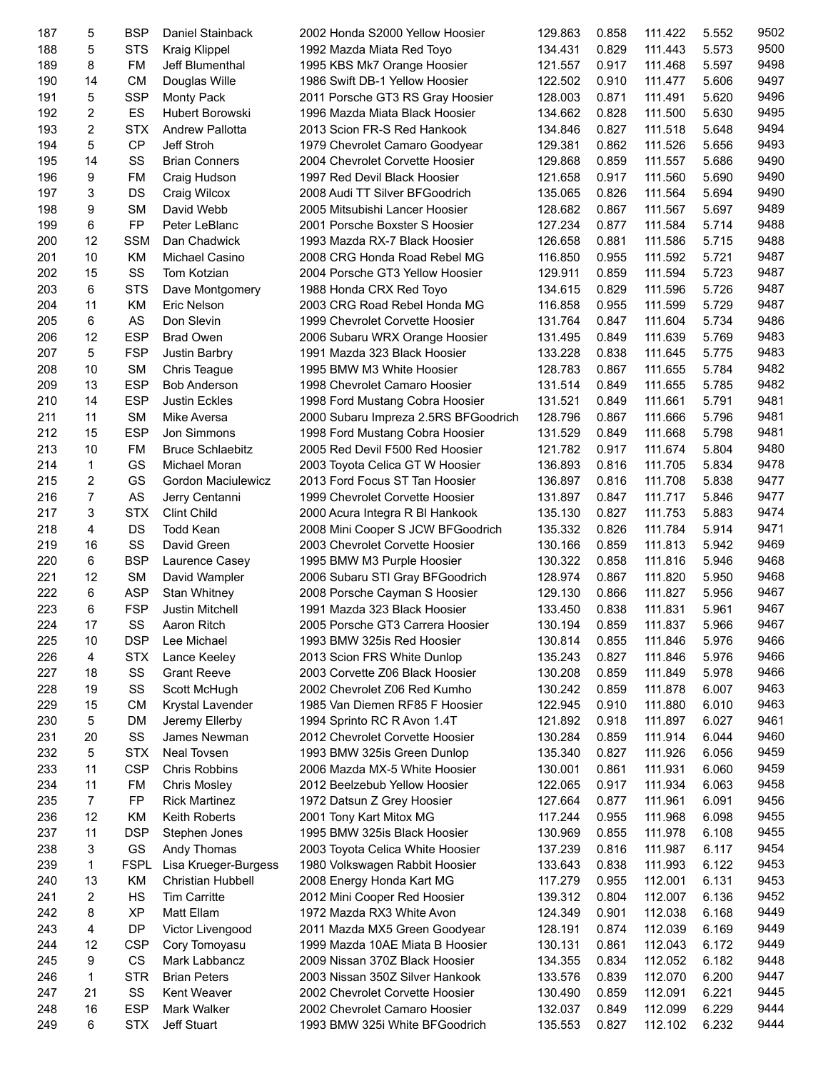| 187 | 5              | <b>BSP</b>  | Daniel Stainback        | 2002 Honda S2000 Yellow Hoosier      | 129.863 | 0.858 | 111.422 | 5.552 | 9502 |
|-----|----------------|-------------|-------------------------|--------------------------------------|---------|-------|---------|-------|------|
| 188 | 5              | <b>STS</b>  | <b>Kraig Klippel</b>    | 1992 Mazda Miata Red Toyo            | 134.431 | 0.829 | 111.443 | 5.573 | 9500 |
| 189 | 8              | FM          | Jeff Blumenthal         | 1995 KBS Mk7 Orange Hoosier          | 121.557 | 0.917 | 111.468 | 5.597 | 9498 |
| 190 | 14             | <b>CM</b>   | Douglas Wille           | 1986 Swift DB-1 Yellow Hoosier       | 122.502 | 0.910 | 111.477 | 5.606 | 9497 |
| 191 | 5              | <b>SSP</b>  | <b>Monty Pack</b>       | 2011 Porsche GT3 RS Gray Hoosier     | 128.003 | 0.871 | 111.491 | 5.620 | 9496 |
| 192 | 2              | ES          | <b>Hubert Borowski</b>  | 1996 Mazda Miata Black Hoosier       | 134.662 | 0.828 | 111.500 | 5.630 | 9495 |
| 193 | $\overline{c}$ | <b>STX</b>  | <b>Andrew Pallotta</b>  | 2013 Scion FR-S Red Hankook          | 134.846 | 0.827 | 111.518 | 5.648 | 9494 |
| 194 | 5              | <b>CP</b>   | Jeff Stroh              | 1979 Chevrolet Camaro Goodyear       | 129.381 | 0.862 | 111.526 | 5.656 | 9493 |
| 195 | 14             | SS          | <b>Brian Conners</b>    | 2004 Chevrolet Corvette Hoosier      | 129.868 | 0.859 | 111.557 | 5.686 | 9490 |
| 196 | 9              | <b>FM</b>   | Craig Hudson            | 1997 Red Devil Black Hoosier         | 121.658 | 0.917 | 111.560 | 5.690 | 9490 |
| 197 | 3              | DS          | Craig Wilcox            | 2008 Audi TT Silver BFGoodrich       | 135.065 | 0.826 | 111.564 | 5.694 | 9490 |
| 198 | 9              | <b>SM</b>   | David Webb              | 2005 Mitsubishi Lancer Hoosier       | 128.682 | 0.867 | 111.567 | 5.697 | 9489 |
| 199 | 6              | <b>FP</b>   | Peter LeBlanc           | 2001 Porsche Boxster S Hoosier       | 127.234 | 0.877 | 111.584 | 5.714 | 9488 |
| 200 | 12             | <b>SSM</b>  | Dan Chadwick            | 1993 Mazda RX-7 Black Hoosier        | 126.658 | 0.881 | 111.586 | 5.715 | 9488 |
|     |                |             |                         |                                      |         |       |         |       | 9487 |
| 201 | 10             | KM          | Michael Casino          | 2008 CRG Honda Road Rebel MG         | 116.850 | 0.955 | 111.592 | 5.721 |      |
| 202 | 15             | SS          | Tom Kotzian             | 2004 Porsche GT3 Yellow Hoosier      | 129.911 | 0.859 | 111.594 | 5.723 | 9487 |
| 203 | 6              | <b>STS</b>  | Dave Montgomery         | 1988 Honda CRX Red Toyo              | 134.615 | 0.829 | 111.596 | 5.726 | 9487 |
| 204 | 11             | KM          | Eric Nelson             | 2003 CRG Road Rebel Honda MG         | 116.858 | 0.955 | 111.599 | 5.729 | 9487 |
| 205 | 6              | AS          | Don Slevin              | 1999 Chevrolet Corvette Hoosier      | 131.764 | 0.847 | 111.604 | 5.734 | 9486 |
| 206 | 12             | <b>ESP</b>  | <b>Brad Owen</b>        | 2006 Subaru WRX Orange Hoosier       | 131.495 | 0.849 | 111.639 | 5.769 | 9483 |
| 207 | 5              | <b>FSP</b>  | Justin Barbry           | 1991 Mazda 323 Black Hoosier         | 133.228 | 0.838 | 111.645 | 5.775 | 9483 |
| 208 | 10             | <b>SM</b>   | Chris Teague            | 1995 BMW M3 White Hoosier            | 128.783 | 0.867 | 111.655 | 5.784 | 9482 |
| 209 | 13             | <b>ESP</b>  | <b>Bob Anderson</b>     | 1998 Chevrolet Camaro Hoosier        | 131.514 | 0.849 | 111.655 | 5.785 | 9482 |
| 210 | 14             | <b>ESP</b>  | Justin Eckles           | 1998 Ford Mustang Cobra Hoosier      | 131.521 | 0.849 | 111.661 | 5.791 | 9481 |
| 211 | 11             | <b>SM</b>   | Mike Aversa             | 2000 Subaru Impreza 2.5RS BFGoodrich | 128.796 | 0.867 | 111.666 | 5.796 | 9481 |
| 212 | 15             | <b>ESP</b>  | Jon Simmons             | 1998 Ford Mustang Cobra Hoosier      | 131.529 | 0.849 | 111.668 | 5.798 | 9481 |
| 213 | 10             | FM          | <b>Bruce Schlaebitz</b> | 2005 Red Devil F500 Red Hoosier      | 121.782 | 0.917 | 111.674 | 5.804 | 9480 |
| 214 | $\mathbf{1}$   | GS          | Michael Moran           | 2003 Toyota Celica GT W Hoosier      | 136.893 | 0.816 | 111.705 | 5.834 | 9478 |
| 215 | $\overline{c}$ | GS          | Gordon Maciulewicz      | 2013 Ford Focus ST Tan Hoosier       | 136.897 | 0.816 | 111.708 | 5.838 | 9477 |
| 216 | $\overline{7}$ | AS          | Jerry Centanni          | 1999 Chevrolet Corvette Hoosier      | 131.897 | 0.847 | 111.717 | 5.846 | 9477 |
| 217 | 3              | <b>STX</b>  | <b>Clint Child</b>      | 2000 Acura Integra R BI Hankook      | 135.130 | 0.827 | 111.753 | 5.883 | 9474 |
| 218 | 4              | DS          | <b>Todd Kean</b>        | 2008 Mini Cooper S JCW BFGoodrich    | 135.332 | 0.826 | 111.784 | 5.914 | 9471 |
| 219 | 16             | SS          | David Green             | 2003 Chevrolet Corvette Hoosier      | 130.166 | 0.859 | 111.813 | 5.942 | 9469 |
| 220 | 6              | <b>BSP</b>  | Laurence Casey          | 1995 BMW M3 Purple Hoosier           | 130.322 | 0.858 | 111.816 | 5.946 | 9468 |
| 221 | 12             | <b>SM</b>   |                         | 2006 Subaru STI Gray BFGoodrich      | 128.974 | 0.867 | 111.820 | 5.950 | 9468 |
| 222 | 6              | <b>ASP</b>  | David Wampler           |                                      |         |       | 111.827 |       | 9467 |
|     |                |             | Stan Whitney            | 2008 Porsche Cayman S Hoosier        | 129.130 | 0.866 |         | 5.956 |      |
| 223 | 6              | <b>FSP</b>  | Justin Mitchell         | 1991 Mazda 323 Black Hoosier         | 133.450 | 0.838 | 111.831 | 5.961 | 9467 |
| 224 | 17             | SS          | Aaron Ritch             | 2005 Porsche GT3 Carrera Hoosier     | 130.194 | 0.859 | 111.837 | 5.966 | 9467 |
| 225 | 10             | <b>DSP</b>  | Lee Michael             | 1993 BMW 325is Red Hoosier           | 130.814 | 0.855 | 111.846 | 5.976 | 9466 |
| 226 | 4              | <b>STX</b>  | Lance Keeley            | 2013 Scion FRS White Dunlop          | 135.243 | 0.827 | 111.846 | 5.976 | 9466 |
| 227 | 18             | SS          | <b>Grant Reeve</b>      | 2003 Corvette Z06 Black Hoosier      | 130.208 | 0.859 | 111.849 | 5.978 | 9466 |
| 228 | 19             | SS          | Scott McHugh            | 2002 Chevrolet Z06 Red Kumho         | 130.242 | 0.859 | 111.878 | 6.007 | 9463 |
| 229 | 15             | СM          | Krystal Lavender        | 1985 Van Diemen RF85 F Hoosier       | 122.945 | 0.910 | 111.880 | 6.010 | 9463 |
| 230 | 5              | DM          | Jeremy Ellerby          | 1994 Sprinto RC R Avon 1.4T          | 121.892 | 0.918 | 111.897 | 6.027 | 9461 |
| 231 | 20             | SS          | James Newman            | 2012 Chevrolet Corvette Hoosier      | 130.284 | 0.859 | 111.914 | 6.044 | 9460 |
| 232 | 5              | <b>STX</b>  | <b>Neal Tovsen</b>      | 1993 BMW 325is Green Dunlop          | 135.340 | 0.827 | 111.926 | 6.056 | 9459 |
| 233 | 11             | <b>CSP</b>  | Chris Robbins           | 2006 Mazda MX-5 White Hoosier        | 130.001 | 0.861 | 111.931 | 6.060 | 9459 |
| 234 | 11             | FM          | <b>Chris Mosley</b>     | 2012 Beelzebub Yellow Hoosier        | 122.065 | 0.917 | 111.934 | 6.063 | 9458 |
| 235 | 7              | FP          | <b>Rick Martinez</b>    | 1972 Datsun Z Grey Hoosier           | 127.664 | 0.877 | 111.961 | 6.091 | 9456 |
| 236 | 12             | KM          | Keith Roberts           | 2001 Tony Kart Mitox MG              | 117.244 | 0.955 | 111.968 | 6.098 | 9455 |
| 237 | 11             | <b>DSP</b>  | Stephen Jones           | 1995 BMW 325is Black Hoosier         | 130.969 | 0.855 | 111.978 | 6.108 | 9455 |
| 238 | 3              | GS          | Andy Thomas             | 2003 Toyota Celica White Hoosier     | 137.239 | 0.816 | 111.987 | 6.117 | 9454 |
| 239 | 1              | <b>FSPL</b> | Lisa Krueger-Burgess    | 1980 Volkswagen Rabbit Hoosier       | 133.643 | 0.838 | 111.993 | 6.122 | 9453 |
| 240 | 13             | KM          | Christian Hubbell       | 2008 Energy Honda Kart MG            | 117.279 | 0.955 | 112.001 | 6.131 | 9453 |
| 241 | 2              | HS          | Tim Carritte            | 2012 Mini Cooper Red Hoosier         | 139.312 | 0.804 | 112.007 | 6.136 | 9452 |
| 242 | 8              | <b>XP</b>   | Matt Ellam              | 1972 Mazda RX3 White Avon            | 124.349 | 0.901 | 112.038 | 6.168 | 9449 |
| 243 | 4              | DP          | Victor Livengood        | 2011 Mazda MX5 Green Goodyear        | 128.191 | 0.874 | 112.039 | 6.169 | 9449 |
| 244 | 12             | <b>CSP</b>  | Cory Tomoyasu           | 1999 Mazda 10AE Miata B Hoosier      | 130.131 | 0.861 | 112.043 | 6.172 | 9449 |
| 245 | 9              | CS          | Mark Labbancz           | 2009 Nissan 370Z Black Hoosier       | 134.355 | 0.834 | 112.052 | 6.182 | 9448 |
| 246 | 1              | <b>STR</b>  | <b>Brian Peters</b>     | 2003 Nissan 350Z Silver Hankook      | 133.576 | 0.839 | 112.070 | 6.200 | 9447 |
| 247 | 21             | SS          | Kent Weaver             | 2002 Chevrolet Corvette Hoosier      | 130.490 | 0.859 | 112.091 | 6.221 | 9445 |
| 248 | 16             | <b>ESP</b>  | Mark Walker             | 2002 Chevrolet Camaro Hoosier        | 132.037 | 0.849 | 112.099 | 6.229 | 9444 |
|     |                |             |                         |                                      |         |       |         |       | 9444 |
| 249 | 6              | <b>STX</b>  | Jeff Stuart             | 1993 BMW 325i White BFGoodrich       | 135.553 | 0.827 | 112.102 | 6.232 |      |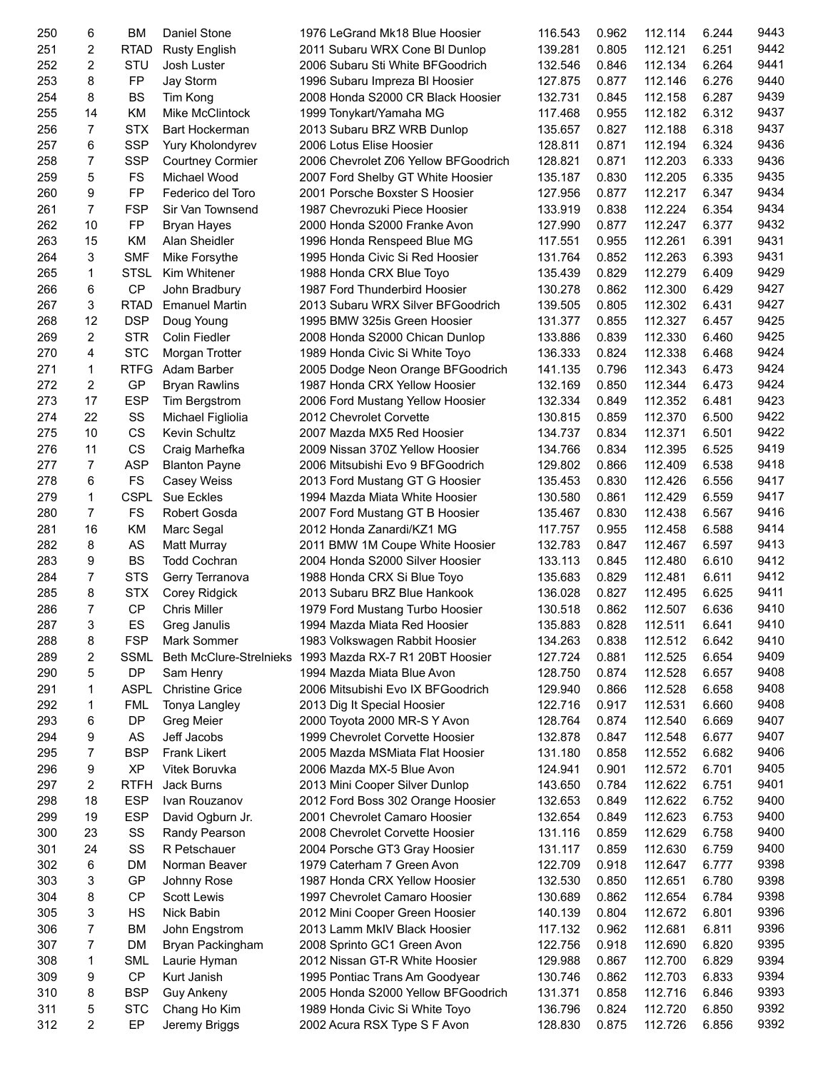| 250 | 6  | ВM          | Daniel Stone                  | 1976 LeGrand Mk18 Blue Hoosier                          | 116.543 | 0.962 | 112.114 | 6.244 | 9443 |
|-----|----|-------------|-------------------------------|---------------------------------------------------------|---------|-------|---------|-------|------|
| 251 | 2  | <b>RTAD</b> | <b>Rusty English</b>          | 2011 Subaru WRX Cone BI Dunlop                          | 139.281 | 0.805 | 112.121 | 6.251 | 9442 |
| 252 | 2  | STU         | Josh Luster                   | 2006 Subaru Sti White BFGoodrich                        | 132.546 | 0.846 | 112.134 | 6.264 | 9441 |
| 253 | 8  | FP          | Jay Storm                     | 1996 Subaru Impreza BI Hoosier                          | 127.875 | 0.877 | 112.146 | 6.276 | 9440 |
| 254 | 8  | <b>BS</b>   | Tim Kong                      | 2008 Honda S2000 CR Black Hoosier                       | 132.731 | 0.845 | 112.158 | 6.287 | 9439 |
| 255 | 14 | KM          | Mike McClintock               | 1999 Tonykart/Yamaha MG                                 | 117.468 | 0.955 | 112.182 | 6.312 | 9437 |
| 256 | 7  | <b>STX</b>  | <b>Bart Hockerman</b>         | 2013 Subaru BRZ WRB Dunlop                              | 135.657 | 0.827 | 112.188 | 6.318 | 9437 |
| 257 | 6  | <b>SSP</b>  | Yury Kholondyrev              | 2006 Lotus Elise Hoosier                                | 128.811 | 0.871 | 112.194 | 6.324 | 9436 |
| 258 | 7  | <b>SSP</b>  | <b>Courtney Cormier</b>       | 2006 Chevrolet Z06 Yellow BFGoodrich                    | 128.821 | 0.871 | 112.203 | 6.333 | 9436 |
| 259 | 5  | FS          | Michael Wood                  | 2007 Ford Shelby GT White Hoosier                       | 135.187 | 0.830 | 112.205 | 6.335 | 9435 |
| 260 | 9  | FP          | Federico del Toro             | 2001 Porsche Boxster S Hoosier                          | 127.956 | 0.877 | 112.217 | 6.347 | 9434 |
| 261 | 7  | <b>FSP</b>  | Sir Van Townsend              | 1987 Chevrozuki Piece Hoosier                           | 133.919 | 0.838 | 112.224 | 6.354 | 9434 |
| 262 | 10 | FP          | Bryan Hayes                   | 2000 Honda S2000 Franke Avon                            | 127.990 | 0.877 | 112.247 | 6.377 | 9432 |
| 263 | 15 | <b>KM</b>   | Alan Sheidler                 | 1996 Honda Renspeed Blue MG                             | 117.551 | 0.955 | 112.261 | 6.391 | 9431 |
| 264 | 3  | <b>SMF</b>  |                               | 1995 Honda Civic Si Red Hoosier                         | 131.764 | 0.852 | 112.263 | 6.393 | 9431 |
| 265 | 1  | <b>STSL</b> | Mike Forsythe<br>Kim Whitener |                                                         |         | 0.829 | 112.279 | 6.409 | 9429 |
|     |    |             |                               | 1988 Honda CRX Blue Toyo                                | 135.439 |       |         |       |      |
| 266 | 6  | CP          | John Bradbury                 | 1987 Ford Thunderbird Hoosier                           | 130.278 | 0.862 | 112.300 | 6.429 | 9427 |
| 267 | 3  | <b>RTAD</b> | <b>Emanuel Martin</b>         | 2013 Subaru WRX Silver BFGoodrich                       | 139.505 | 0.805 | 112.302 | 6.431 | 9427 |
| 268 | 12 | <b>DSP</b>  | Doug Young                    | 1995 BMW 325is Green Hoosier                            | 131.377 | 0.855 | 112.327 | 6.457 | 9425 |
| 269 | 2  | <b>STR</b>  | Colin Fiedler                 | 2008 Honda S2000 Chican Dunlop                          | 133.886 | 0.839 | 112.330 | 6.460 | 9425 |
| 270 | 4  | <b>STC</b>  | Morgan Trotter                | 1989 Honda Civic Si White Toyo                          | 136.333 | 0.824 | 112.338 | 6.468 | 9424 |
| 271 | 1  | <b>RTFG</b> | Adam Barber                   | 2005 Dodge Neon Orange BFGoodrich                       | 141.135 | 0.796 | 112.343 | 6.473 | 9424 |
| 272 | 2  | GP          | <b>Bryan Rawlins</b>          | 1987 Honda CRX Yellow Hoosier                           | 132.169 | 0.850 | 112.344 | 6.473 | 9424 |
| 273 | 17 | <b>ESP</b>  | Tim Bergstrom                 | 2006 Ford Mustang Yellow Hoosier                        | 132.334 | 0.849 | 112.352 | 6.481 | 9423 |
| 274 | 22 | SS          | Michael Figliolia             | 2012 Chevrolet Corvette                                 | 130.815 | 0.859 | 112.370 | 6.500 | 9422 |
| 275 | 10 | CS          | <b>Kevin Schultz</b>          | 2007 Mazda MX5 Red Hoosier                              | 134.737 | 0.834 | 112.371 | 6.501 | 9422 |
| 276 | 11 | CS          | Craig Marhefka                | 2009 Nissan 370Z Yellow Hoosier                         | 134.766 | 0.834 | 112.395 | 6.525 | 9419 |
| 277 | 7  | <b>ASP</b>  | <b>Blanton Payne</b>          | 2006 Mitsubishi Evo 9 BFGoodrich                        | 129.802 | 0.866 | 112.409 | 6.538 | 9418 |
| 278 | 6  | <b>FS</b>   | Casey Weiss                   | 2013 Ford Mustang GT G Hoosier                          | 135.453 | 0.830 | 112.426 | 6.556 | 9417 |
| 279 | 1  | <b>CSPL</b> | <b>Sue Eckles</b>             | 1994 Mazda Miata White Hoosier                          | 130.580 | 0.861 | 112.429 | 6.559 | 9417 |
| 280 | 7  | <b>FS</b>   | Robert Gosda                  | 2007 Ford Mustang GT B Hoosier                          | 135.467 | 0.830 | 112.438 | 6.567 | 9416 |
| 281 | 16 | <b>KM</b>   | Marc Segal                    | 2012 Honda Zanardi/KZ1 MG                               | 117.757 | 0.955 | 112.458 | 6.588 | 9414 |
| 282 | 8  | AS          | Matt Murray                   | 2011 BMW 1M Coupe White Hoosier                         | 132.783 | 0.847 | 112.467 | 6.597 | 9413 |
| 283 | 9  | <b>BS</b>   | <b>Todd Cochran</b>           | 2004 Honda S2000 Silver Hoosier                         | 133.113 | 0.845 | 112.480 | 6.610 | 9412 |
| 284 | 7  | <b>STS</b>  | Gerry Terranova               | 1988 Honda CRX Si Blue Toyo                             | 135.683 | 0.829 | 112.481 | 6.611 | 9412 |
| 285 | 8  | <b>STX</b>  | Corey Ridgick                 | 2013 Subaru BRZ Blue Hankook                            | 136.028 | 0.827 | 112.495 | 6.625 | 9411 |
| 286 | 7  | <b>CP</b>   | <b>Chris Miller</b>           | 1979 Ford Mustang Turbo Hoosier                         | 130.518 | 0.862 | 112.507 | 6.636 | 9410 |
| 287 | 3  | ES          | Greg Janulis                  | 1994 Mazda Miata Red Hoosier                            | 135.883 | 0.828 | 112.511 | 6.641 | 9410 |
|     |    |             |                               |                                                         | 134.263 |       |         |       | 9410 |
| 288 | 8  | <b>FSP</b>  | Mark Sommer                   | 1983 Volkswagen Rabbit Hoosier                          |         | 0.838 | 112.512 | 6.642 |      |
| 289 | 2  | <b>SSML</b> |                               | Beth McClure-Strelnieks 1993 Mazda RX-7 R1 20BT Hoosier | 127.724 | 0.881 | 112.525 | 6.654 | 9409 |
| 290 | 5  | DP          | Sam Henry                     | 1994 Mazda Miata Blue Avon                              | 128.750 | 0.874 | 112.528 | 6.657 | 9408 |
| 291 | 1  | <b>ASPL</b> | <b>Christine Grice</b>        | 2006 Mitsubishi Evo IX BFGoodrich                       | 129.940 | 0.866 | 112.528 | 6.658 | 9408 |
| 292 | 1  | <b>FML</b>  | Tonya Langley                 | 2013 Dig It Special Hoosier                             | 122.716 | 0.917 | 112.531 | 6.660 | 9408 |
| 293 | 6  | DP          | Greg Meier                    | 2000 Toyota 2000 MR-S Y Avon                            | 128.764 | 0.874 | 112.540 | 6.669 | 9407 |
| 294 | 9  | AS          | Jeff Jacobs                   | 1999 Chevrolet Corvette Hoosier                         | 132.878 | 0.847 | 112.548 | 6.677 | 9407 |
| 295 | 7  | <b>BSP</b>  | <b>Frank Likert</b>           | 2005 Mazda MSMiata Flat Hoosier                         | 131.180 | 0.858 | 112.552 | 6.682 | 9406 |
| 296 | 9  | <b>XP</b>   | Vitek Boruvka                 | 2006 Mazda MX-5 Blue Avon                               | 124.941 | 0.901 | 112.572 | 6.701 | 9405 |
| 297 | 2  | <b>RTFH</b> | Jack Burns                    | 2013 Mini Cooper Silver Dunlop                          | 143.650 | 0.784 | 112.622 | 6.751 | 9401 |
| 298 | 18 | <b>ESP</b>  | Ivan Rouzanov                 | 2012 Ford Boss 302 Orange Hoosier                       | 132.653 | 0.849 | 112.622 | 6.752 | 9400 |
| 299 | 19 | <b>ESP</b>  | David Ogburn Jr.              | 2001 Chevrolet Camaro Hoosier                           | 132.654 | 0.849 | 112.623 | 6.753 | 9400 |
| 300 | 23 | SS          | Randy Pearson                 | 2008 Chevrolet Corvette Hoosier                         | 131.116 | 0.859 | 112.629 | 6.758 | 9400 |
| 301 | 24 | SS          | R Petschauer                  | 2004 Porsche GT3 Gray Hoosier                           | 131.117 | 0.859 | 112.630 | 6.759 | 9400 |
| 302 | 6  | DM          | Norman Beaver                 | 1979 Caterham 7 Green Avon                              | 122.709 | 0.918 | 112.647 | 6.777 | 9398 |
| 303 | 3  | GP          | Johnny Rose                   | 1987 Honda CRX Yellow Hoosier                           | 132.530 | 0.850 | 112.651 | 6.780 | 9398 |
| 304 | 8  | CP          | Scott Lewis                   | 1997 Chevrolet Camaro Hoosier                           | 130.689 | 0.862 | 112.654 | 6.784 | 9398 |
| 305 | 3  | НS          | Nick Babin                    | 2012 Mini Cooper Green Hoosier                          | 140.139 | 0.804 | 112.672 | 6.801 | 9396 |
| 306 | 7  | BM          | John Engstrom                 | 2013 Lamm MkIV Black Hoosier                            | 117.132 | 0.962 | 112.681 | 6.811 | 9396 |
| 307 | 7  | DM          | Bryan Packingham              | 2008 Sprinto GC1 Green Avon                             | 122.756 | 0.918 | 112.690 | 6.820 | 9395 |
| 308 | 1  | <b>SML</b>  | Laurie Hyman                  | 2012 Nissan GT-R White Hoosier                          | 129.988 | 0.867 | 112.700 | 6.829 | 9394 |
| 309 | 9  | CP          | Kurt Janish                   | 1995 Pontiac Trans Am Goodyear                          | 130.746 | 0.862 | 112.703 | 6.833 | 9394 |
| 310 | 8  | <b>BSP</b>  | <b>Guy Ankeny</b>             | 2005 Honda S2000 Yellow BFGoodrich                      | 131.371 | 0.858 | 112.716 | 6.846 | 9393 |
| 311 | 5  | <b>STC</b>  | Chang Ho Kim                  | 1989 Honda Civic Si White Toyo                          | 136.796 | 0.824 | 112.720 | 6.850 | 9392 |
| 312 | 2  | EP          | Jeremy Briggs                 | 2002 Acura RSX Type S F Avon                            | 128.830 | 0.875 | 112.726 | 6.856 | 9392 |
|     |    |             |                               |                                                         |         |       |         |       |      |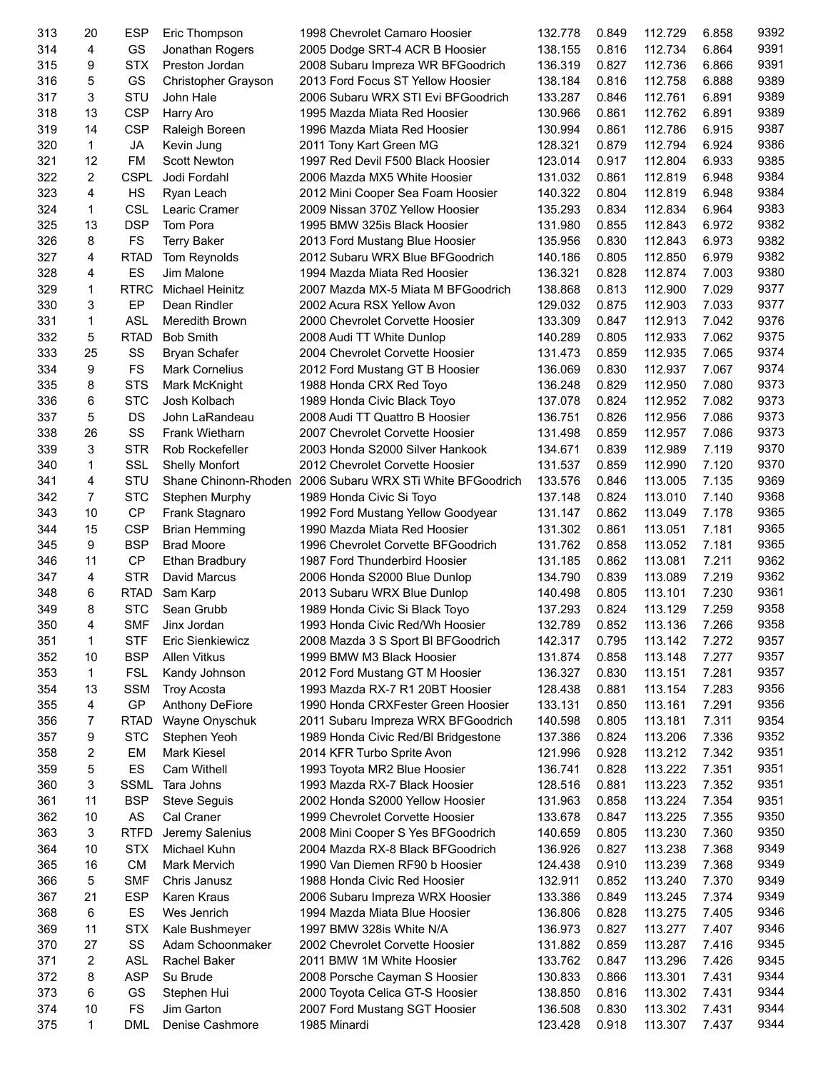| 313 | 20             | ESP         | Eric Thompson          | 1998 Chevrolet Camaro Hoosier                             | 132.778 | 0.849 | 112.729 | 6.858 | 9392 |
|-----|----------------|-------------|------------------------|-----------------------------------------------------------|---------|-------|---------|-------|------|
| 314 | 4              | GS          | Jonathan Rogers        | 2005 Dodge SRT-4 ACR B Hoosier                            | 138.155 | 0.816 | 112.734 | 6.864 | 9391 |
| 315 | 9              | <b>STX</b>  | Preston Jordan         | 2008 Subaru Impreza WR BFGoodrich                         | 136.319 | 0.827 | 112.736 | 6.866 | 9391 |
| 316 | 5              | GS          | Christopher Grayson    | 2013 Ford Focus ST Yellow Hoosier                         | 138.184 | 0.816 | 112.758 | 6.888 | 9389 |
| 317 | 3              | STU         | John Hale              | 2006 Subaru WRX STI Evi BFGoodrich                        | 133.287 | 0.846 | 112.761 | 6.891 | 9389 |
| 318 | 13             | <b>CSP</b>  | Harry Aro              | 1995 Mazda Miata Red Hoosier                              | 130.966 | 0.861 | 112.762 | 6.891 | 9389 |
| 319 | 14             | <b>CSP</b>  | Raleigh Boreen         | 1996 Mazda Miata Red Hoosier                              | 130.994 | 0.861 | 112.786 | 6.915 | 9387 |
| 320 | $\mathbf{1}$   | <b>JA</b>   | Kevin Jung             | 2011 Tony Kart Green MG                                   | 128.321 | 0.879 | 112.794 | 6.924 | 9386 |
| 321 | 12             | <b>FM</b>   | <b>Scott Newton</b>    | 1997 Red Devil F500 Black Hoosier                         | 123.014 | 0.917 | 112.804 | 6.933 | 9385 |
| 322 | $\overline{c}$ | <b>CSPL</b> | Jodi Fordahl           | 2006 Mazda MX5 White Hoosier                              | 131.032 | 0.861 | 112.819 | 6.948 | 9384 |
| 323 | 4              | HS          | Ryan Leach             | 2012 Mini Cooper Sea Foam Hoosier                         | 140.322 | 0.804 | 112.819 | 6.948 | 9384 |
| 324 | 1              | CSL         | Learic Cramer          | 2009 Nissan 370Z Yellow Hoosier                           | 135.293 | 0.834 | 112.834 | 6.964 | 9383 |
| 325 | 13             | <b>DSP</b>  | Tom Pora               | 1995 BMW 325is Black Hoosier                              | 131.980 | 0.855 | 112.843 | 6.972 | 9382 |
| 326 | 8              | <b>FS</b>   | <b>Terry Baker</b>     | 2013 Ford Mustang Blue Hoosier                            | 135.956 | 0.830 | 112.843 | 6.973 | 9382 |
| 327 | 4              | <b>RTAD</b> | Tom Reynolds           | 2012 Subaru WRX Blue BFGoodrich                           | 140.186 | 0.805 | 112.850 | 6.979 | 9382 |
| 328 | 4              | ES          | Jim Malone             |                                                           |         | 0.828 |         | 7.003 | 9380 |
|     |                |             |                        | 1994 Mazda Miata Red Hoosier                              | 136.321 |       | 112.874 |       |      |
| 329 | 1              | <b>RTRC</b> | Michael Heinitz        | 2007 Mazda MX-5 Miata M BFGoodrich                        | 138.868 | 0.813 | 112.900 | 7.029 | 9377 |
| 330 | 3              | EP          | Dean Rindler           | 2002 Acura RSX Yellow Avon                                | 129.032 | 0.875 | 112.903 | 7.033 | 9377 |
| 331 | 1              | <b>ASL</b>  | Meredith Brown         | 2000 Chevrolet Corvette Hoosier                           | 133.309 | 0.847 | 112.913 | 7.042 | 9376 |
| 332 | 5              | <b>RTAD</b> | <b>Bob Smith</b>       | 2008 Audi TT White Dunlop                                 | 140.289 | 0.805 | 112.933 | 7.062 | 9375 |
| 333 | 25             | SS          | Bryan Schafer          | 2004 Chevrolet Corvette Hoosier                           | 131.473 | 0.859 | 112.935 | 7.065 | 9374 |
| 334 | 9              | <b>FS</b>   | <b>Mark Cornelius</b>  | 2012 Ford Mustang GT B Hoosier                            | 136.069 | 0.830 | 112.937 | 7.067 | 9374 |
| 335 | 8              | <b>STS</b>  | Mark McKnight          | 1988 Honda CRX Red Toyo                                   | 136.248 | 0.829 | 112.950 | 7.080 | 9373 |
| 336 | 6              | <b>STC</b>  | Josh Kolbach           | 1989 Honda Civic Black Toyo                               | 137.078 | 0.824 | 112.952 | 7.082 | 9373 |
| 337 | 5              | DS          | John LaRandeau         | 2008 Audi TT Quattro B Hoosier                            | 136.751 | 0.826 | 112.956 | 7.086 | 9373 |
| 338 | 26             | SS          | <b>Frank Wietharn</b>  | 2007 Chevrolet Corvette Hoosier                           | 131.498 | 0.859 | 112.957 | 7.086 | 9373 |
| 339 | 3              | <b>STR</b>  | Rob Rockefeller        | 2003 Honda S2000 Silver Hankook                           | 134.671 | 0.839 | 112.989 | 7.119 | 9370 |
| 340 | 1              | SSL         | <b>Shelly Monfort</b>  | 2012 Chevrolet Corvette Hoosier                           | 131.537 | 0.859 | 112.990 | 7.120 | 9370 |
| 341 | 4              | STU         |                        | Shane Chinonn-Rhoden 2006 Subaru WRX STi White BFGoodrich | 133.576 | 0.846 | 113.005 | 7.135 | 9369 |
| 342 | $\overline{7}$ | <b>STC</b>  | Stephen Murphy         | 1989 Honda Civic Si Toyo                                  | 137.148 | 0.824 | 113.010 | 7.140 | 9368 |
| 343 | 10             | <b>CP</b>   | Frank Stagnaro         | 1992 Ford Mustang Yellow Goodyear                         | 131.147 | 0.862 | 113.049 | 7.178 | 9365 |
| 344 | 15             | <b>CSP</b>  | <b>Brian Hemming</b>   | 1990 Mazda Miata Red Hoosier                              | 131.302 | 0.861 | 113.051 | 7.181 | 9365 |
| 345 | 9              | <b>BSP</b>  | <b>Brad Moore</b>      | 1996 Chevrolet Corvette BFGoodrich                        | 131.762 | 0.858 | 113.052 | 7.181 | 9365 |
| 346 | 11             | CP          | Ethan Bradbury         | 1987 Ford Thunderbird Hoosier                             | 131.185 | 0.862 | 113.081 | 7.211 | 9362 |
| 347 | 4              | <b>STR</b>  | David Marcus           | 2006 Honda S2000 Blue Dunlop                              | 134.790 | 0.839 | 113.089 | 7.219 | 9362 |
| 348 | 6              | <b>RTAD</b> | Sam Karp               | 2013 Subaru WRX Blue Dunlop                               | 140.498 | 0.805 | 113.101 | 7.230 | 9361 |
| 349 | 8              | <b>STC</b>  | Sean Grubb             | 1989 Honda Civic Si Black Toyo                            | 137.293 | 0.824 | 113.129 | 7.259 | 9358 |
| 350 | 4              | <b>SMF</b>  | Jinx Jordan            | 1993 Honda Civic Red/Wh Hoosier                           | 132.789 | 0.852 | 113.136 | 7.266 | 9358 |
| 351 | 1              | STF         | Eric Sienkiewicz       | 2008 Mazda 3 S Sport BI BFGoodrich                        | 142.317 | 0.795 | 113.142 | 7.272 | 9357 |
| 352 | 10             | <b>BSP</b>  | Allen Vitkus           | 1999 BMW M3 Black Hoosier                                 | 131.874 | 0.858 | 113.148 | 7.277 | 9357 |
| 353 | 1              | <b>FSL</b>  | Kandy Johnson          | 2012 Ford Mustang GT M Hoosier                            | 136.327 | 0.830 | 113.151 | 7.281 | 9357 |
| 354 | 13             | <b>SSM</b>  | <b>Troy Acosta</b>     | 1993 Mazda RX-7 R1 20BT Hoosier                           | 128.438 | 0.881 | 113.154 | 7.283 | 9356 |
| 355 | 4              | GP          | <b>Anthony DeFiore</b> | 1990 Honda CRXFester Green Hoosier                        | 133.131 | 0.850 | 113.161 | 7.291 | 9356 |
| 356 | 7              | <b>RTAD</b> |                        |                                                           | 140.598 | 0.805 | 113.181 | 7.311 | 9354 |
|     |                |             | Wayne Onyschuk         | 2011 Subaru Impreza WRX BFGoodrich                        |         |       |         |       | 9352 |
| 357 | 9              | <b>STC</b>  | Stephen Yeoh           | 1989 Honda Civic Red/BI Bridgestone                       | 137.386 | 0.824 | 113.206 | 7.336 | 9351 |
| 358 | 2              | EM          | Mark Kiesel            | 2014 KFR Turbo Sprite Avon                                | 121.996 | 0.928 | 113.212 | 7.342 |      |
| 359 | 5              | ES          | Cam Withell            | 1993 Toyota MR2 Blue Hoosier                              | 136.741 | 0.828 | 113.222 | 7.351 | 9351 |
| 360 | 3              | <b>SSML</b> | Tara Johns             | 1993 Mazda RX-7 Black Hoosier                             | 128.516 | 0.881 | 113.223 | 7.352 | 9351 |
| 361 | 11             | <b>BSP</b>  | <b>Steve Seguis</b>    | 2002 Honda S2000 Yellow Hoosier                           | 131.963 | 0.858 | 113.224 | 7.354 | 9351 |
| 362 | 10             | AS          | Cal Craner             | 1999 Chevrolet Corvette Hoosier                           | 133.678 | 0.847 | 113.225 | 7.355 | 9350 |
| 363 | 3              | <b>RTFD</b> | Jeremy Salenius        | 2008 Mini Cooper S Yes BFGoodrich                         | 140.659 | 0.805 | 113.230 | 7.360 | 9350 |
| 364 | 10             | <b>STX</b>  | Michael Kuhn           | 2004 Mazda RX-8 Black BFGoodrich                          | 136.926 | 0.827 | 113.238 | 7.368 | 9349 |
| 365 | 16             | <b>CM</b>   | Mark Mervich           | 1990 Van Diemen RF90 b Hoosier                            | 124.438 | 0.910 | 113.239 | 7.368 | 9349 |
| 366 | 5              | <b>SMF</b>  | Chris Janusz           | 1988 Honda Civic Red Hoosier                              | 132.911 | 0.852 | 113.240 | 7.370 | 9349 |
| 367 | 21             | <b>ESP</b>  | Karen Kraus            | 2006 Subaru Impreza WRX Hoosier                           | 133.386 | 0.849 | 113.245 | 7.374 | 9349 |
| 368 | 6              | ES          | Wes Jenrich            | 1994 Mazda Miata Blue Hoosier                             | 136.806 | 0.828 | 113.275 | 7.405 | 9346 |
| 369 | 11             | <b>STX</b>  | Kale Bushmeyer         | 1997 BMW 328is White N/A                                  | 136.973 | 0.827 | 113.277 | 7.407 | 9346 |
| 370 | 27             | SS          | Adam Schoonmaker       | 2002 Chevrolet Corvette Hoosier                           | 131.882 | 0.859 | 113.287 | 7.416 | 9345 |
| 371 | 2              | <b>ASL</b>  | Rachel Baker           | 2011 BMW 1M White Hoosier                                 | 133.762 | 0.847 | 113.296 | 7.426 | 9345 |
| 372 | 8              | <b>ASP</b>  | Su Brude               | 2008 Porsche Cayman S Hoosier                             | 130.833 | 0.866 | 113.301 | 7.431 | 9344 |
| 373 | 6              | GS          | Stephen Hui            | 2000 Toyota Celica GT-S Hoosier                           | 138.850 | 0.816 | 113.302 | 7.431 | 9344 |
| 374 | 10             | <b>FS</b>   | Jim Garton             | 2007 Ford Mustang SGT Hoosier                             | 136.508 | 0.830 | 113.302 | 7.431 | 9344 |
| 375 | 1              | <b>DML</b>  | Denise Cashmore        | 1985 Minardi                                              | 123.428 | 0.918 | 113.307 | 7.437 | 9344 |
|     |                |             |                        |                                                           |         |       |         |       |      |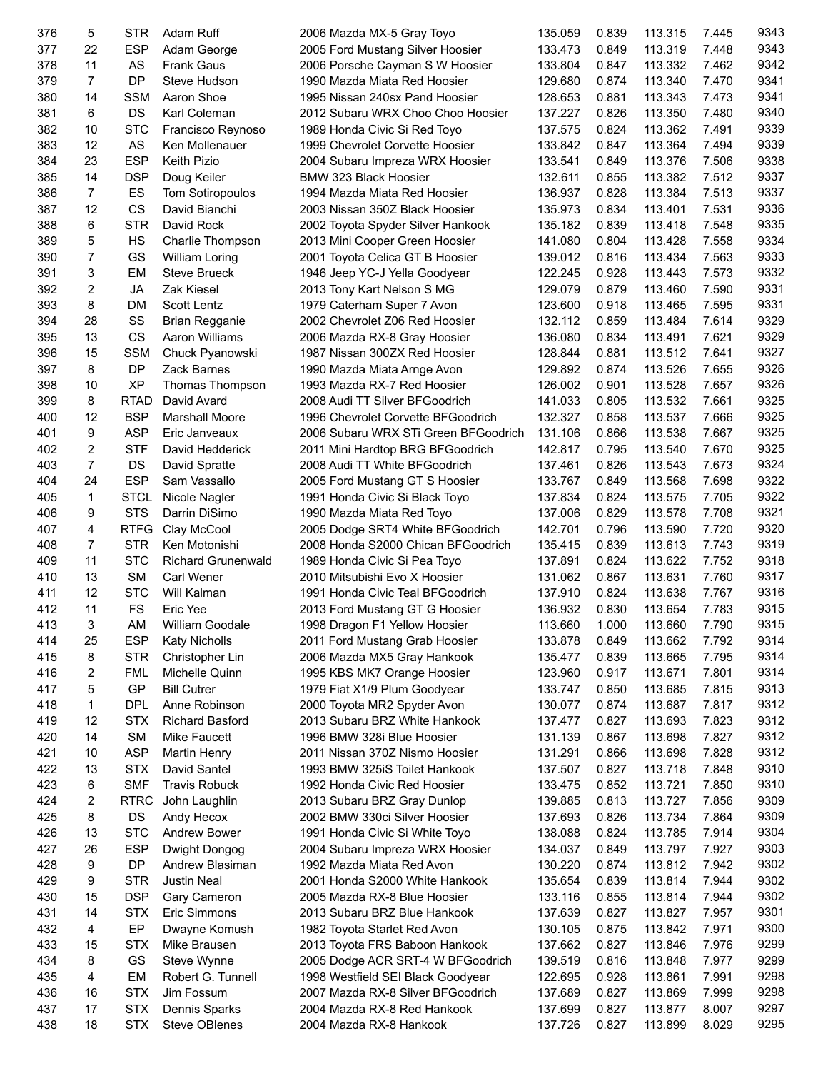| 376 | 5              | STR              | Adam Ruff              | 2006 Mazda MX-5 Gray Toyo            | 135.059 | 0.839 | 113.315 | 7.445 | 9343         |
|-----|----------------|------------------|------------------------|--------------------------------------|---------|-------|---------|-------|--------------|
| 377 | 22             | <b>ESP</b>       | Adam George            | 2005 Ford Mustang Silver Hoosier     | 133.473 | 0.849 | 113.319 | 7.448 | 9343         |
| 378 | 11             | <b>AS</b>        | <b>Frank Gaus</b>      | 2006 Porsche Cayman S W Hoosier      | 133.804 | 0.847 | 113.332 | 7.462 | 9342         |
| 379 | $\overline{7}$ | <b>DP</b>        | Steve Hudson           | 1990 Mazda Miata Red Hoosier         | 129.680 | 0.874 | 113.340 | 7.470 | 9341         |
| 380 | 14             | <b>SSM</b>       | Aaron Shoe             | 1995 Nissan 240sx Pand Hoosier       | 128.653 | 0.881 | 113.343 | 7.473 | 9341         |
| 381 | 6              | DS               | Karl Coleman           | 2012 Subaru WRX Choo Choo Hoosier    | 137.227 | 0.826 | 113.350 | 7.480 | 9340         |
| 382 | 10             | <b>STC</b>       | Francisco Reynoso      | 1989 Honda Civic Si Red Toyo         | 137.575 | 0.824 | 113.362 | 7.491 | 9339         |
| 383 | 12             | AS               | Ken Mollenauer         | 1999 Chevrolet Corvette Hoosier      | 133.842 | 0.847 | 113.364 | 7.494 | 9339         |
| 384 | 23             | <b>ESP</b>       | <b>Keith Pizio</b>     | 2004 Subaru Impreza WRX Hoosier      | 133.541 | 0.849 | 113.376 | 7.506 | 9338         |
| 385 | 14             | <b>DSP</b>       | Doug Keiler            | BMW 323 Black Hoosier                | 132.611 | 0.855 | 113.382 | 7.512 | 9337         |
| 386 | $\overline{7}$ | ES               | Tom Sotiropoulos       | 1994 Mazda Miata Red Hoosier         | 136.937 | 0.828 | 113.384 | 7.513 | 9337         |
| 387 | 12             | CS               | David Bianchi          | 2003 Nissan 350Z Black Hoosier       | 135.973 | 0.834 | 113.401 | 7.531 | 9336         |
| 388 | 6              | <b>STR</b>       | David Rock             | 2002 Toyota Spyder Silver Hankook    | 135.182 | 0.839 | 113.418 | 7.548 | 9335         |
| 389 | 5              | HS               | Charlie Thompson       | 2013 Mini Cooper Green Hoosier       | 141.080 | 0.804 | 113.428 | 7.558 | 9334         |
| 390 | $\overline{7}$ | GS               | William Loring         | 2001 Toyota Celica GT B Hoosier      | 139.012 | 0.816 | 113.434 | 7.563 | 9333         |
| 391 | 3              | EM               | <b>Steve Brueck</b>    | 1946 Jeep YC-J Yella Goodyear        | 122.245 | 0.928 | 113.443 | 7.573 | 9332         |
| 392 | $\overline{c}$ | JA               | Zak Kiesel             | 2013 Tony Kart Nelson S MG           | 129.079 | 0.879 | 113.460 | 7.590 | 9331         |
| 393 | 8              | <b>DM</b>        | Scott Lentz            | 1979 Caterham Super 7 Avon           | 123.600 | 0.918 | 113.465 | 7.595 | 9331         |
| 394 | 28             | SS               | <b>Brian Regganie</b>  | 2002 Chevrolet Z06 Red Hoosier       | 132.112 | 0.859 | 113.484 | 7.614 | 9329         |
| 395 | 13             | <b>CS</b>        | Aaron Williams         | 2006 Mazda RX-8 Gray Hoosier         | 136.080 | 0.834 | 113.491 | 7.621 | 9329         |
| 396 | 15             | <b>SSM</b>       | Chuck Pyanowski        | 1987 Nissan 300ZX Red Hoosier        | 128.844 | 0.881 | 113.512 | 7.641 | 9327         |
| 397 | 8              | <b>DP</b>        | Zack Barnes            | 1990 Mazda Miata Arnge Avon          | 129.892 | 0.874 | 113.526 | 7.655 | 9326         |
| 398 | 10             | <b>XP</b>        | Thomas Thompson        | 1993 Mazda RX-7 Red Hoosier          | 126.002 | 0.901 | 113.528 | 7.657 | 9326         |
| 399 | 8              | <b>RTAD</b>      | David Avard            | 2008 Audi TT Silver BFGoodrich       | 141.033 | 0.805 | 113.532 | 7.661 | 9325         |
| 400 | 12             | <b>BSP</b>       | <b>Marshall Moore</b>  | 1996 Chevrolet Corvette BFGoodrich   | 132.327 | 0.858 | 113.537 | 7.666 | 9325         |
| 401 | 9              | <b>ASP</b>       | Eric Janveaux          | 2006 Subaru WRX STi Green BFGoodrich | 131.106 | 0.866 | 113.538 | 7.667 | 9325         |
| 402 | $\overline{c}$ | <b>STF</b>       | David Hedderick        | 2011 Mini Hardtop BRG BFGoodrich     | 142.817 | 0.795 | 113.540 | 7.670 | 9325         |
| 403 | $\overline{7}$ | DS               | David Spratte          | 2008 Audi TT White BFGoodrich        | 137.461 | 0.826 | 113.543 | 7.673 | 9324         |
| 404 | 24             | <b>ESP</b>       | Sam Vassallo           | 2005 Ford Mustang GT S Hoosier       | 133.767 | 0.849 | 113.568 | 7.698 | 9322         |
| 405 | $\mathbf 1$    | <b>STCL</b>      | Nicole Nagler          | 1991 Honda Civic Si Black Toyo       | 137.834 | 0.824 | 113.575 | 7.705 | 9322         |
| 406 | 9              | <b>STS</b>       | Darrin DiSimo          | 1990 Mazda Miata Red Toyo            | 137.006 | 0.829 | 113.578 | 7.708 | 9321         |
| 407 | 4              | <b>RTFG</b>      | Clay McCool            | 2005 Dodge SRT4 White BFGoodrich     | 142.701 | 0.796 | 113.590 | 7.720 | 9320         |
| 408 | $\overline{7}$ | <b>STR</b>       | Ken Motonishi          | 2008 Honda S2000 Chican BFGoodrich   | 135.415 | 0.839 | 113.613 | 7.743 | 9319         |
| 409 | 11             | <b>STC</b>       | Richard Grunenwald     | 1989 Honda Civic Si Pea Toyo         | 137.891 | 0.824 | 113.622 | 7.752 | 9318         |
| 410 | 13             | <b>SM</b>        | <b>Carl Wener</b>      | 2010 Mitsubishi Evo X Hoosier        | 131.062 | 0.867 | 113.631 | 7.760 | 9317         |
| 411 | 12             | <b>STC</b>       | Will Kalman            | 1991 Honda Civic Teal BFGoodrich     | 137.910 | 0.824 | 113.638 | 7.767 | 9316         |
| 412 | 11             | <b>FS</b>        | Eric Yee               | 2013 Ford Mustang GT G Hoosier       | 136.932 | 0.830 | 113.654 | 7.783 | 9315         |
| 413 | 3              | AM               | William Goodale        | 1998 Dragon F1 Yellow Hoosier        | 113.660 | 1.000 | 113.660 | 7.790 | 9315         |
| 414 | 25             | <b>ESP</b>       | <b>Katy Nicholls</b>   | 2011 Ford Mustang Grab Hoosier       | 133.878 | 0.849 | 113.662 | 7.792 | 9314         |
| 415 | 8              | <b>STR</b>       | Christopher Lin        | 2006 Mazda MX5 Gray Hankook          | 135.477 | 0.839 | 113.665 | 7.795 | 9314         |
| 416 | 2              | <b>FML</b>       | Michelle Quinn         | 1995 KBS MK7 Orange Hoosier          | 123.960 | 0.917 | 113.671 | 7.801 | 9314         |
| 417 | 5              | GP               | <b>Bill Cutrer</b>     | 1979 Fiat X1/9 Plum Goodyear         | 133.747 | 0.850 | 113.685 | 7.815 | 9313         |
| 418 | 1              | <b>DPL</b>       | Anne Robinson          | 2000 Toyota MR2 Spyder Avon          | 130.077 | 0.874 | 113.687 | 7.817 | 9312         |
| 419 | 12             | <b>STX</b>       | <b>Richard Basford</b> | 2013 Subaru BRZ White Hankook        | 137.477 | 0.827 | 113.693 | 7.823 | 9312         |
| 420 | 14             | <b>SM</b>        | Mike Faucett           | 1996 BMW 328i Blue Hoosier           | 131.139 | 0.867 | 113.698 | 7.827 | 9312         |
| 421 | 10             | <b>ASP</b>       | Martin Henry           | 2011 Nissan 370Z Nismo Hoosier       | 131.291 | 0.866 | 113.698 | 7.828 | 9312         |
| 422 | 13             | <b>STX</b>       | David Santel           | 1993 BMW 325iS Toilet Hankook        | 137.507 | 0.827 | 113.718 | 7.848 | 9310         |
| 423 |                |                  | <b>Travis Robuck</b>   |                                      |         |       |         | 7.850 | 9310         |
| 424 | 6              | <b>SMF</b>       |                        | 1992 Honda Civic Red Hoosier         | 133.475 | 0.852 | 113.721 |       | 9309         |
|     | 2              | <b>RTRC</b>      | John Laughlin          | 2013 Subaru BRZ Gray Dunlop          | 139.885 | 0.813 | 113.727 | 7.856 |              |
| 425 | 8              | DS<br><b>STC</b> | Andy Hecox             | 2002 BMW 330ci Silver Hoosier        | 137.693 | 0.826 | 113.734 | 7.864 | 9309<br>9304 |
| 426 | 13             |                  | Andrew Bower           | 1991 Honda Civic Si White Toyo       | 138.088 | 0.824 | 113.785 | 7.914 |              |
| 427 | 26             | <b>ESP</b>       | Dwight Dongog          | 2004 Subaru Impreza WRX Hoosier      | 134.037 | 0.849 | 113.797 | 7.927 | 9303         |
| 428 | 9              | DP               | Andrew Blasiman        | 1992 Mazda Miata Red Avon            | 130.220 | 0.874 | 113.812 | 7.942 | 9302         |
| 429 | 9              | <b>STR</b>       | <b>Justin Neal</b>     | 2001 Honda S2000 White Hankook       | 135.654 | 0.839 | 113.814 | 7.944 | 9302         |
| 430 | 15             | <b>DSP</b>       | Gary Cameron           | 2005 Mazda RX-8 Blue Hoosier         | 133.116 | 0.855 | 113.814 | 7.944 | 9302         |
| 431 | 14             | <b>STX</b>       | Eric Simmons           | 2013 Subaru BRZ Blue Hankook         | 137.639 | 0.827 | 113.827 | 7.957 | 9301         |
| 432 | 4              | EP               | Dwayne Komush          | 1982 Toyota Starlet Red Avon         | 130.105 | 0.875 | 113.842 | 7.971 | 9300         |
| 433 | 15             | <b>STX</b>       | Mike Brausen           | 2013 Toyota FRS Baboon Hankook       | 137.662 | 0.827 | 113.846 | 7.976 | 9299         |
| 434 | 8              | GS               | Steve Wynne            | 2005 Dodge ACR SRT-4 W BFGoodrich    | 139.519 | 0.816 | 113.848 | 7.977 | 9299         |
| 435 | 4              | EM               | Robert G. Tunnell      | 1998 Westfield SEI Black Goodyear    | 122.695 | 0.928 | 113.861 | 7.991 | 9298         |
| 436 | 16             | <b>STX</b>       | Jim Fossum             | 2007 Mazda RX-8 Silver BFGoodrich    | 137.689 | 0.827 | 113.869 | 7.999 | 9298         |
| 437 | 17             | <b>STX</b>       | Dennis Sparks          | 2004 Mazda RX-8 Red Hankook          | 137.699 | 0.827 | 113.877 | 8.007 | 9297         |
| 438 | 18             | <b>STX</b>       | <b>Steve OBlenes</b>   | 2004 Mazda RX-8 Hankook              | 137.726 | 0.827 | 113.899 | 8.029 | 9295         |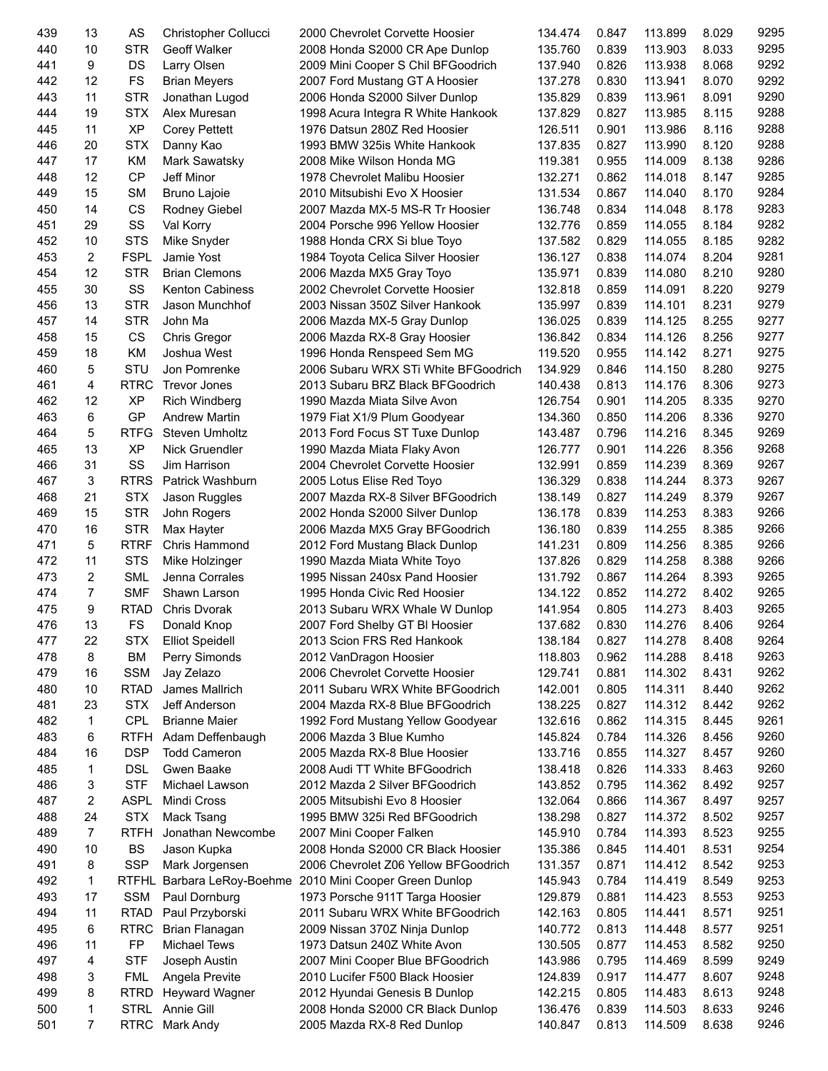| 439 | 13             | AS           | Christopher Collucci   | 2000 Chevrolet Corvette Hoosier                    | 134.474 | 0.847 | 113.899 | 8.029 | 9295 |
|-----|----------------|--------------|------------------------|----------------------------------------------------|---------|-------|---------|-------|------|
| 440 | 10             | <b>STR</b>   | <b>Geoff Walker</b>    | 2008 Honda S2000 CR Ape Dunlop                     | 135.760 | 0.839 | 113.903 | 8.033 | 9295 |
| 441 | 9              | DS           | Larry Olsen            | 2009 Mini Cooper S Chil BFGoodrich                 | 137.940 | 0.826 | 113.938 | 8.068 | 9292 |
| 442 | 12             | <b>FS</b>    | <b>Brian Meyers</b>    | 2007 Ford Mustang GT A Hoosier                     | 137.278 | 0.830 | 113.941 | 8.070 | 9292 |
| 443 | 11             | <b>STR</b>   | Jonathan Lugod         | 2006 Honda S2000 Silver Dunlop                     | 135.829 | 0.839 | 113.961 | 8.091 | 9290 |
| 444 | 19             | <b>STX</b>   | Alex Muresan           | 1998 Acura Integra R White Hankook                 | 137.829 | 0.827 | 113.985 | 8.115 | 9288 |
| 445 | 11             | <b>XP</b>    | <b>Corey Pettett</b>   | 1976 Datsun 280Z Red Hoosier                       | 126.511 | 0.901 | 113.986 | 8.116 | 9288 |
| 446 | 20             | <b>STX</b>   | Danny Kao              | 1993 BMW 325is White Hankook                       | 137.835 | 0.827 | 113.990 | 8.120 | 9288 |
| 447 | 17             | KM           | Mark Sawatsky          | 2008 Mike Wilson Honda MG                          | 119.381 | 0.955 | 114.009 | 8.138 | 9286 |
| 448 | 12             | <b>CP</b>    | Jeff Minor             | 1978 Chevrolet Malibu Hoosier                      | 132.271 | 0.862 | 114.018 | 8.147 | 9285 |
| 449 | 15             | <b>SM</b>    | <b>Bruno Lajoie</b>    | 2010 Mitsubishi Evo X Hoosier                      | 131.534 | 0.867 | 114.040 | 8.170 | 9284 |
| 450 | 14             | CS           | Rodney Giebel          | 2007 Mazda MX-5 MS-R Tr Hoosier                    | 136.748 | 0.834 | 114.048 | 8.178 | 9283 |
| 451 | 29             | SS           | Val Korry              | 2004 Porsche 996 Yellow Hoosier                    | 132.776 | 0.859 | 114.055 | 8.184 | 9282 |
| 452 | 10             | <b>STS</b>   | Mike Snyder            | 1988 Honda CRX Si blue Toyo                        | 137.582 | 0.829 | 114.055 | 8.185 | 9282 |
| 453 | $\overline{2}$ | <b>FSPL</b>  | Jamie Yost             | 1984 Toyota Celica Silver Hoosier                  | 136.127 | 0.838 | 114.074 | 8.204 | 9281 |
| 454 | 12             | <b>STR</b>   | <b>Brian Clemons</b>   | 2006 Mazda MX5 Gray Toyo                           | 135.971 | 0.839 | 114.080 | 8.210 | 9280 |
|     |                |              |                        |                                                    |         |       |         |       | 9279 |
| 455 | 30             | SS           | <b>Kenton Cabiness</b> | 2002 Chevrolet Corvette Hoosier                    | 132.818 | 0.859 | 114.091 | 8.220 |      |
| 456 | 13             | <b>STR</b>   | Jason Munchhof         | 2003 Nissan 350Z Silver Hankook                    | 135.997 | 0.839 | 114.101 | 8.231 | 9279 |
| 457 | 14             | <b>STR</b>   | John Ma                | 2006 Mazda MX-5 Gray Dunlop                        | 136.025 | 0.839 | 114.125 | 8.255 | 9277 |
| 458 | 15             | CS           | Chris Gregor           | 2006 Mazda RX-8 Gray Hoosier                       | 136.842 | 0.834 | 114.126 | 8.256 | 9277 |
| 459 | 18             | KM           | Joshua West            | 1996 Honda Renspeed Sem MG                         | 119.520 | 0.955 | 114.142 | 8.271 | 9275 |
| 460 | 5              | STU          | Jon Pomrenke           | 2006 Subaru WRX STi White BFGoodrich               | 134.929 | 0.846 | 114.150 | 8.280 | 9275 |
| 461 | 4              | <b>RTRC</b>  | <b>Trevor Jones</b>    | 2013 Subaru BRZ Black BFGoodrich                   | 140.438 | 0.813 | 114.176 | 8.306 | 9273 |
| 462 | 12             | <b>XP</b>    | <b>Rich Windberg</b>   | 1990 Mazda Miata Silve Avon                        | 126.754 | 0.901 | 114.205 | 8.335 | 9270 |
| 463 | 6              | GP           | <b>Andrew Martin</b>   | 1979 Fiat X1/9 Plum Goodyear                       | 134.360 | 0.850 | 114.206 | 8.336 | 9270 |
| 464 | 5              | <b>RTFG</b>  | <b>Steven Umholtz</b>  | 2013 Ford Focus ST Tuxe Dunlop                     | 143.487 | 0.796 | 114.216 | 8.345 | 9269 |
| 465 | 13             | <b>XP</b>    | Nick Gruendler         | 1990 Mazda Miata Flaky Avon                        | 126.777 | 0.901 | 114.226 | 8.356 | 9268 |
| 466 | 31             | SS           | Jim Harrison           | 2004 Chevrolet Corvette Hoosier                    | 132.991 | 0.859 | 114.239 | 8.369 | 9267 |
| 467 | 3              | <b>RTRS</b>  | Patrick Washburn       | 2005 Lotus Elise Red Toyo                          | 136.329 | 0.838 | 114.244 | 8.373 | 9267 |
| 468 | 21             | <b>STX</b>   | Jason Ruggles          | 2007 Mazda RX-8 Silver BFGoodrich                  | 138.149 | 0.827 | 114.249 | 8.379 | 9267 |
| 469 | 15             | <b>STR</b>   | John Rogers            | 2002 Honda S2000 Silver Dunlop                     | 136.178 | 0.839 | 114.253 | 8.383 | 9266 |
| 470 | 16             | <b>STR</b>   | Max Hayter             | 2006 Mazda MX5 Gray BFGoodrich                     | 136.180 | 0.839 | 114.255 | 8.385 | 9266 |
| 471 | 5              | <b>RTRF</b>  | Chris Hammond          | 2012 Ford Mustang Black Dunlop                     | 141.231 | 0.809 | 114.256 | 8.385 | 9266 |
| 472 | 11             | <b>STS</b>   | Mike Holzinger         | 1990 Mazda Miata White Toyo                        | 137.826 | 0.829 | 114.258 | 8.388 | 9266 |
| 473 | $\overline{2}$ | <b>SML</b>   | Jenna Corrales         | 1995 Nissan 240sx Pand Hoosier                     | 131.792 | 0.867 | 114.264 | 8.393 | 9265 |
| 474 | 7              | <b>SMF</b>   | Shawn Larson           | 1995 Honda Civic Red Hoosier                       | 134.122 | 0.852 | 114.272 | 8.402 | 9265 |
| 475 | 9              | <b>RTAD</b>  | <b>Chris Dvorak</b>    | 2013 Subaru WRX Whale W Dunlop                     | 141.954 | 0.805 | 114.273 | 8.403 | 9265 |
| 476 | 13             | FS           | Donald Knop            | 2007 Ford Shelby GT BI Hoosier                     | 137.682 | 0.830 | 114.276 | 8.406 | 9264 |
| 477 | 22             | <b>STX</b>   | <b>Elliot Speidell</b> | 2013 Scion FRS Red Hankook                         | 138.184 | 0.827 | 114.278 | 8.408 | 9264 |
| 478 | 8              | ВM           | Perry Simonds          | 2012 VanDragon Hoosier                             | 118.803 | 0.962 | 114.288 | 8.418 | 9263 |
| 479 | 16             | <b>SSM</b>   | Jay Zelazo             | 2006 Chevrolet Corvette Hoosier                    | 129.741 | 0.881 | 114.302 | 8.431 | 9262 |
| 480 | 10             | <b>RTAD</b>  | James Mallrich         | 2011 Subaru WRX White BFGoodrich                   | 142.001 | 0.805 | 114.311 | 8.440 | 9262 |
| 481 | 23             | <b>STX</b>   | Jeff Anderson          | 2004 Mazda RX-8 Blue BFGoodrich                    | 138.225 | 0.827 | 114.312 | 8.442 | 9262 |
| 482 | 1              | <b>CPL</b>   | <b>Brianne Maier</b>   |                                                    | 132.616 | 0.862 | 114.315 | 8.445 | 9261 |
| 483 |                |              |                        | 1992 Ford Mustang Yellow Goodyear                  |         |       |         |       | 9260 |
|     | 6              | <b>RTFH</b>  | Adam Deffenbaugh       | 2006 Mazda 3 Blue Kumho                            | 145.824 | 0.784 | 114.326 | 8.456 | 9260 |
| 484 | 16             | <b>DSP</b>   | <b>Todd Cameron</b>    | 2005 Mazda RX-8 Blue Hoosier                       | 133.716 | 0.855 | 114.327 | 8.457 |      |
| 485 | 1              | <b>DSL</b>   | Gwen Baake             | 2008 Audi TT White BFGoodrich                      | 138.418 | 0.826 | 114.333 | 8.463 | 9260 |
| 486 | 3              | <b>STF</b>   | Michael Lawson         | 2012 Mazda 2 Silver BFGoodrich                     | 143.852 | 0.795 | 114.362 | 8.492 | 9257 |
| 487 | $\overline{2}$ | <b>ASPL</b>  | Mindi Cross            | 2005 Mitsubishi Evo 8 Hoosier                      | 132.064 | 0.866 | 114.367 | 8.497 | 9257 |
| 488 | 24             | <b>STX</b>   | Mack Tsang             | 1995 BMW 325i Red BFGoodrich                       | 138.298 | 0.827 | 114.372 | 8.502 | 9257 |
| 489 | 7              | <b>RTFH</b>  | Jonathan Newcombe      | 2007 Mini Cooper Falken                            | 145.910 | 0.784 | 114.393 | 8.523 | 9255 |
| 490 | 10             | <b>BS</b>    | Jason Kupka            | 2008 Honda S2000 CR Black Hoosier                  | 135.386 | 0.845 | 114.401 | 8.531 | 9254 |
| 491 | 8              | <b>SSP</b>   | Mark Jorgensen         | 2006 Chevrolet Z06 Yellow BFGoodrich               | 131.357 | 0.871 | 114.412 | 8.542 | 9253 |
| 492 | 1              | <b>RTFHL</b> |                        | Barbara LeRoy-Boehme 2010 Mini Cooper Green Dunlop | 145.943 | 0.784 | 114.419 | 8.549 | 9253 |
| 493 | 17             | <b>SSM</b>   | Paul Dornburg          | 1973 Porsche 911T Targa Hoosier                    | 129.879 | 0.881 | 114.423 | 8.553 | 9253 |
| 494 | 11             | <b>RTAD</b>  | Paul Przyborski        | 2011 Subaru WRX White BFGoodrich                   | 142.163 | 0.805 | 114.441 | 8.571 | 9251 |
| 495 | 6              | <b>RTRC</b>  | Brian Flanagan         | 2009 Nissan 370Z Ninja Dunlop                      | 140.772 | 0.813 | 114.448 | 8.577 | 9251 |
| 496 | 11             | FP           | <b>Michael Tews</b>    | 1973 Datsun 240Z White Avon                        | 130.505 | 0.877 | 114.453 | 8.582 | 9250 |
| 497 | 4              | <b>STF</b>   | Joseph Austin          | 2007 Mini Cooper Blue BFGoodrich                   | 143.986 | 0.795 | 114.469 | 8.599 | 9249 |
| 498 | 3              | <b>FML</b>   | Angela Previte         | 2010 Lucifer F500 Black Hoosier                    | 124.839 | 0.917 | 114.477 | 8.607 | 9248 |
| 499 | 8              | RTRD         | <b>Heyward Wagner</b>  | 2012 Hyundai Genesis B Dunlop                      | 142.215 | 0.805 | 114.483 | 8.613 | 9248 |
| 500 | 1              | STRL         | Annie Gill             | 2008 Honda S2000 CR Black Dunlop                   | 136.476 | 0.839 | 114.503 | 8.633 | 9246 |
| 501 | 7              | RTRC         | Mark Andy              | 2005 Mazda RX-8 Red Dunlop                         | 140.847 | 0.813 | 114.509 | 8.638 | 9246 |
|     |                |              |                        |                                                    |         |       |         |       |      |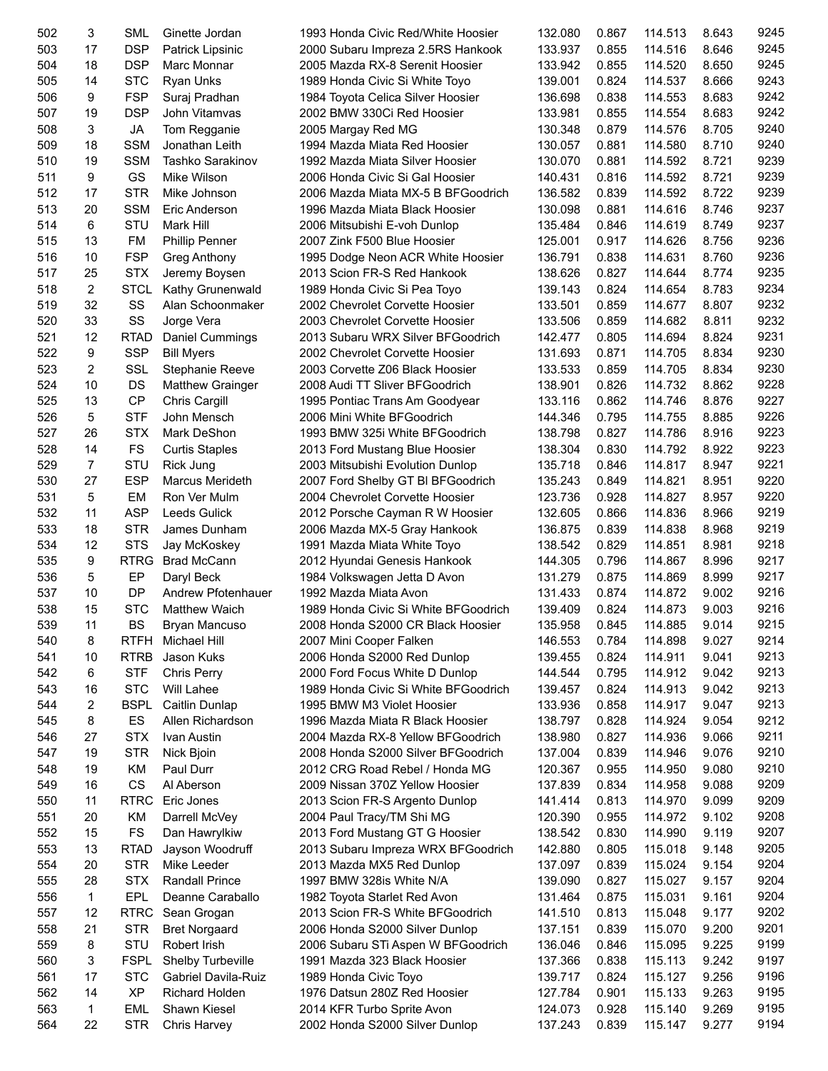| 502 | 3              | <b>SML</b>  | Ginette Jordan             | 1993 Honda Civic Red/White Hoosier                               | 132.080 | 0.867 | 114.513 | 8.643 | 9245 |
|-----|----------------|-------------|----------------------------|------------------------------------------------------------------|---------|-------|---------|-------|------|
| 503 | 17             | <b>DSP</b>  | Patrick Lipsinic           | 2000 Subaru Impreza 2.5RS Hankook                                | 133.937 | 0.855 | 114.516 | 8.646 | 9245 |
| 504 | 18             | <b>DSP</b>  | Marc Monnar                | 2005 Mazda RX-8 Serenit Hoosier                                  | 133.942 | 0.855 | 114.520 | 8.650 | 9245 |
| 505 | 14             | <b>STC</b>  | <b>Ryan Unks</b>           | 1989 Honda Civic Si White Toyo                                   | 139.001 | 0.824 | 114.537 | 8.666 | 9243 |
| 506 | 9              | <b>FSP</b>  | Suraj Pradhan              | 1984 Toyota Celica Silver Hoosier                                | 136.698 | 0.838 | 114.553 | 8.683 | 9242 |
| 507 | 19             | <b>DSP</b>  | John Vitamvas              | 2002 BMW 330Ci Red Hoosier                                       | 133.981 | 0.855 | 114.554 | 8.683 | 9242 |
| 508 | 3              | JA          | Tom Regganie               | 2005 Margay Red MG                                               | 130.348 | 0.879 | 114.576 | 8.705 | 9240 |
| 509 | 18             | <b>SSM</b>  | Jonathan Leith             | 1994 Mazda Miata Red Hoosier                                     | 130.057 | 0.881 | 114.580 | 8.710 | 9240 |
| 510 | 19             | <b>SSM</b>  | Tashko Sarakinov           | 1992 Mazda Miata Silver Hoosier                                  | 130.070 | 0.881 | 114.592 | 8.721 | 9239 |
| 511 | 9              | GS          | Mike Wilson                | 2006 Honda Civic Si Gal Hoosier                                  | 140.431 | 0.816 | 114.592 | 8.721 | 9239 |
| 512 | 17             | <b>STR</b>  | Mike Johnson               | 2006 Mazda Miata MX-5 B BFGoodrich                               | 136.582 | 0.839 | 114.592 | 8.722 | 9239 |
| 513 | 20             | <b>SSM</b>  | Eric Anderson              | 1996 Mazda Miata Black Hoosier                                   | 130.098 | 0.881 | 114.616 | 8.746 | 9237 |
| 514 | 6              | <b>STU</b>  | Mark Hill                  | 2006 Mitsubishi E-voh Dunlop                                     | 135.484 | 0.846 | 114.619 | 8.749 | 9237 |
| 515 | 13             | <b>FM</b>   | <b>Phillip Penner</b>      | 2007 Zink F500 Blue Hoosier                                      | 125.001 | 0.917 | 114.626 | 8.756 | 9236 |
| 516 | 10             | <b>FSP</b>  |                            |                                                                  | 136.791 | 0.838 | 114.631 | 8.760 | 9236 |
| 517 | 25             | <b>STX</b>  | Greg Anthony               | 1995 Dodge Neon ACR White Hoosier<br>2013 Scion FR-S Red Hankook | 138.626 | 0.827 | 114.644 | 8.774 | 9235 |
|     |                |             | Jeremy Boysen              |                                                                  |         |       |         |       | 9234 |
| 518 | $\overline{c}$ | STCL        | Kathy Grunenwald           | 1989 Honda Civic Si Pea Toyo                                     | 139.143 | 0.824 | 114.654 | 8.783 |      |
| 519 | 32             | SS          | Alan Schoonmaker           | 2002 Chevrolet Corvette Hoosier                                  | 133.501 | 0.859 | 114.677 | 8.807 | 9232 |
| 520 | 33             | SS          | Jorge Vera                 | 2003 Chevrolet Corvette Hoosier                                  | 133.506 | 0.859 | 114.682 | 8.811 | 9232 |
| 521 | 12             | <b>RTAD</b> | Daniel Cummings            | 2013 Subaru WRX Silver BFGoodrich                                | 142.477 | 0.805 | 114.694 | 8.824 | 9231 |
| 522 | 9              | <b>SSP</b>  | <b>Bill Myers</b>          | 2002 Chevrolet Corvette Hoosier                                  | 131.693 | 0.871 | 114.705 | 8.834 | 9230 |
| 523 | $\overline{2}$ | SSL         | Stephanie Reeve            | 2003 Corvette Z06 Black Hoosier                                  | 133.533 | 0.859 | 114.705 | 8.834 | 9230 |
| 524 | 10             | DS          | <b>Matthew Grainger</b>    | 2008 Audi TT Sliver BFGoodrich                                   | 138.901 | 0.826 | 114.732 | 8.862 | 9228 |
| 525 | 13             | CP          | Chris Cargill              | 1995 Pontiac Trans Am Goodyear                                   | 133.116 | 0.862 | 114.746 | 8.876 | 9227 |
| 526 | 5              | <b>STF</b>  | John Mensch                | 2006 Mini White BFGoodrich                                       | 144.346 | 0.795 | 114.755 | 8.885 | 9226 |
| 527 | 26             | <b>STX</b>  | Mark DeShon                | 1993 BMW 325i White BFGoodrich                                   | 138.798 | 0.827 | 114.786 | 8.916 | 9223 |
| 528 | 14             | FS          | <b>Curtis Staples</b>      | 2013 Ford Mustang Blue Hoosier                                   | 138.304 | 0.830 | 114.792 | 8.922 | 9223 |
| 529 | $\overline{7}$ | STU         | Rick Jung                  | 2003 Mitsubishi Evolution Dunlop                                 | 135.718 | 0.846 | 114.817 | 8.947 | 9221 |
| 530 | 27             | <b>ESP</b>  | <b>Marcus Merideth</b>     | 2007 Ford Shelby GT BI BFGoodrich                                | 135.243 | 0.849 | 114.821 | 8.951 | 9220 |
| 531 | 5              | EM          | Ron Ver Mulm               | 2004 Chevrolet Corvette Hoosier                                  | 123.736 | 0.928 | 114.827 | 8.957 | 9220 |
| 532 | 11             | <b>ASP</b>  | <b>Leeds Gulick</b>        | 2012 Porsche Cayman R W Hoosier                                  | 132.605 | 0.866 | 114.836 | 8.966 | 9219 |
| 533 | 18             | <b>STR</b>  | James Dunham               | 2006 Mazda MX-5 Gray Hankook                                     | 136.875 | 0.839 | 114.838 | 8.968 | 9219 |
| 534 | 12             | <b>STS</b>  | Jay McKoskey               | 1991 Mazda Miata White Toyo                                      | 138.542 | 0.829 | 114.851 | 8.981 | 9218 |
| 535 | 9              | <b>RTRG</b> | <b>Brad McCann</b>         | 2012 Hyundai Genesis Hankook                                     | 144.305 | 0.796 | 114.867 | 8.996 | 9217 |
| 536 | 5              | EP          | Daryl Beck                 | 1984 Volkswagen Jetta D Avon                                     | 131.279 | 0.875 | 114.869 | 8.999 | 9217 |
| 537 | 10             | DP          | Andrew Pfotenhauer         | 1992 Mazda Miata Avon                                            | 131.433 | 0.874 | 114.872 | 9.002 | 9216 |
| 538 | 15             | <b>STC</b>  | <b>Matthew Waich</b>       | 1989 Honda Civic Si White BFGoodrich                             | 139.409 | 0.824 | 114.873 | 9.003 | 9216 |
| 539 | 11             | <b>BS</b>   | Bryan Mancuso              | 2008 Honda S2000 CR Black Hoosier                                | 135.958 | 0.845 | 114.885 | 9.014 | 9215 |
| 540 | 8              | RTFH        | Michael Hill               | 2007 Mini Cooper Falken                                          | 146.553 | 0.784 | 114.898 | 9.027 | 9214 |
| 541 | 10             | <b>RTRB</b> | Jason Kuks                 | 2006 Honda S2000 Red Dunlop                                      | 139.455 | 0.824 | 114.911 | 9.041 | 9213 |
| 542 | 6              | <b>STF</b>  | <b>Chris Perry</b>         | 2000 Ford Focus White D Dunlop                                   | 144.544 | 0.795 | 114.912 | 9.042 | 9213 |
| 543 | 16             | <b>STC</b>  | Will Lahee                 | 1989 Honda Civic Si White BFGoodrich                             | 139.457 | 0.824 | 114.913 | 9.042 | 9213 |
| 544 | 2              |             | <b>BSPL</b> Caitlin Dunlap | 1995 BMW M3 Violet Hoosier                                       | 133.936 | 0.858 | 114.917 | 9.047 | 9213 |
| 545 | 8              | ES          | Allen Richardson           | 1996 Mazda Miata R Black Hoosier                                 | 138.797 | 0.828 | 114.924 | 9.054 | 9212 |
| 546 | 27             | <b>STX</b>  | Ivan Austin                | 2004 Mazda RX-8 Yellow BFGoodrich                                | 138.980 | 0.827 | 114.936 | 9.066 | 9211 |
| 547 | 19             | STR         | Nick Bjoin                 | 2008 Honda S2000 Silver BFGoodrich                               | 137.004 | 0.839 | 114.946 | 9.076 | 9210 |
| 548 | 19             | KM          | Paul Durr                  | 2012 CRG Road Rebel / Honda MG                                   | 120.367 | 0.955 | 114.950 | 9.080 | 9210 |
| 549 | 16             | CS          | Al Aberson                 | 2009 Nissan 370Z Yellow Hoosier                                  | 137.839 | 0.834 | 114.958 | 9.088 | 9209 |
| 550 | 11             | <b>RTRC</b> | Eric Jones                 | 2013 Scion FR-S Argento Dunlop                                   | 141.414 | 0.813 | 114.970 | 9.099 | 9209 |
| 551 | 20             | ΚM          | Darrell McVey              | 2004 Paul Tracy/TM Shi MG                                        | 120.390 | 0.955 | 114.972 | 9.102 | 9208 |
|     | 15             | <b>FS</b>   |                            |                                                                  |         |       |         |       | 9207 |
| 552 |                |             | Dan Hawrylkiw              | 2013 Ford Mustang GT G Hoosier                                   | 138.542 | 0.830 | 114.990 | 9.119 |      |
| 553 | 13             | <b>RTAD</b> | Jayson Woodruff            | 2013 Subaru Impreza WRX BFGoodrich                               | 142.880 | 0.805 | 115.018 | 9.148 | 9205 |
| 554 | 20             | <b>STR</b>  | Mike Leeder                | 2013 Mazda MX5 Red Dunlop                                        | 137.097 | 0.839 | 115.024 | 9.154 | 9204 |
| 555 | 28             | <b>STX</b>  | <b>Randall Prince</b>      | 1997 BMW 328is White N/A                                         | 139.090 | 0.827 | 115.027 | 9.157 | 9204 |
| 556 | 1              | EPL         | Deanne Caraballo           | 1982 Toyota Starlet Red Avon                                     | 131.464 | 0.875 | 115.031 | 9.161 | 9204 |
| 557 | 12             | <b>RTRC</b> | Sean Grogan                | 2013 Scion FR-S White BFGoodrich                                 | 141.510 | 0.813 | 115.048 | 9.177 | 9202 |
| 558 | 21             | <b>STR</b>  | <b>Bret Norgaard</b>       | 2006 Honda S2000 Silver Dunlop                                   | 137.151 | 0.839 | 115.070 | 9.200 | 9201 |
| 559 | 8              | STU         | Robert Irish               | 2006 Subaru STi Aspen W BFGoodrich                               | 136.046 | 0.846 | 115.095 | 9.225 | 9199 |
| 560 | 3              | <b>FSPL</b> | Shelby Turbeville          | 1991 Mazda 323 Black Hoosier                                     | 137.366 | 0.838 | 115.113 | 9.242 | 9197 |
| 561 | 17             | <b>STC</b>  | Gabriel Davila-Ruiz        | 1989 Honda Civic Toyo                                            | 139.717 | 0.824 | 115.127 | 9.256 | 9196 |
| 562 | 14             | <b>XP</b>   | <b>Richard Holden</b>      | 1976 Datsun 280Z Red Hoosier                                     | 127.784 | 0.901 | 115.133 | 9.263 | 9195 |
| 563 | $\mathbf{1}$   | EML         | Shawn Kiesel               | 2014 KFR Turbo Sprite Avon                                       | 124.073 | 0.928 | 115.140 | 9.269 | 9195 |
| 564 | 22             | STR         | Chris Harvey               | 2002 Honda S2000 Silver Dunlop                                   | 137.243 | 0.839 | 115.147 | 9.277 | 9194 |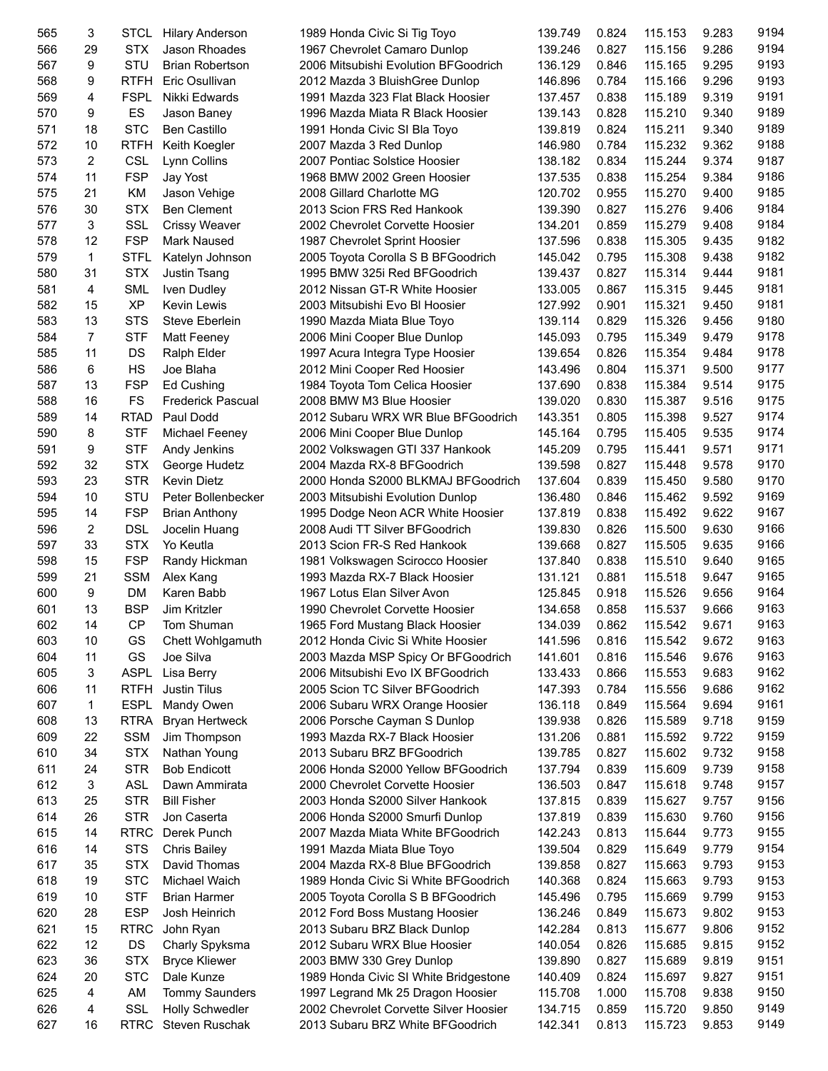| 565        | 3              | STCL        | <b>Hilary Anderson</b> | 1989 Honda Civic Si Tig Toyo           | 139.749 | 0.824 | 115.153            | 9.283 | 9194 |
|------------|----------------|-------------|------------------------|----------------------------------------|---------|-------|--------------------|-------|------|
| 566        | 29             | <b>STX</b>  | Jason Rhoades          | 1967 Chevrolet Camaro Dunlop           | 139.246 | 0.827 | 115.156            | 9.286 | 9194 |
| 567        | 9              | STU         | <b>Brian Robertson</b> | 2006 Mitsubishi Evolution BFGoodrich   | 136.129 | 0.846 | 115.165            | 9.295 | 9193 |
| 568        | 9              | <b>RTFH</b> | Eric Osullivan         | 2012 Mazda 3 BluishGree Dunlop         | 146.896 | 0.784 | 115.166            | 9.296 | 9193 |
| 569        | 4              | <b>FSPL</b> | Nikki Edwards          | 1991 Mazda 323 Flat Black Hoosier      | 137.457 | 0.838 | 115.189            | 9.319 | 9191 |
| 570        | 9              | ES          | Jason Baney            | 1996 Mazda Miata R Black Hoosier       | 139.143 | 0.828 | 115.210            | 9.340 | 9189 |
| 571        | 18             | <b>STC</b>  | <b>Ben Castillo</b>    | 1991 Honda Civic SI Bla Toyo           | 139.819 | 0.824 | 115.211            | 9.340 | 9189 |
| 572        | 10             | <b>RTFH</b> | Keith Koegler          | 2007 Mazda 3 Red Dunlop                | 146.980 | 0.784 | 115.232            | 9.362 | 9188 |
| 573        | $\overline{2}$ | <b>CSL</b>  | Lynn Collins           | 2007 Pontiac Solstice Hoosier          | 138.182 | 0.834 | 115.244            | 9.374 | 9187 |
| 574        | 11             | <b>FSP</b>  | Jay Yost               | 1968 BMW 2002 Green Hoosier            | 137.535 | 0.838 | 115.254            | 9.384 | 9186 |
| 575        | 21             | <b>KM</b>   | Jason Vehige           | 2008 Gillard Charlotte MG              | 120.702 | 0.955 | 115.270            | 9.400 | 9185 |
| 576        | 30             | <b>STX</b>  | <b>Ben Clement</b>     | 2013 Scion FRS Red Hankook             | 139.390 | 0.827 | 115.276            | 9.406 | 9184 |
| 577        | 3              | <b>SSL</b>  | Crissy Weaver          | 2002 Chevrolet Corvette Hoosier        | 134.201 | 0.859 | 115.279            | 9.408 | 9184 |
| 578        | 12             | <b>FSP</b>  | Mark Naused            | 1987 Chevrolet Sprint Hoosier          | 137.596 | 0.838 | 115.305            | 9.435 | 9182 |
| 579        | $\mathbf{1}$   | <b>STFL</b> | Katelyn Johnson        | 2005 Toyota Corolla S B BFGoodrich     | 145.042 | 0.795 | 115.308            | 9.438 | 9182 |
| 580        | 31             | <b>STX</b>  | Justin Tsang           | 1995 BMW 325i Red BFGoodrich           | 139.437 | 0.827 | 115.314            | 9.444 | 9181 |
| 581        | 4              | <b>SML</b>  |                        |                                        |         | 0.867 |                    | 9.445 | 9181 |
| 582        | 15             | <b>XP</b>   | Iven Dudley            | 2012 Nissan GT-R White Hoosier         | 133.005 |       | 115.315<br>115.321 | 9.450 | 9181 |
|            |                |             | <b>Kevin Lewis</b>     | 2003 Mitsubishi Evo BI Hoosier         | 127.992 | 0.901 |                    |       |      |
| 583        | 13             | <b>STS</b>  | Steve Eberlein         | 1990 Mazda Miata Blue Toyo             | 139.114 | 0.829 | 115.326            | 9.456 | 9180 |
| 584        | $\overline{7}$ | <b>STF</b>  | Matt Feeney            | 2006 Mini Cooper Blue Dunlop           | 145.093 | 0.795 | 115.349            | 9.479 | 9178 |
| 585        | 11             | DS          | Ralph Elder            | 1997 Acura Integra Type Hoosier        | 139.654 | 0.826 | 115.354            | 9.484 | 9178 |
| 586        | 6              | HS          | Joe Blaha              | 2012 Mini Cooper Red Hoosier           | 143.496 | 0.804 | 115.371            | 9.500 | 9177 |
| 587        | 13             | <b>FSP</b>  | Ed Cushing             | 1984 Toyota Tom Celica Hoosier         | 137.690 | 0.838 | 115.384            | 9.514 | 9175 |
| 588        | 16             | FS          | Frederick Pascual      | 2008 BMW M3 Blue Hoosier               | 139.020 | 0.830 | 115.387            | 9.516 | 9175 |
| 589        | 14             | <b>RTAD</b> | Paul Dodd              | 2012 Subaru WRX WR Blue BFGoodrich     | 143.351 | 0.805 | 115.398            | 9.527 | 9174 |
| 590        | 8              | <b>STF</b>  | Michael Feeney         | 2006 Mini Cooper Blue Dunlop           | 145.164 | 0.795 | 115.405            | 9.535 | 9174 |
| 591        | 9              | <b>STF</b>  | Andy Jenkins           | 2002 Volkswagen GTI 337 Hankook        | 145.209 | 0.795 | 115.441            | 9.571 | 9171 |
| 592        | 32             | <b>STX</b>  | George Hudetz          | 2004 Mazda RX-8 BFGoodrich             | 139.598 | 0.827 | 115.448            | 9.578 | 9170 |
| 593        | 23             | <b>STR</b>  | <b>Kevin Dietz</b>     | 2000 Honda S2000 BLKMAJ BFGoodrich     | 137.604 | 0.839 | 115.450            | 9.580 | 9170 |
| 594        | 10             | STU         | Peter Bollenbecker     | 2003 Mitsubishi Evolution Dunlop       | 136.480 | 0.846 | 115.462            | 9.592 | 9169 |
| 595        | 14             | <b>FSP</b>  | <b>Brian Anthony</b>   | 1995 Dodge Neon ACR White Hoosier      | 137.819 | 0.838 | 115.492            | 9.622 | 9167 |
| 596        | $\overline{2}$ | <b>DSL</b>  | Jocelin Huang          | 2008 Audi TT Silver BFGoodrich         | 139.830 | 0.826 | 115.500            | 9.630 | 9166 |
| 597        | 33             | <b>STX</b>  | Yo Keutla              | 2013 Scion FR-S Red Hankook            | 139.668 | 0.827 | 115.505            | 9.635 | 9166 |
| 598        | 15             | <b>FSP</b>  | Randy Hickman          | 1981 Volkswagen Scirocco Hoosier       | 137.840 | 0.838 | 115.510            | 9.640 | 9165 |
| 599        | 21             | <b>SSM</b>  | Alex Kang              | 1993 Mazda RX-7 Black Hoosier          | 131.121 | 0.881 | 115.518            | 9.647 | 9165 |
| 600        | 9              | DM          | Karen Babb             | 1967 Lotus Elan Silver Avon            | 125.845 | 0.918 | 115.526            | 9.656 | 9164 |
| 601        | 13             | <b>BSP</b>  | Jim Kritzler           | 1990 Chevrolet Corvette Hoosier        | 134.658 | 0.858 | 115.537            | 9.666 | 9163 |
| 602        | 14             | <b>CP</b>   | Tom Shuman             | 1965 Ford Mustang Black Hoosier        | 134.039 | 0.862 | 115.542            | 9.671 | 9163 |
| 603        | 10             | GS          | Chett Wohlgamuth       | 2012 Honda Civic Si White Hoosier      | 141.596 | 0.816 | 115.542            | 9.672 | 9163 |
| 604        | 11             | GS          | Joe Silva              | 2003 Mazda MSP Spicy Or BFGoodrich     | 141.601 | 0.816 | 115.546            | 9.676 | 9163 |
| 605        | 3              | <b>ASPL</b> | Lisa Berry             | 2006 Mitsubishi Evo IX BFGoodrich      | 133.433 | 0.866 | 115.553            | 9.683 | 9162 |
| 606        | 11             | <b>RTFH</b> | Justin Tilus           | 2005 Scion TC Silver BFGoodrich        | 147.393 | 0.784 | 115.556            | 9.686 | 9162 |
| 607        | 1              | <b>ESPL</b> | Mandy Owen             | 2006 Subaru WRX Orange Hoosier         | 136.118 | 0.849 | 115.564            | 9.694 | 9161 |
| 608        | 13             | <b>RTRA</b> | <b>Bryan Hertweck</b>  | 2006 Porsche Cayman S Dunlop           | 139.938 | 0.826 | 115.589            | 9.718 | 9159 |
| 609        | 22             | <b>SSM</b>  | Jim Thompson           | 1993 Mazda RX-7 Black Hoosier          | 131.206 | 0.881 | 115.592            | 9.722 | 9159 |
| 610        | 34             | <b>STX</b>  | Nathan Young           | 2013 Subaru BRZ BFGoodrich             | 139.785 | 0.827 | 115.602            | 9.732 | 9158 |
| 611        | 24             | <b>STR</b>  | <b>Bob Endicott</b>    | 2006 Honda S2000 Yellow BFGoodrich     | 137.794 | 0.839 | 115.609            | 9.739 | 9158 |
| 612        | 3              | <b>ASL</b>  | Dawn Ammirata          | 2000 Chevrolet Corvette Hoosier        | 136.503 | 0.847 | 115.618            | 9.748 | 9157 |
| 613        | 25             | <b>STR</b>  | <b>Bill Fisher</b>     | 2003 Honda S2000 Silver Hankook        | 137.815 | 0.839 | 115.627            | 9.757 | 9156 |
|            | 26             | <b>STR</b>  | Jon Caserta            |                                        |         |       |                    |       | 9156 |
| 614<br>615 |                | <b>RTRC</b> |                        | 2006 Honda S2000 Smurfi Dunlop         | 137.819 | 0.839 | 115.630            | 9.760 | 9155 |
|            | 14             |             | Derek Punch            | 2007 Mazda Miata White BFGoodrich      | 142.243 | 0.813 | 115.644            | 9.773 |      |
| 616        | 14             | <b>STS</b>  | <b>Chris Bailey</b>    | 1991 Mazda Miata Blue Toyo             | 139.504 | 0.829 | 115.649            | 9.779 | 9154 |
| 617        | 35             | <b>STX</b>  | David Thomas           | 2004 Mazda RX-8 Blue BFGoodrich        | 139.858 | 0.827 | 115.663            | 9.793 | 9153 |
| 618        | 19             | <b>STC</b>  | Michael Waich          | 1989 Honda Civic Si White BFGoodrich   | 140.368 | 0.824 | 115.663            | 9.793 | 9153 |
| 619        | 10             | <b>STF</b>  | <b>Brian Harmer</b>    | 2005 Toyota Corolla S B BFGoodrich     | 145.496 | 0.795 | 115.669            | 9.799 | 9153 |
| 620        | 28             | <b>ESP</b>  | Josh Heinrich          | 2012 Ford Boss Mustang Hoosier         | 136.246 | 0.849 | 115.673            | 9.802 | 9153 |
| 621        | 15             | <b>RTRC</b> | John Ryan              | 2013 Subaru BRZ Black Dunlop           | 142.284 | 0.813 | 115.677            | 9.806 | 9152 |
| 622        | 12             | DS          | Charly Spyksma         | 2012 Subaru WRX Blue Hoosier           | 140.054 | 0.826 | 115.685            | 9.815 | 9152 |
| 623        | 36             | <b>STX</b>  | <b>Bryce Kliewer</b>   | 2003 BMW 330 Grey Dunlop               | 139.890 | 0.827 | 115.689            | 9.819 | 9151 |
| 624        | 20             | <b>STC</b>  | Dale Kunze             | 1989 Honda Civic SI White Bridgestone  | 140.409 | 0.824 | 115.697            | 9.827 | 9151 |
| 625        | 4              | AM          | <b>Tommy Saunders</b>  | 1997 Legrand Mk 25 Dragon Hoosier      | 115.708 | 1.000 | 115.708            | 9.838 | 9150 |
| 626        | 4              | SSL         | <b>Holly Schwedler</b> | 2002 Chevrolet Corvette Silver Hoosier | 134.715 | 0.859 | 115.720            | 9.850 | 9149 |
| 627        | 16             | RTRC        | Steven Ruschak         | 2013 Subaru BRZ White BFGoodrich       | 142.341 | 0.813 | 115.723            | 9.853 | 9149 |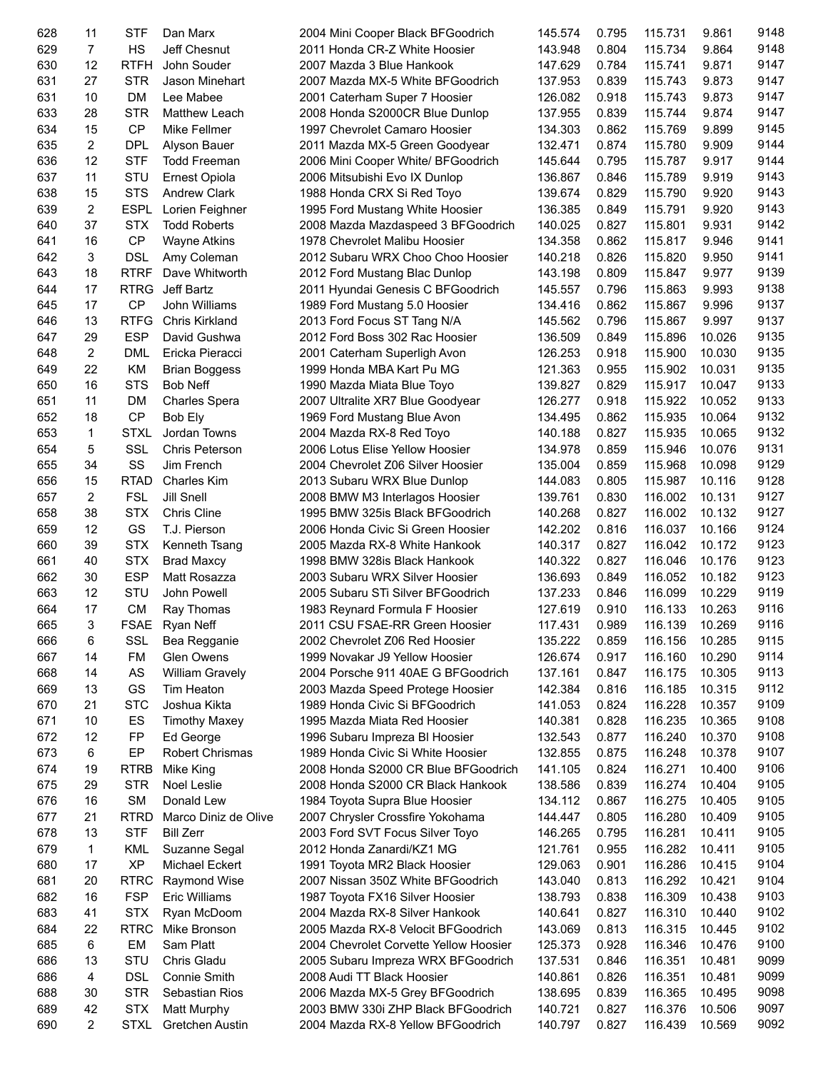| 628        | 11             | <b>STF</b>  | Dan Marx               | 2004 Mini Cooper Black BFGoodrich      | 145.574 | 0.795 | 115.731 | 9.861  | 9148 |
|------------|----------------|-------------|------------------------|----------------------------------------|---------|-------|---------|--------|------|
| 629        | $\overline{7}$ | HS          | Jeff Chesnut           | 2011 Honda CR-Z White Hoosier          | 143.948 | 0.804 | 115.734 | 9.864  | 9148 |
| 630        | 12             | <b>RTFH</b> | John Souder            | 2007 Mazda 3 Blue Hankook              | 147.629 | 0.784 | 115.741 | 9.871  | 9147 |
| 631        | 27             | <b>STR</b>  | Jason Minehart         | 2007 Mazda MX-5 White BFGoodrich       | 137.953 | 0.839 | 115.743 | 9.873  | 9147 |
| 631        | 10             | <b>DM</b>   | Lee Mabee              | 2001 Caterham Super 7 Hoosier          | 126.082 | 0.918 | 115.743 | 9.873  | 9147 |
| 633        | 28             | <b>STR</b>  | Matthew Leach          | 2008 Honda S2000CR Blue Dunlop         | 137.955 | 0.839 | 115.744 | 9.874  | 9147 |
| 634        | 15             | <b>CP</b>   | Mike Fellmer           | 1997 Chevrolet Camaro Hoosier          | 134.303 | 0.862 | 115.769 | 9.899  | 9145 |
| 635        | 2              | <b>DPL</b>  | Alyson Bauer           | 2011 Mazda MX-5 Green Goodyear         | 132.471 | 0.874 | 115.780 | 9.909  | 9144 |
| 636        | 12             | <b>STF</b>  | <b>Todd Freeman</b>    | 2006 Mini Cooper White/ BFGoodrich     | 145.644 | 0.795 | 115.787 | 9.917  | 9144 |
| 637        | 11             | STU         | Ernest Opiola          | 2006 Mitsubishi Evo IX Dunlop          | 136.867 | 0.846 | 115.789 | 9.919  | 9143 |
| 638        | 15             | <b>STS</b>  | <b>Andrew Clark</b>    | 1988 Honda CRX Si Red Toyo             | 139.674 | 0.829 | 115.790 | 9.920  | 9143 |
| 639        | 2              | <b>ESPL</b> | Lorien Feighner        | 1995 Ford Mustang White Hoosier        | 136.385 | 0.849 | 115.791 | 9.920  | 9143 |
| 640        | 37             | <b>STX</b>  | <b>Todd Roberts</b>    | 2008 Mazda Mazdaspeed 3 BFGoodrich     | 140.025 | 0.827 | 115.801 | 9.931  | 9142 |
| 641        | 16             | CP          | Wayne Atkins           | 1978 Chevrolet Malibu Hoosier          | 134.358 | 0.862 | 115.817 | 9.946  | 9141 |
| 642        | 3              | <b>DSL</b>  | Amy Coleman            | 2012 Subaru WRX Choo Choo Hoosier      | 140.218 | 0.826 | 115.820 | 9.950  | 9141 |
| 643        | 18             | <b>RTRF</b> | Dave Whitworth         | 2012 Ford Mustang Blac Dunlop          | 143.198 | 0.809 | 115.847 | 9.977  | 9139 |
| 644        | 17             | <b>RTRG</b> | Jeff Bartz             | 2011 Hyundai Genesis C BFGoodrich      | 145.557 | 0.796 | 115.863 | 9.993  | 9138 |
| 645        | 17             | <b>CP</b>   | John Williams          | 1989 Ford Mustang 5.0 Hoosier          | 134.416 | 0.862 | 115.867 | 9.996  | 9137 |
| 646        | 13             | <b>RTFG</b> | <b>Chris Kirkland</b>  | 2013 Ford Focus ST Tang N/A            | 145.562 | 0.796 | 115.867 | 9.997  | 9137 |
| 647        | 29             | <b>ESP</b>  | David Gushwa           | 2012 Ford Boss 302 Rac Hoosier         | 136.509 | 0.849 | 115.896 | 10.026 | 9135 |
| 648        | 2              | <b>DML</b>  | Ericka Pieracci        | 2001 Caterham Superligh Avon           | 126.253 | 0.918 | 115.900 | 10.030 | 9135 |
| 649        | 22             | KM          | <b>Brian Boggess</b>   | 1999 Honda MBA Kart Pu MG              | 121.363 | 0.955 | 115.902 | 10.031 | 9135 |
| 650        | 16             | <b>STS</b>  | Bob Neff               | 1990 Mazda Miata Blue Toyo             | 139.827 | 0.829 | 115.917 | 10.047 | 9133 |
|            | 11             | <b>DM</b>   |                        |                                        |         |       | 115.922 | 10.052 | 9133 |
| 651<br>652 | 18             | CP          | <b>Charles Spera</b>   | 2007 Ultralite XR7 Blue Goodyear       | 126.277 | 0.918 |         |        | 9132 |
|            |                |             | Bob Ely                | 1969 Ford Mustang Blue Avon            | 134.495 | 0.862 | 115.935 | 10.064 |      |
| 653        | $\mathbf{1}$   | <b>STXL</b> | Jordan Towns           | 2004 Mazda RX-8 Red Toyo               | 140.188 | 0.827 | 115.935 | 10.065 | 9132 |
| 654        | 5              | SSL         | <b>Chris Peterson</b>  | 2006 Lotus Elise Yellow Hoosier        | 134.978 | 0.859 | 115.946 | 10.076 | 9131 |
| 655        | 34             | SS          | Jim French             | 2004 Chevrolet Z06 Silver Hoosier      | 135.004 | 0.859 | 115.968 | 10.098 | 9129 |
| 656        | 15             | <b>RTAD</b> | <b>Charles Kim</b>     | 2013 Subaru WRX Blue Dunlop            | 144.083 | 0.805 | 115.987 | 10.116 | 9128 |
| 657        | 2              | <b>FSL</b>  | <b>Jill Snell</b>      | 2008 BMW M3 Interlagos Hoosier         | 139.761 | 0.830 | 116.002 | 10.131 | 9127 |
| 658        | 38             | <b>STX</b>  | Chris Cline            | 1995 BMW 325is Black BFGoodrich        | 140.268 | 0.827 | 116.002 | 10.132 | 9127 |
| 659        | 12             | GS          | T.J. Pierson           | 2006 Honda Civic Si Green Hoosier      | 142.202 | 0.816 | 116.037 | 10.166 | 9124 |
| 660        | 39             | <b>STX</b>  | Kenneth Tsang          | 2005 Mazda RX-8 White Hankook          | 140.317 | 0.827 | 116.042 | 10.172 | 9123 |
| 661        | 40             | <b>STX</b>  | <b>Brad Maxcy</b>      | 1998 BMW 328is Black Hankook           | 140.322 | 0.827 | 116.046 | 10.176 | 9123 |
| 662        | 30             | <b>ESP</b>  | Matt Rosazza           | 2003 Subaru WRX Silver Hoosier         | 136.693 | 0.849 | 116.052 | 10.182 | 9123 |
| 663        | 12             | STU         | John Powell            | 2005 Subaru STi Silver BFGoodrich      | 137.233 | 0.846 | 116.099 | 10.229 | 9119 |
| 664        | 17             | <b>CM</b>   | Ray Thomas             | 1983 Reynard Formula F Hoosier         | 127.619 | 0.910 | 116.133 | 10.263 | 9116 |
| 665        | 3              | FSAE        | Ryan Neff              | 2011 CSU FSAE-RR Green Hoosier         | 117.431 | 0.989 | 116.139 | 10.269 | 9116 |
| 666        | 6              | SSL         | Bea Regganie           | 2002 Chevrolet Z06 Red Hoosier         | 135.222 | 0.859 | 116.156 | 10.285 | 9115 |
| 667        | 14             | FM          | Glen Owens             | 1999 Novakar J9 Yellow Hoosier         | 126.674 | 0.917 | 116.160 | 10.290 | 9114 |
| 668        | 14             | AS          | <b>William Gravely</b> | 2004 Porsche 911 40AE G BFGoodrich     | 137.161 | 0.847 | 116.175 | 10.305 | 9113 |
| 669        | 13             | GS          | Tim Heaton             | 2003 Mazda Speed Protege Hoosier       | 142.384 | 0.816 | 116.185 | 10.315 | 9112 |
| 670        | 21             | <b>STC</b>  | Joshua Kikta           | 1989 Honda Civic Si BFGoodrich         | 141.053 | 0.824 | 116.228 | 10.357 | 9109 |
| 671        | 10             | ES          | <b>Timothy Maxey</b>   | 1995 Mazda Miata Red Hoosier           | 140.381 | 0.828 | 116.235 | 10.365 | 9108 |
| 672        | 12             | FP          | Ed George              | 1996 Subaru Impreza BI Hoosier         | 132.543 | 0.877 | 116.240 | 10.370 | 9108 |
| 673        | 6              | EP          | Robert Chrismas        | 1989 Honda Civic Si White Hoosier      | 132.855 | 0.875 | 116.248 | 10.378 | 9107 |
| 674        | 19             | <b>RTRB</b> | Mike King              | 2008 Honda S2000 CR Blue BFGoodrich    | 141.105 | 0.824 | 116.271 | 10.400 | 9106 |
| 675        | 29             | <b>STR</b>  | <b>Noel Leslie</b>     | 2008 Honda S2000 CR Black Hankook      | 138.586 | 0.839 | 116.274 | 10.404 | 9105 |
| 676        | 16             | <b>SM</b>   | Donald Lew             | 1984 Toyota Supra Blue Hoosier         | 134.112 | 0.867 | 116.275 | 10.405 | 9105 |
| 677        | 21             | <b>RTRD</b> | Marco Diniz de Olive   | 2007 Chrysler Crossfire Yokohama       | 144.447 | 0.805 | 116.280 | 10.409 | 9105 |
| 678        | 13             | <b>STF</b>  | <b>Bill Zerr</b>       | 2003 Ford SVT Focus Silver Toyo        | 146.265 | 0.795 | 116.281 | 10.411 | 9105 |
| 679        | 1              | KML         | Suzanne Segal          | 2012 Honda Zanardi/KZ1 MG              | 121.761 | 0.955 | 116.282 | 10.411 | 9105 |
| 680        | 17             | <b>XP</b>   | Michael Eckert         | 1991 Toyota MR2 Black Hoosier          | 129.063 | 0.901 | 116.286 | 10.415 | 9104 |
| 681        | 20             | <b>RTRC</b> | Raymond Wise           | 2007 Nissan 350Z White BFGoodrich      | 143.040 | 0.813 | 116.292 | 10.421 | 9104 |
| 682        | 16             | <b>FSP</b>  | <b>Eric Williams</b>   | 1987 Toyota FX16 Silver Hoosier        | 138.793 | 0.838 | 116.309 | 10.438 | 9103 |
| 683        | 41             | <b>STX</b>  | Ryan McDoom            | 2004 Mazda RX-8 Silver Hankook         | 140.641 | 0.827 | 116.310 | 10.440 | 9102 |
| 684        | 22             | <b>RTRC</b> | Mike Bronson           | 2005 Mazda RX-8 Velocit BFGoodrich     | 143.069 | 0.813 | 116.315 | 10.445 | 9102 |
| 685        | 6              | EM          | Sam Platt              | 2004 Chevrolet Corvette Yellow Hoosier | 125.373 | 0.928 | 116.346 | 10.476 | 9100 |
| 686        | 13             | STU         | Chris Gladu            | 2005 Subaru Impreza WRX BFGoodrich     | 137.531 | 0.846 | 116.351 | 10.481 | 9099 |
| 686        | 4              | <b>DSL</b>  | Connie Smith           | 2008 Audi TT Black Hoosier             | 140.861 | 0.826 | 116.351 | 10.481 | 9099 |
| 688        | 30             | <b>STR</b>  | Sebastian Rios         | 2006 Mazda MX-5 Grey BFGoodrich        | 138.695 | 0.839 | 116.365 | 10.495 | 9098 |
| 689        | 42             | <b>STX</b>  | <b>Matt Murphy</b>     | 2003 BMW 330i ZHP Black BFGoodrich     | 140.721 | 0.827 | 116.376 | 10.506 | 9097 |
| 690        | 2              | <b>STXL</b> | Gretchen Austin        | 2004 Mazda RX-8 Yellow BFGoodrich      | 140.797 | 0.827 | 116.439 | 10.569 | 9092 |
|            |                |             |                        |                                        |         |       |         |        |      |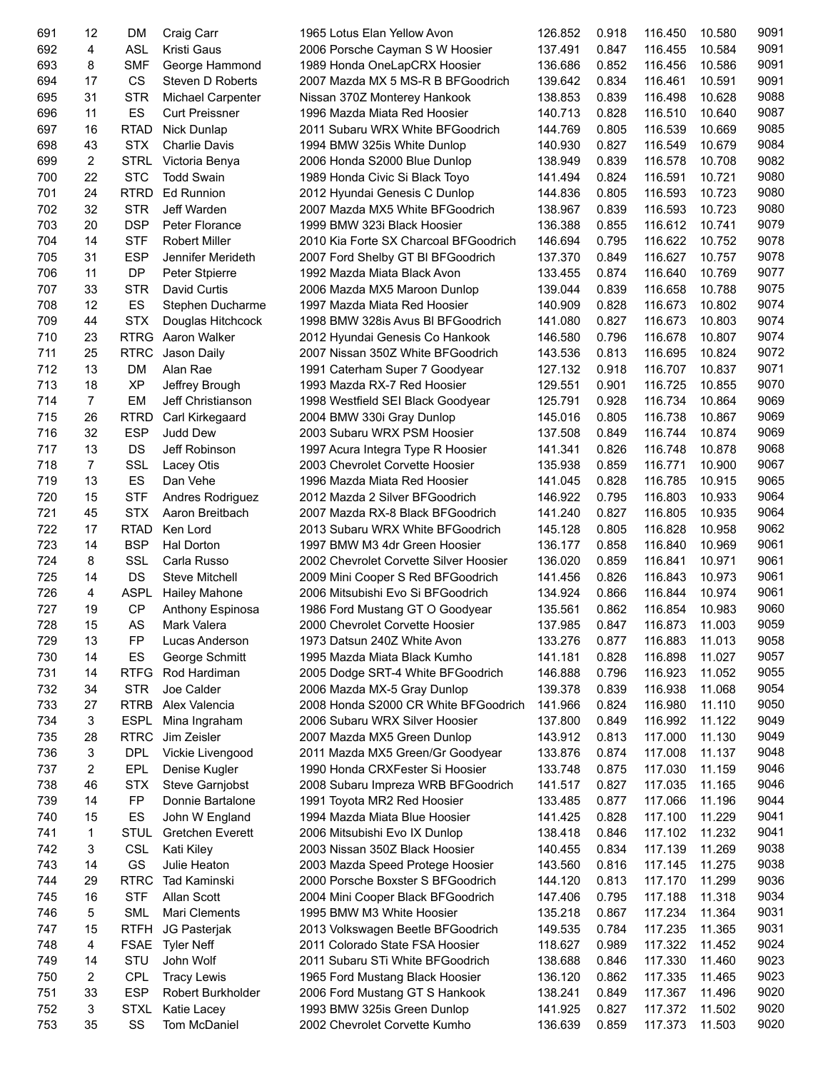| 691 | 12             | DM          | Craig Carr              | 1965 Lotus Elan Yellow Avon            | 126.852 | 0.918 | 116.450 | 10.580 | 9091 |
|-----|----------------|-------------|-------------------------|----------------------------------------|---------|-------|---------|--------|------|
| 692 | 4              | <b>ASL</b>  | Kristi Gaus             | 2006 Porsche Cayman S W Hoosier        | 137.491 | 0.847 | 116.455 | 10.584 | 9091 |
| 693 | 8              | <b>SMF</b>  | George Hammond          | 1989 Honda OneLapCRX Hoosier           | 136.686 | 0.852 | 116.456 | 10.586 | 9091 |
| 694 | 17             | CS          | Steven D Roberts        | 2007 Mazda MX 5 MS-R B BFGoodrich      | 139.642 | 0.834 | 116.461 | 10.591 | 9091 |
| 695 | 31             | <b>STR</b>  | Michael Carpenter       | Nissan 370Z Monterey Hankook           | 138.853 | 0.839 | 116.498 | 10.628 | 9088 |
| 696 | 11             | ES          | <b>Curt Preissner</b>   | 1996 Mazda Miata Red Hoosier           | 140.713 | 0.828 | 116.510 | 10.640 | 9087 |
| 697 | 16             | <b>RTAD</b> | Nick Dunlap             | 2011 Subaru WRX White BFGoodrich       | 144.769 | 0.805 | 116.539 | 10.669 | 9085 |
| 698 | 43             | <b>STX</b>  | <b>Charlie Davis</b>    | 1994 BMW 325is White Dunlop            | 140.930 | 0.827 | 116.549 | 10.679 | 9084 |
| 699 | 2              | <b>STRL</b> | Victoria Benya          | 2006 Honda S2000 Blue Dunlop           | 138.949 | 0.839 | 116.578 | 10.708 | 9082 |
| 700 | 22             | <b>STC</b>  | <b>Todd Swain</b>       |                                        | 141.494 | 0.824 |         | 10.721 | 9080 |
|     |                |             |                         | 1989 Honda Civic Si Black Toyo         |         |       | 116.591 |        |      |
| 701 | 24             | <b>RTRD</b> | <b>Ed Runnion</b>       | 2012 Hyundai Genesis C Dunlop          | 144.836 | 0.805 | 116.593 | 10.723 | 9080 |
| 702 | 32             | <b>STR</b>  | Jeff Warden             | 2007 Mazda MX5 White BFGoodrich        | 138.967 | 0.839 | 116.593 | 10.723 | 9080 |
| 703 | 20             | <b>DSP</b>  | Peter Florance          | 1999 BMW 323i Black Hoosier            | 136.388 | 0.855 | 116.612 | 10.741 | 9079 |
| 704 | 14             | <b>STF</b>  | <b>Robert Miller</b>    | 2010 Kia Forte SX Charcoal BFGoodrich  | 146.694 | 0.795 | 116.622 | 10.752 | 9078 |
| 705 | 31             | <b>ESP</b>  | Jennifer Merideth       | 2007 Ford Shelby GT BI BFGoodrich      | 137.370 | 0.849 | 116.627 | 10.757 | 9078 |
| 706 | 11             | <b>DP</b>   | Peter Stpierre          | 1992 Mazda Miata Black Avon            | 133.455 | 0.874 | 116.640 | 10.769 | 9077 |
| 707 | 33             | <b>STR</b>  | David Curtis            | 2006 Mazda MX5 Maroon Dunlop           | 139.044 | 0.839 | 116.658 | 10.788 | 9075 |
| 708 | 12             | ES          | Stephen Ducharme        | 1997 Mazda Miata Red Hoosier           | 140.909 | 0.828 | 116.673 | 10.802 | 9074 |
| 709 | 44             | <b>STX</b>  | Douglas Hitchcock       | 1998 BMW 328is Avus BI BFGoodrich      | 141.080 | 0.827 | 116.673 | 10.803 | 9074 |
| 710 | 23             | <b>RTRG</b> | Aaron Walker            | 2012 Hyundai Genesis Co Hankook        | 146.580 | 0.796 | 116.678 | 10.807 | 9074 |
| 711 | 25             | <b>RTRC</b> | Jason Daily             | 2007 Nissan 350Z White BFGoodrich      | 143.536 | 0.813 | 116.695 | 10.824 | 9072 |
| 712 | 13             | <b>DM</b>   | Alan Rae                | 1991 Caterham Super 7 Goodyear         | 127.132 | 0.918 | 116.707 | 10.837 | 9071 |
| 713 | 18             | <b>XP</b>   | Jeffrey Brough          | 1993 Mazda RX-7 Red Hoosier            | 129.551 | 0.901 | 116.725 | 10.855 | 9070 |
| 714 | 7              | EM          | Jeff Christianson       | 1998 Westfield SEI Black Goodyear      | 125.791 | 0.928 | 116.734 | 10.864 | 9069 |
| 715 | 26             | <b>RTRD</b> | Carl Kirkegaard         | 2004 BMW 330i Gray Dunlop              | 145.016 | 0.805 | 116.738 | 10.867 | 9069 |
| 716 | 32             | <b>ESP</b>  | Judd Dew                | 2003 Subaru WRX PSM Hoosier            | 137.508 | 0.849 | 116.744 | 10.874 | 9069 |
|     |                |             |                         |                                        |         |       |         |        | 9068 |
| 717 | 13             | DS          | Jeff Robinson           | 1997 Acura Integra Type R Hoosier      | 141.341 | 0.826 | 116.748 | 10.878 |      |
| 718 | $\overline{7}$ | <b>SSL</b>  | Lacey Otis              | 2003 Chevrolet Corvette Hoosier        | 135.938 | 0.859 | 116.771 | 10.900 | 9067 |
| 719 | 13             | ES          | Dan Vehe                | 1996 Mazda Miata Red Hoosier           | 141.045 | 0.828 | 116.785 | 10.915 | 9065 |
| 720 | 15             | <b>STF</b>  | Andres Rodriguez        | 2012 Mazda 2 Silver BFGoodrich         | 146.922 | 0.795 | 116.803 | 10.933 | 9064 |
| 721 | 45             | <b>STX</b>  | Aaron Breitbach         | 2007 Mazda RX-8 Black BFGoodrich       | 141.240 | 0.827 | 116.805 | 10.935 | 9064 |
| 722 | 17             | <b>RTAD</b> | Ken Lord                | 2013 Subaru WRX White BFGoodrich       | 145.128 | 0.805 | 116.828 | 10.958 | 9062 |
| 723 | 14             | <b>BSP</b>  | Hal Dorton              | 1997 BMW M3 4dr Green Hoosier          | 136.177 | 0.858 | 116.840 | 10.969 | 9061 |
| 724 | 8              | SSL         | Carla Russo             | 2002 Chevrolet Corvette Silver Hoosier | 136.020 | 0.859 | 116.841 | 10.971 | 9061 |
| 725 | 14             | <b>DS</b>   | <b>Steve Mitchell</b>   | 2009 Mini Cooper S Red BFGoodrich      | 141.456 | 0.826 | 116.843 | 10.973 | 9061 |
| 726 | 4              | <b>ASPL</b> | <b>Hailey Mahone</b>    | 2006 Mitsubishi Evo Si BFGoodrich      | 134.924 | 0.866 | 116.844 | 10.974 | 9061 |
| 727 | 19             | <b>CP</b>   | Anthony Espinosa        | 1986 Ford Mustang GT O Goodyear        | 135.561 | 0.862 | 116.854 | 10.983 | 9060 |
| 728 | 15             | AS          | Mark Valera             | 2000 Chevrolet Corvette Hoosier        | 137.985 | 0.847 | 116.873 | 11.003 | 9059 |
| 729 | 13             | FP          | Lucas Anderson          | 1973 Datsun 240Z White Avon            | 133.276 | 0.877 | 116.883 | 11.013 | 9058 |
| 730 | 14             | ES          | George Schmitt          | 1995 Mazda Miata Black Kumho           | 141.181 | 0.828 | 116.898 | 11.027 | 9057 |
| 731 | 14             | <b>RTFG</b> | Rod Hardiman            | 2005 Dodge SRT-4 White BFGoodrich      | 146.888 | 0.796 | 116.923 | 11.052 | 9055 |
| 732 | 34             | <b>STR</b>  | Joe Calder              | 2006 Mazda MX-5 Gray Dunlop            | 139.378 | 0.839 | 116.938 | 11.068 | 9054 |
|     |                |             |                         |                                        |         |       |         |        | 9050 |
| 733 | 27             | <b>RTRB</b> | Alex Valencia           | 2008 Honda S2000 CR White BFGoodrich   | 141.966 | 0.824 | 116.980 | 11.110 |      |
| 734 | 3              | <b>ESPL</b> | Mina Ingraham           | 2006 Subaru WRX Silver Hoosier         | 137.800 | 0.849 | 116.992 | 11.122 | 9049 |
| 735 | 28             | <b>RTRC</b> | Jim Zeisler             | 2007 Mazda MX5 Green Dunlop            | 143.912 | 0.813 | 117.000 | 11.130 | 9049 |
| 736 | 3              | <b>DPL</b>  | Vickie Livengood        | 2011 Mazda MX5 Green/Gr Goodyear       | 133.876 | 0.874 | 117.008 | 11.137 | 9048 |
| 737 | 2              | EPL         | Denise Kugler           | 1990 Honda CRXFester Si Hoosier        | 133.748 | 0.875 | 117.030 | 11.159 | 9046 |
| 738 | 46             | <b>STX</b>  | Steve Garnjobst         | 2008 Subaru Impreza WRB BFGoodrich     | 141.517 | 0.827 | 117.035 | 11.165 | 9046 |
| 739 | 14             | <b>FP</b>   | Donnie Bartalone        | 1991 Toyota MR2 Red Hoosier            | 133.485 | 0.877 | 117.066 | 11.196 | 9044 |
| 740 | 15             | ES          | John W England          | 1994 Mazda Miata Blue Hoosier          | 141.425 | 0.828 | 117.100 | 11.229 | 9041 |
| 741 | 1              | <b>STUL</b> | <b>Gretchen Everett</b> | 2006 Mitsubishi Evo IX Dunlop          | 138.418 | 0.846 | 117.102 | 11.232 | 9041 |
| 742 | 3              | <b>CSL</b>  | Kati Kiley              | 2003 Nissan 350Z Black Hoosier         | 140.455 | 0.834 | 117.139 | 11.269 | 9038 |
| 743 | 14             | GS          | Julie Heaton            | 2003 Mazda Speed Protege Hoosier       | 143.560 | 0.816 | 117.145 | 11.275 | 9038 |
| 744 | 29             | <b>RTRC</b> | <b>Tad Kaminski</b>     | 2000 Porsche Boxster S BFGoodrich      | 144.120 | 0.813 | 117.170 | 11.299 | 9036 |
| 745 | 16             | <b>STF</b>  | Allan Scott             | 2004 Mini Cooper Black BFGoodrich      | 147.406 | 0.795 | 117.188 | 11.318 | 9034 |
| 746 | 5              | <b>SML</b>  | Mari Clements           | 1995 BMW M3 White Hoosier              | 135.218 | 0.867 | 117.234 | 11.364 | 9031 |
| 747 | 15             | <b>RTFH</b> | JG Pasterjak            | 2013 Volkswagen Beetle BFGoodrich      | 149.535 | 0.784 | 117.235 | 11.365 | 9031 |
| 748 | 4              | <b>FSAE</b> | <b>Tyler Neff</b>       | 2011 Colorado State FSA Hoosier        | 118.627 | 0.989 | 117.322 | 11.452 | 9024 |
| 749 | 14             | STU         | John Wolf               | 2011 Subaru STi White BFGoodrich       | 138.688 | 0.846 | 117.330 | 11.460 | 9023 |
|     |                | <b>CPL</b>  |                         |                                        |         |       |         |        | 9023 |
| 750 | 2              |             | <b>Tracy Lewis</b>      | 1965 Ford Mustang Black Hoosier        | 136.120 | 0.862 | 117.335 | 11.465 |      |
| 751 | 33             | <b>ESP</b>  | Robert Burkholder       | 2006 Ford Mustang GT S Hankook         | 138.241 | 0.849 | 117.367 | 11.496 | 9020 |
| 752 | 3              | <b>STXL</b> | Katie Lacey             | 1993 BMW 325is Green Dunlop            | 141.925 | 0.827 | 117.372 | 11.502 | 9020 |
| 753 | 35             | SS          | Tom McDaniel            | 2002 Chevrolet Corvette Kumho          | 136.639 | 0.859 | 117.373 | 11.503 | 9020 |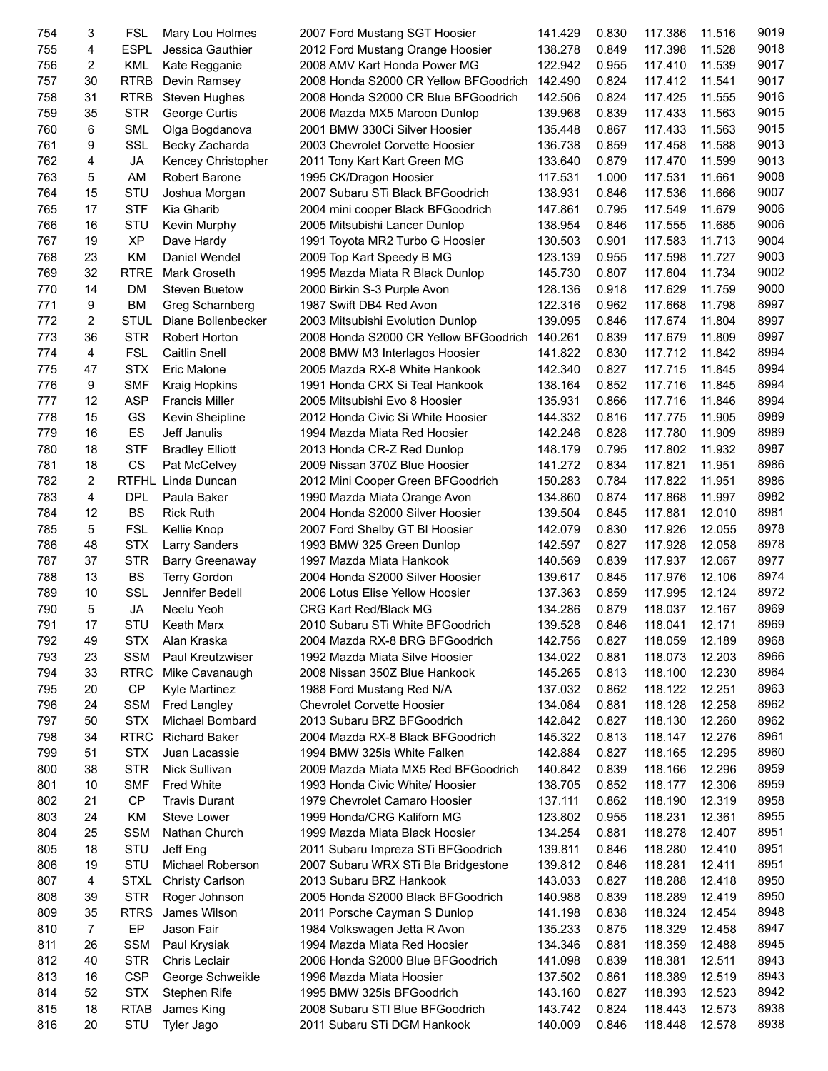| 754        | 3                    | <b>FSL</b>                | Mary Lou Holmes                         | 2007 Ford Mustang SGT Hoosier                                | 141.429            | 0.830          | 117.386            | 11.516           | 9019         |
|------------|----------------------|---------------------------|-----------------------------------------|--------------------------------------------------------------|--------------------|----------------|--------------------|------------------|--------------|
| 755        | 4                    | <b>ESPL</b>               | Jessica Gauthier                        | 2012 Ford Mustang Orange Hoosier                             | 138.278            | 0.849          | 117.398            | 11.528           | 9018         |
| 756        | $\overline{2}$       | <b>KML</b>                | Kate Regganie                           | 2008 AMV Kart Honda Power MG                                 | 122.942            | 0.955          | 117.410            | 11.539           | 9017         |
| 757        | 30                   | <b>RTRB</b>               | Devin Ramsey                            | 2008 Honda S2000 CR Yellow BFGoodrich                        | 142.490            | 0.824          | 117.412            | 11.541           | 9017         |
| 758        | 31                   | <b>RTRB</b>               | Steven Hughes                           | 2008 Honda S2000 CR Blue BFGoodrich                          | 142.506            | 0.824          | 117.425            | 11.555           | 9016         |
| 759        | 35                   | <b>STR</b>                | George Curtis                           | 2006 Mazda MX5 Maroon Dunlop                                 | 139.968            | 0.839          | 117.433            | 11.563           | 9015         |
| 760        | 6                    | <b>SML</b>                | Olga Bogdanova                          | 2001 BMW 330Ci Silver Hoosier                                | 135.448            | 0.867          | 117.433            | 11.563           | 9015         |
| 761        | 9                    | <b>SSL</b>                | Becky Zacharda                          | 2003 Chevrolet Corvette Hoosier                              | 136.738            | 0.859          | 117.458            | 11.588           | 9013         |
| 762        | 4                    | <b>JA</b>                 | Kencey Christopher                      | 2011 Tony Kart Kart Green MG                                 | 133.640            | 0.879          | 117.470            | 11.599           | 9013         |
| 763        | 5                    | AM                        | <b>Robert Barone</b>                    | 1995 CK/Dragon Hoosier                                       | 117.531            | 1.000          | 117.531            | 11.661           | 9008         |
| 764        | 15                   | STU                       | Joshua Morgan                           | 2007 Subaru STi Black BFGoodrich                             | 138.931            | 0.846          | 117.536            | 11.666           | 9007         |
| 765        | 17                   | <b>STF</b>                | Kia Gharib                              | 2004 mini cooper Black BFGoodrich                            | 147.861            | 0.795          | 117.549            | 11.679           | 9006         |
| 766        | 16                   | STU                       | Kevin Murphy                            | 2005 Mitsubishi Lancer Dunlop                                | 138.954            | 0.846          | 117.555            | 11.685           | 9006         |
| 767        | 19                   | <b>XP</b>                 | Dave Hardy                              | 1991 Toyota MR2 Turbo G Hoosier                              | 130.503            | 0.901          | 117.583            | 11.713           | 9004         |
| 768        | 23                   | <b>KM</b>                 | Daniel Wendel                           | 2009 Top Kart Speedy B MG                                    | 123.139            | 0.955          | 117.598            | 11.727           | 9003         |
| 769        | 32                   | <b>RTRE</b>               | Mark Groseth                            | 1995 Mazda Miata R Black Dunlop                              | 145.730            | 0.807          | 117.604            | 11.734           | 9002         |
| 770        | 14                   | DM                        | <b>Steven Buetow</b>                    | 2000 Birkin S-3 Purple Avon                                  | 128.136            | 0.918          | 117.629            | 11.759           | 9000         |
| 771        | 9                    | <b>BM</b>                 | Greg Scharnberg                         | 1987 Swift DB4 Red Avon                                      | 122.316            | 0.962          | 117.668            | 11.798           | 8997         |
| 772        | $\overline{2}$       | <b>STUL</b>               | Diane Bollenbecker                      | 2003 Mitsubishi Evolution Dunlop                             | 139.095            | 0.846          | 117.674            | 11.804           | 8997         |
| 773        | 36                   | <b>STR</b>                | Robert Horton                           | 2008 Honda S2000 CR Yellow BFGoodrich                        | 140.261            | 0.839          | 117.679            | 11.809           | 8997         |
| 774        | 4                    | <b>FSL</b>                | Caitlin Snell                           | 2008 BMW M3 Interlagos Hoosier                               | 141.822            | 0.830          | 117.712            | 11.842           | 8994         |
| 775        | 47                   | <b>STX</b>                | Eric Malone                             | 2005 Mazda RX-8 White Hankook                                | 142.340            | 0.827          | 117.715            | 11.845           | 8994         |
| 776        | 9                    | <b>SMF</b>                | Kraig Hopkins                           | 1991 Honda CRX Si Teal Hankook                               | 138.164            | 0.852          | 117.716            | 11.845           | 8994         |
| 777        | 12                   | <b>ASP</b>                | <b>Francis Miller</b>                   | 2005 Mitsubishi Evo 8 Hoosier                                | 135.931            | 0.866          | 117.716            | 11.846           | 8994         |
| 778        | 15                   | GS                        | Kevin Sheipline                         | 2012 Honda Civic Si White Hoosier                            | 144.332            | 0.816          | 117.775            | 11.905           | 8989         |
| 779        | 16                   | ES                        | Jeff Janulis                            | 1994 Mazda Miata Red Hoosier                                 | 142.246            | 0.828          | 117.780            | 11.909           | 8989         |
| 780        | 18                   | <b>STF</b>                | <b>Bradley Elliott</b>                  | 2013 Honda CR-Z Red Dunlop                                   | 148.179            | 0.795          | 117.802            | 11.932           | 8987         |
| 781        | 18                   | CS                        | Pat McCelvey                            | 2009 Nissan 370Z Blue Hoosier                                | 141.272            | 0.834          | 117.821            | 11.951           | 8986         |
| 782        | $\overline{2}$       |                           | RTFHL Linda Duncan                      | 2012 Mini Cooper Green BFGoodrich                            | 150.283            | 0.784          | 117.822            | 11.951           | 8986         |
| 783        | 4                    | <b>DPL</b>                | Paula Baker                             | 1990 Mazda Miata Orange Avon                                 | 134.860            | 0.874          | 117.868            | 11.997           | 8982         |
| 784        | 12                   | <b>BS</b>                 | <b>Rick Ruth</b>                        | 2004 Honda S2000 Silver Hoosier                              | 139.504            | 0.845          | 117.881            | 12.010           | 8981         |
| 785        | 5                    | <b>FSL</b>                | Kellie Knop                             | 2007 Ford Shelby GT BI Hoosier                               | 142.079            | 0.830          | 117.926            | 12.055           | 8978         |
| 786        | 48                   | <b>STX</b>                | <b>Larry Sanders</b>                    | 1993 BMW 325 Green Dunlop                                    | 142.597            | 0.827          | 117.928            | 12.058           | 8978         |
| 787        | 37                   | <b>STR</b>                | Barry Greenaway                         | 1997 Mazda Miata Hankook                                     | 140.569            | 0.839          | 117.937            | 12.067           | 8977         |
| 788        | 13                   | <b>BS</b>                 | Terry Gordon                            | 2004 Honda S2000 Silver Hoosier                              | 139.617            | 0.845          | 117.976            | 12.106           | 8974         |
| 789        | 10                   | SSL                       | Jennifer Bedell                         | 2006 Lotus Elise Yellow Hoosier                              | 137.363            | 0.859          | 117.995            | 12.124           | 8972         |
| 790        | 5                    | JA                        | Neelu Yeoh                              | <b>CRG Kart Red/Black MG</b>                                 | 134.286            | 0.879          | 118.037            | 12.167           | 8969         |
| 791        | 17                   | <b>STU</b>                | Keath Marx                              | 2010 Subaru STi White BFGoodrich                             | 139.528            | 0.846          | 118.041            | 12.171           | 8969         |
| 792        | 49                   | STX.                      | Alan Kraska                             | 2004 Mazda RX-8 BRG BFGoodrich                               | 142.756            | 0.827          | 118.059            | 12.189           | 8968         |
| 793        | 23                   | <b>SSM</b>                | Paul Kreutzwiser                        | 1992 Mazda Miata Silve Hoosier                               | 134.022            | 0.881          | 118.073            | 12.203           | 8966         |
| 794        | 33                   | <b>RTRC</b>               | Mike Cavanaugh                          | 2008 Nissan 350Z Blue Hankook                                | 145.265            | 0.813          | 118.100            | 12.230           | 8964         |
| 795        | 20                   | CP                        | Kyle Martinez                           | 1988 Ford Mustang Red N/A                                    | 137.032            | 0.862          | 118.122            | 12.251           | 8963         |
| 796        | 24                   | <b>SSM</b>                | Fred Langley                            | <b>Chevrolet Corvette Hoosier</b>                            | 134.084            | 0.881          | 118.128            | 12.258           | 8962         |
| 797        | 50                   | <b>STX</b>                | Michael Bombard                         | 2013 Subaru BRZ BFGoodrich                                   | 142.842            | 0.827          | 118.130            | 12.260           | 8962         |
| 798        | 34                   | <b>RTRC</b>               | <b>Richard Baker</b>                    | 2004 Mazda RX-8 Black BFGoodrich                             | 145.322            | 0.813          | 118.147            | 12.276           | 8961         |
| 799        | 51                   | <b>STX</b>                | Juan Lacassie                           | 1994 BMW 325is White Falken                                  | 142.884            | 0.827          | 118.165            | 12.295           | 8960         |
| 800        | 38                   | <b>STR</b>                | Nick Sullivan                           | 2009 Mazda Miata MX5 Red BFGoodrich                          | 140.842            | 0.839          | 118.166            | 12.296           | 8959         |
| 801        | 10                   | <b>SMF</b>                | <b>Fred White</b>                       | 1993 Honda Civic White/ Hoosier                              | 138.705            | 0.852          | 118.177            | 12.306           | 8959         |
| 802        | 21                   | <b>CP</b>                 | <b>Travis Durant</b>                    | 1979 Chevrolet Camaro Hoosier                                | 137.111            | 0.862          | 118.190            | 12.319           | 8958         |
| 803        | 24                   | KM                        | Steve Lower                             | 1999 Honda/CRG Kaliforn MG                                   | 123.802            | 0.955          | 118.231            | 12.361           | 8955         |
| 804        | 25                   | <b>SSM</b>                | Nathan Church                           | 1999 Mazda Miata Black Hoosier                               | 134.254            | 0.881          | 118.278            | 12.407           | 8951         |
| 805        | 18                   | STU                       | Jeff Eng                                | 2011 Subaru Impreza STi BFGoodrich                           | 139.811            | 0.846          | 118.280            | 12.410           | 8951         |
| 806        | 19                   | STU                       | Michael Roberson                        | 2007 Subaru WRX STi Bla Bridgestone                          | 139.812            | 0.846          | 118.281            | 12.411           | 8951         |
|            |                      |                           |                                         |                                                              |                    |                |                    |                  | 8950         |
| 807<br>808 | 4<br>39              | <b>STXL</b><br><b>STR</b> | <b>Christy Carlson</b><br>Roger Johnson | 2013 Subaru BRZ Hankook<br>2005 Honda S2000 Black BFGoodrich | 143.033<br>140.988 | 0.827<br>0.839 | 118.288<br>118.289 | 12.418<br>12.419 | 8950         |
|            |                      |                           |                                         |                                                              |                    |                |                    |                  |              |
| 809        | 35<br>$\overline{7}$ | <b>RTRS</b><br>EP         | James Wilson                            | 2011 Porsche Cayman S Dunlop                                 | 141.198            | 0.838          | 118.324            | 12.454           | 8948<br>8947 |
| 810        |                      |                           | Jason Fair                              | 1984 Volkswagen Jetta R Avon                                 | 135.233            | 0.875          | 118.329            | 12.458           |              |
| 811        | 26                   | <b>SSM</b>                | Paul Krysiak                            | 1994 Mazda Miata Red Hoosier                                 | 134.346            | 0.881          | 118.359            | 12.488           | 8945         |
| 812        | 40                   | <b>STR</b>                | Chris Leclair                           | 2006 Honda S2000 Blue BFGoodrich                             | 141.098            | 0.839          | 118.381            | 12.511           | 8943         |
| 813        | 16                   | <b>CSP</b>                | George Schweikle                        | 1996 Mazda Miata Hoosier                                     | 137.502            | 0.861          | 118.389            | 12.519           | 8943         |
| 814        | 52                   | <b>STX</b>                | Stephen Rife                            | 1995 BMW 325is BFGoodrich                                    | 143.160            | 0.827          | 118.393            | 12.523           | 8942         |
| 815        | 18                   | <b>RTAB</b>               | James King                              | 2008 Subaru STI Blue BFGoodrich                              | 143.742            | 0.824          | 118.443            | 12.573           | 8938         |
| 816        | 20                   | STU                       | Tyler Jago                              | 2011 Subaru STi DGM Hankook                                  | 140.009            | 0.846          | 118.448            | 12.578           | 8938         |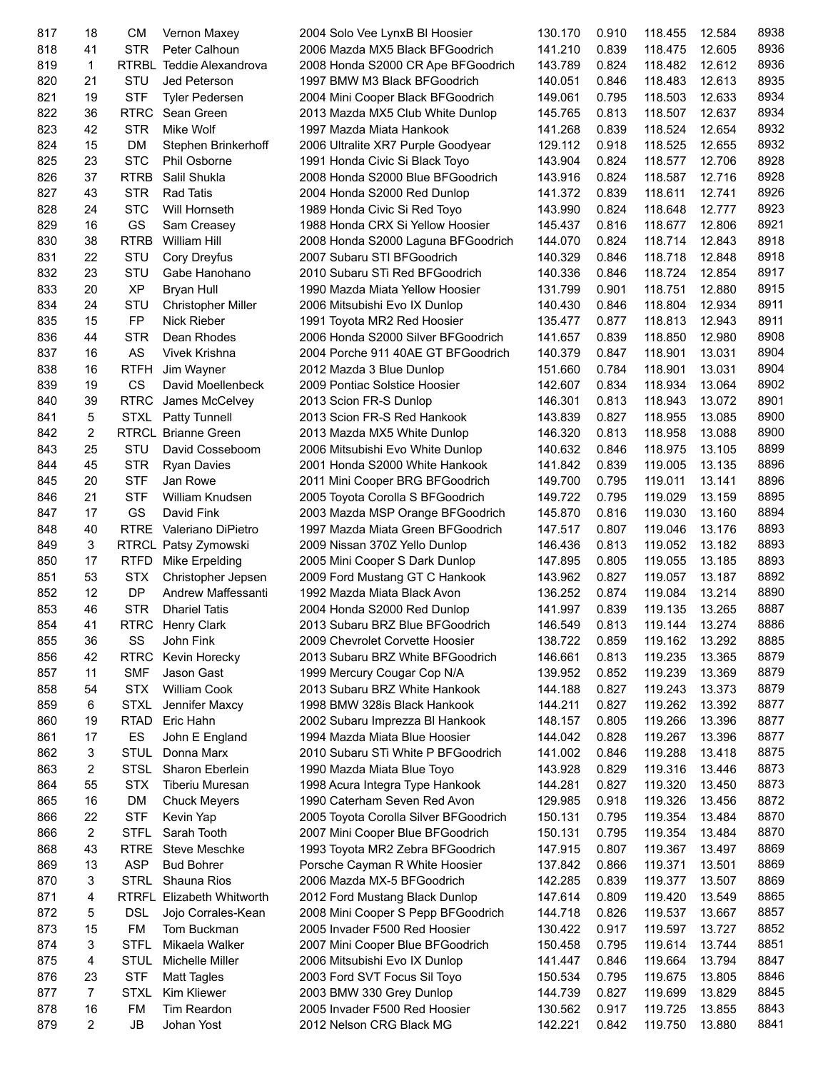| 817 | 18             | <b>CM</b>   | Vernon Maxey               | 2004 Solo Vee LynxB BI Hoosier        | 130.170 | 0.910 | 118.455 | 12.584 | 8938 |
|-----|----------------|-------------|----------------------------|---------------------------------------|---------|-------|---------|--------|------|
| 818 | 41             | <b>STR</b>  | Peter Calhoun              | 2006 Mazda MX5 Black BFGoodrich       | 141.210 | 0.839 | 118.475 | 12.605 | 8936 |
| 819 | 1              |             | RTRBL Teddie Alexandrova   | 2008 Honda S2000 CR Ape BFGoodrich    | 143.789 | 0.824 | 118.482 | 12.612 | 8936 |
| 820 | 21             | STU         | Jed Peterson               | 1997 BMW M3 Black BFGoodrich          | 140.051 | 0.846 | 118.483 | 12.613 | 8935 |
| 821 | 19             | <b>STF</b>  | <b>Tyler Pedersen</b>      | 2004 Mini Cooper Black BFGoodrich     | 149.061 | 0.795 | 118.503 | 12.633 | 8934 |
| 822 | 36             | <b>RTRC</b> | Sean Green                 | 2013 Mazda MX5 Club White Dunlop      | 145.765 | 0.813 | 118.507 | 12.637 | 8934 |
| 823 | 42             | <b>STR</b>  | Mike Wolf                  | 1997 Mazda Miata Hankook              | 141.268 | 0.839 | 118.524 | 12.654 | 8932 |
| 824 | 15             | <b>DM</b>   | Stephen Brinkerhoff        | 2006 Ultralite XR7 Purple Goodyear    | 129.112 | 0.918 | 118.525 | 12.655 | 8932 |
| 825 | 23             | <b>STC</b>  | Phil Osborne               | 1991 Honda Civic Si Black Toyo        | 143.904 | 0.824 | 118.577 | 12.706 | 8928 |
| 826 | 37             | <b>RTRB</b> | Salil Shukla               | 2008 Honda S2000 Blue BFGoodrich      | 143.916 | 0.824 | 118.587 | 12.716 | 8928 |
| 827 | 43             | <b>STR</b>  | <b>Rad Tatis</b>           | 2004 Honda S2000 Red Dunlop           | 141.372 | 0.839 | 118.611 | 12.741 | 8926 |
| 828 | 24             | <b>STC</b>  | Will Hornseth              | 1989 Honda Civic Si Red Toyo          | 143.990 | 0.824 | 118.648 | 12.777 | 8923 |
| 829 | 16             | GS          | Sam Creasey                | 1988 Honda CRX Si Yellow Hoosier      | 145.437 | 0.816 | 118.677 | 12.806 | 8921 |
| 830 | 38             | <b>RTRB</b> | <b>William Hill</b>        | 2008 Honda S2000 Laguna BFGoodrich    | 144.070 | 0.824 | 118.714 | 12.843 | 8918 |
| 831 | 22             | STU         | Cory Dreyfus               | 2007 Subaru STI BFGoodrich            | 140.329 | 0.846 | 118.718 | 12.848 | 8918 |
| 832 | 23             | STU         | Gabe Hanohano              | 2010 Subaru STi Red BFGoodrich        | 140.336 | 0.846 | 118.724 | 12.854 | 8917 |
| 833 | 20             | <b>XP</b>   |                            | 1990 Mazda Miata Yellow Hoosier       | 131.799 | 0.901 | 118.751 | 12.880 | 8915 |
| 834 | 24             | <b>STU</b>  | Bryan Hull                 |                                       |         |       |         | 12.934 | 8911 |
|     |                |             | <b>Christopher Miller</b>  | 2006 Mitsubishi Evo IX Dunlop         | 140.430 | 0.846 | 118.804 |        |      |
| 835 | 15             | FP          | <b>Nick Rieber</b>         | 1991 Toyota MR2 Red Hoosier           | 135.477 | 0.877 | 118.813 | 12.943 | 8911 |
| 836 | 44             | <b>STR</b>  | Dean Rhodes                | 2006 Honda S2000 Silver BFGoodrich    | 141.657 | 0.839 | 118.850 | 12.980 | 8908 |
| 837 | 16             | AS          | Vivek Krishna              | 2004 Porche 911 40AE GT BFGoodrich    | 140.379 | 0.847 | 118.901 | 13.031 | 8904 |
| 838 | 16             | <b>RTFH</b> | Jim Wayner                 | 2012 Mazda 3 Blue Dunlop              | 151.660 | 0.784 | 118.901 | 13.031 | 8904 |
| 839 | 19             | <b>CS</b>   | David Moellenbeck          | 2009 Pontiac Solstice Hoosier         | 142.607 | 0.834 | 118.934 | 13.064 | 8902 |
| 840 | 39             | <b>RTRC</b> | James McCelvey             | 2013 Scion FR-S Dunlop                | 146.301 | 0.813 | 118.943 | 13.072 | 8901 |
| 841 | 5              | STXL        | Patty Tunnell              | 2013 Scion FR-S Red Hankook           | 143.839 | 0.827 | 118.955 | 13.085 | 8900 |
| 842 | $\overline{c}$ |             | <b>RTRCL Brianne Green</b> | 2013 Mazda MX5 White Dunlop           | 146.320 | 0.813 | 118.958 | 13.088 | 8900 |
| 843 | 25             | STU         | David Cosseboom            | 2006 Mitsubishi Evo White Dunlop      | 140.632 | 0.846 | 118.975 | 13.105 | 8899 |
| 844 | 45             | <b>STR</b>  | <b>Ryan Davies</b>         | 2001 Honda S2000 White Hankook        | 141.842 | 0.839 | 119.005 | 13.135 | 8896 |
| 845 | 20             | <b>STF</b>  | Jan Rowe                   | 2011 Mini Cooper BRG BFGoodrich       | 149.700 | 0.795 | 119.011 | 13.141 | 8896 |
| 846 | 21             | <b>STF</b>  | William Knudsen            | 2005 Toyota Corolla S BFGoodrich      | 149.722 | 0.795 | 119.029 | 13.159 | 8895 |
| 847 | 17             | GS          | David Fink                 | 2003 Mazda MSP Orange BFGoodrich      | 145.870 | 0.816 | 119.030 | 13.160 | 8894 |
| 848 | 40             |             | RTRE Valeriano DiPietro    | 1997 Mazda Miata Green BFGoodrich     | 147.517 | 0.807 | 119.046 | 13.176 | 8893 |
| 849 | 3              |             | RTRCL Patsy Zymowski       | 2009 Nissan 370Z Yello Dunlop         | 146.436 | 0.813 | 119.052 | 13.182 | 8893 |
| 850 | 17             | <b>RTFD</b> | Mike Erpelding             | 2005 Mini Cooper S Dark Dunlop        | 147.895 | 0.805 | 119.055 | 13.185 | 8893 |
| 851 | 53             | <b>STX</b>  | Christopher Jepsen         | 2009 Ford Mustang GT C Hankook        | 143.962 | 0.827 | 119.057 | 13.187 | 8892 |
| 852 | 12             | DP          | Andrew Maffessanti         | 1992 Mazda Miata Black Avon           | 136.252 | 0.874 | 119.084 | 13.214 | 8890 |
| 853 | 46             | <b>STR</b>  | <b>Dhariel Tatis</b>       | 2004 Honda S2000 Red Dunlop           | 141.997 | 0.839 | 119.135 | 13.265 | 8887 |
| 854 | 41             |             | RTRC Henry Clark           | 2013 Subaru BRZ Blue BFGoodrich       | 146.549 | 0.813 | 119.144 | 13.274 | 8886 |
| 855 | 36             | SS          | John Fink                  | 2009 Chevrolet Corvette Hoosier       | 138.722 | 0.859 | 119.162 | 13.292 | 8885 |
| 856 | 42             | <b>RTRC</b> | Kevin Horecky              | 2013 Subaru BRZ White BFGoodrich      | 146.661 | 0.813 | 119.235 | 13.365 | 8879 |
| 857 | 11             | <b>SMF</b>  | Jason Gast                 | 1999 Mercury Cougar Cop N/A           | 139.952 | 0.852 | 119.239 | 13.369 | 8879 |
| 858 | 54             | <b>STX</b>  | William Cook               | 2013 Subaru BRZ White Hankook         | 144.188 | 0.827 | 119.243 | 13.373 | 8879 |
| 859 | 6              | STXL        | Jennifer Maxcy             | 1998 BMW 328is Black Hankook          | 144.211 | 0.827 | 119.262 | 13.392 | 8877 |
| 860 | 19             | <b>RTAD</b> | Eric Hahn                  | 2002 Subaru Imprezza BI Hankook       | 148.157 | 0.805 | 119.266 | 13.396 | 8877 |
| 861 | 17             | ES          | John E England             | 1994 Mazda Miata Blue Hoosier         | 144.042 | 0.828 | 119.267 | 13.396 | 8877 |
| 862 | 3              | <b>STUL</b> | Donna Marx                 | 2010 Subaru STi White P BFGoodrich    | 141.002 | 0.846 | 119.288 | 13.418 | 8875 |
| 863 | 2              | STSL        | Sharon Eberlein            | 1990 Mazda Miata Blue Toyo            | 143.928 | 0.829 | 119.316 | 13.446 | 8873 |
| 864 | 55             | <b>STX</b>  | <b>Tiberiu Muresan</b>     | 1998 Acura Integra Type Hankook       | 144.281 | 0.827 | 119.320 | 13.450 | 8873 |
| 865 | 16             | DM          | <b>Chuck Meyers</b>        | 1990 Caterham Seven Red Avon          | 129.985 | 0.918 | 119.326 | 13.456 | 8872 |
| 866 | 22             | <b>STF</b>  | Kevin Yap                  | 2005 Toyota Corolla Silver BFGoodrich | 150.131 | 0.795 | 119.354 | 13.484 | 8870 |
| 866 | 2              | STFL        | Sarah Tooth                | 2007 Mini Cooper Blue BFGoodrich      | 150.131 | 0.795 | 119.354 | 13.484 | 8870 |
| 868 | 43             | <b>RTRE</b> | <b>Steve Meschke</b>       | 1993 Toyota MR2 Zebra BFGoodrich      | 147.915 | 0.807 | 119.367 | 13.497 | 8869 |
| 869 | 13             | <b>ASP</b>  | <b>Bud Bohrer</b>          | Porsche Cayman R White Hoosier        | 137.842 | 0.866 | 119.371 | 13.501 | 8869 |
|     | 3              |             |                            |                                       |         |       |         |        | 8869 |
| 870 |                | <b>STRL</b> | Shauna Rios                | 2006 Mazda MX-5 BFGoodrich            | 142.285 | 0.839 | 119.377 | 13.507 | 8865 |
| 871 | 4              |             | RTRFL Elizabeth Whitworth  | 2012 Ford Mustang Black Dunlop        | 147.614 | 0.809 | 119.420 | 13.549 |      |
| 872 | 5              | <b>DSL</b>  | Jojo Corrales-Kean         | 2008 Mini Cooper S Pepp BFGoodrich    | 144.718 | 0.826 | 119.537 | 13.667 | 8857 |
| 873 | 15             | <b>FM</b>   | Tom Buckman                | 2005 Invader F500 Red Hoosier         | 130.422 | 0.917 | 119.597 | 13.727 | 8852 |
| 874 | 3              | <b>STFL</b> | Mikaela Walker             | 2007 Mini Cooper Blue BFGoodrich      | 150.458 | 0.795 | 119.614 | 13.744 | 8851 |
| 875 | 4              | <b>STUL</b> | Michelle Miller            | 2006 Mitsubishi Evo IX Dunlop         | 141.447 | 0.846 | 119.664 | 13.794 | 8847 |
| 876 | 23             | <b>STF</b>  | <b>Matt Tagles</b>         | 2003 Ford SVT Focus Sil Toyo          | 150.534 | 0.795 | 119.675 | 13.805 | 8846 |
| 877 | 7              | <b>STXL</b> | Kim Kliewer                | 2003 BMW 330 Grey Dunlop              | 144.739 | 0.827 | 119.699 | 13.829 | 8845 |
| 878 | 16             | FM          | Tim Reardon                | 2005 Invader F500 Red Hoosier         | 130.562 | 0.917 | 119.725 | 13.855 | 8843 |
| 879 | 2              | JB          | Johan Yost                 | 2012 Nelson CRG Black MG              | 142.221 | 0.842 | 119.750 | 13.880 | 8841 |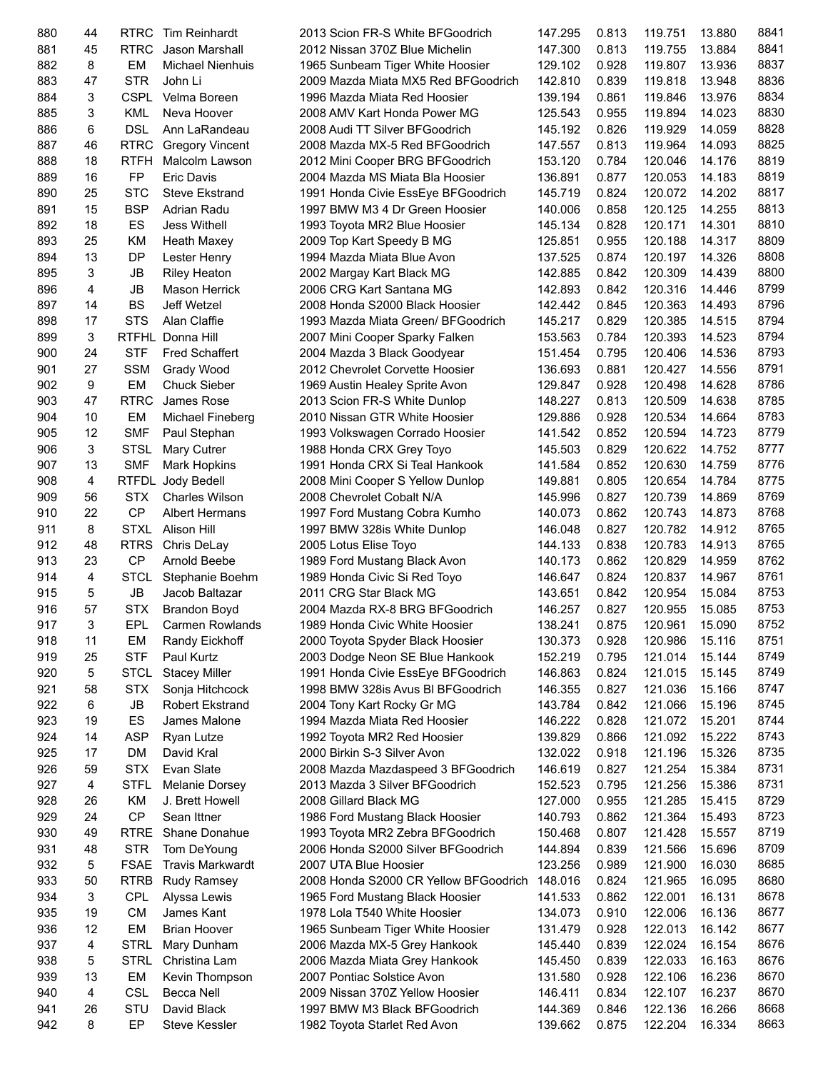| 880 | 44 | <b>RTRC</b>  | <b>Tim Reinhardt</b>    | 2013 Scion FR-S White BFGoodrich      | 147.295 | 0.813 | 119.751 | 13.880 | 8841 |
|-----|----|--------------|-------------------------|---------------------------------------|---------|-------|---------|--------|------|
| 881 | 45 | <b>RTRC</b>  | Jason Marshall          | 2012 Nissan 370Z Blue Michelin        | 147.300 | 0.813 | 119.755 | 13.884 | 8841 |
| 882 | 8  | EM           | <b>Michael Nienhuis</b> | 1965 Sunbeam Tiger White Hoosier      | 129.102 | 0.928 | 119.807 | 13.936 | 8837 |
| 883 | 47 | <b>STR</b>   | John Li                 | 2009 Mazda Miata MX5 Red BFGoodrich   | 142.810 | 0.839 | 119.818 | 13.948 | 8836 |
| 884 | 3  | <b>CSPL</b>  | Velma Boreen            | 1996 Mazda Miata Red Hoosier          | 139.194 | 0.861 | 119.846 | 13.976 | 8834 |
| 885 | 3  | <b>KML</b>   | Neva Hoover             | 2008 AMV Kart Honda Power MG          | 125.543 | 0.955 | 119.894 | 14.023 | 8830 |
| 886 | 6  | <b>DSL</b>   | Ann LaRandeau           | 2008 Audi TT Silver BFGoodrich        | 145.192 | 0.826 | 119.929 | 14.059 | 8828 |
| 887 | 46 | <b>RTRC</b>  | <b>Gregory Vincent</b>  | 2008 Mazda MX-5 Red BFGoodrich        | 147.557 | 0.813 | 119.964 | 14.093 | 8825 |
| 888 | 18 | <b>RTFH</b>  | Malcolm Lawson          | 2012 Mini Cooper BRG BFGoodrich       | 153.120 | 0.784 | 120.046 | 14.176 | 8819 |
| 889 | 16 | FP           | <b>Eric Davis</b>       | 2004 Mazda MS Miata Bla Hoosier       | 136.891 | 0.877 | 120.053 | 14.183 | 8819 |
| 890 | 25 | <b>STC</b>   | <b>Steve Ekstrand</b>   | 1991 Honda Civie EssEye BFGoodrich    | 145.719 | 0.824 | 120.072 | 14.202 | 8817 |
| 891 | 15 | <b>BSP</b>   | Adrian Radu             | 1997 BMW M3 4 Dr Green Hoosier        | 140.006 | 0.858 | 120.125 | 14.255 | 8813 |
|     |    |              |                         |                                       |         |       |         |        |      |
| 892 | 18 | ES           | <b>Jess Withell</b>     | 1993 Toyota MR2 Blue Hoosier          | 145.134 | 0.828 | 120.171 | 14.301 | 8810 |
| 893 | 25 | <b>KM</b>    | Heath Maxey             | 2009 Top Kart Speedy B MG             | 125.851 | 0.955 | 120.188 | 14.317 | 8809 |
| 894 | 13 | <b>DP</b>    | Lester Henry            | 1994 Mazda Miata Blue Avon            | 137.525 | 0.874 | 120.197 | 14.326 | 8808 |
| 895 | 3  | JB           | <b>Riley Heaton</b>     | 2002 Margay Kart Black MG             | 142.885 | 0.842 | 120.309 | 14.439 | 8800 |
| 896 | 4  | <b>JB</b>    | <b>Mason Herrick</b>    | 2006 CRG Kart Santana MG              | 142.893 | 0.842 | 120.316 | 14.446 | 8799 |
| 897 | 14 | <b>BS</b>    | Jeff Wetzel             | 2008 Honda S2000 Black Hoosier        | 142.442 | 0.845 | 120.363 | 14.493 | 8796 |
| 898 | 17 | <b>STS</b>   | Alan Claffie            | 1993 Mazda Miata Green/ BFGoodrich    | 145.217 | 0.829 | 120.385 | 14.515 | 8794 |
| 899 | 3  | <b>RTFHL</b> | Donna Hill              | 2007 Mini Cooper Sparky Falken        | 153.563 | 0.784 | 120.393 | 14.523 | 8794 |
| 900 | 24 | <b>STF</b>   | <b>Fred Schaffert</b>   | 2004 Mazda 3 Black Goodyear           | 151.454 | 0.795 | 120.406 | 14.536 | 8793 |
| 901 | 27 | <b>SSM</b>   | Grady Wood              | 2012 Chevrolet Corvette Hoosier       | 136.693 | 0.881 | 120.427 | 14.556 | 8791 |
| 902 | 9  | EM           | <b>Chuck Sieber</b>     | 1969 Austin Healey Sprite Avon        | 129.847 | 0.928 | 120.498 | 14.628 | 8786 |
| 903 | 47 | <b>RTRC</b>  | James Rose              | 2013 Scion FR-S White Dunlop          | 148.227 | 0.813 | 120.509 | 14.638 | 8785 |
| 904 | 10 | EM           | Michael Fineberg        | 2010 Nissan GTR White Hoosier         | 129.886 | 0.928 | 120.534 | 14.664 | 8783 |
| 905 | 12 | <b>SMF</b>   | Paul Stephan            | 1993 Volkswagen Corrado Hoosier       | 141.542 | 0.852 | 120.594 | 14.723 | 8779 |
| 906 | 3  | <b>STSL</b>  | Mary Cutrer             | 1988 Honda CRX Grey Toyo              | 145.503 | 0.829 | 120.622 | 14.752 | 8777 |
| 907 | 13 | <b>SMF</b>   | Mark Hopkins            | 1991 Honda CRX Si Teal Hankook        | 141.584 | 0.852 | 120.630 | 14.759 | 8776 |
| 908 | 4  | <b>RTFDL</b> | Jody Bedell             | 2008 Mini Cooper S Yellow Dunlop      | 149.881 | 0.805 | 120.654 | 14.784 | 8775 |
| 909 | 56 | <b>STX</b>   | <b>Charles Wilson</b>   | 2008 Chevrolet Cobalt N/A             |         | 0.827 | 120.739 | 14.869 | 8769 |
|     | 22 | CP           |                         |                                       | 145.996 |       |         |        | 8768 |
| 910 |    |              | <b>Albert Hermans</b>   | 1997 Ford Mustang Cobra Kumho         | 140.073 | 0.862 | 120.743 | 14.873 |      |
| 911 | 8  | <b>STXL</b>  | Alison Hill             | 1997 BMW 328is White Dunlop           | 146.048 | 0.827 | 120.782 | 14.912 | 8765 |
| 912 | 48 | <b>RTRS</b>  | Chris DeLay             | 2005 Lotus Elise Toyo                 | 144.133 | 0.838 | 120.783 | 14.913 | 8765 |
| 913 | 23 | <b>CP</b>    | Arnold Beebe            | 1989 Ford Mustang Black Avon          | 140.173 | 0.862 | 120.829 | 14.959 | 8762 |
| 914 | 4  | <b>STCL</b>  | Stephanie Boehm         | 1989 Honda Civic Si Red Toyo          | 146.647 | 0.824 | 120.837 | 14.967 | 8761 |
| 915 | 5  | JB           | Jacob Baltazar          | 2011 CRG Star Black MG                | 143.651 | 0.842 | 120.954 | 15.084 | 8753 |
| 916 | 57 | <b>STX</b>   | <b>Brandon Boyd</b>     | 2004 Mazda RX-8 BRG BFGoodrich        | 146.257 | 0.827 | 120.955 | 15.085 | 8753 |
| 917 | 3  | EPL          | <b>Carmen Rowlands</b>  | 1989 Honda Civic White Hoosier        | 138.241 | 0.875 | 120.961 | 15.090 | 8752 |
| 918 | 11 | EM           | Randy Eickhoff          | 2000 Toyota Spyder Black Hoosier      | 130.373 | 0.928 | 120.986 | 15.116 | 8751 |
| 919 | 25 | <b>STF</b>   | Paul Kurtz              | 2003 Dodge Neon SE Blue Hankook       | 152.219 | 0.795 | 121.014 | 15.144 | 8749 |
| 920 | 5  | <b>STCL</b>  | <b>Stacey Miller</b>    | 1991 Honda Civie EssEye BFGoodrich    | 146.863 | 0.824 | 121.015 | 15.145 | 8749 |
| 921 | 58 | <b>STX</b>   | Sonja Hitchcock         | 1998 BMW 328 is Avus BI BFGoodrich    | 146.355 | 0.827 | 121.036 | 15.166 | 8747 |
| 922 | 6  | ${\sf JB}$   | <b>Robert Ekstrand</b>  | 2004 Tony Kart Rocky Gr MG            | 143.784 | 0.842 | 121.066 | 15.196 | 8745 |
| 923 | 19 | ES           | James Malone            | 1994 Mazda Miata Red Hoosier          | 146.222 | 0.828 | 121.072 | 15.201 | 8744 |
| 924 | 14 | <b>ASP</b>   | Ryan Lutze              | 1992 Toyota MR2 Red Hoosier           | 139.829 | 0.866 | 121.092 | 15.222 | 8743 |
| 925 | 17 | DM           | David Kral              | 2000 Birkin S-3 Silver Avon           | 132.022 | 0.918 | 121.196 | 15.326 | 8735 |
| 926 | 59 | <b>STX</b>   | Evan Slate              | 2008 Mazda Mazdaspeed 3 BFGoodrich    | 146.619 | 0.827 | 121.254 | 15.384 | 8731 |
| 927 | 4  | <b>STFL</b>  | Melanie Dorsey          | 2013 Mazda 3 Silver BFGoodrich        | 152.523 | 0.795 | 121.256 | 15.386 | 8731 |
| 928 | 26 | KM           | J. Brett Howell         | 2008 Gillard Black MG                 | 127.000 | 0.955 | 121.285 | 15.415 | 8729 |
| 929 | 24 | <b>CP</b>    |                         |                                       |         |       |         |        | 8723 |
|     |    |              | Sean Ittner             | 1986 Ford Mustang Black Hoosier       | 140.793 | 0.862 | 121.364 | 15.493 |      |
| 930 | 49 | <b>RTRE</b>  | Shane Donahue           | 1993 Toyota MR2 Zebra BFGoodrich      | 150.468 | 0.807 | 121.428 | 15.557 | 8719 |
| 931 | 48 | <b>STR</b>   | Tom DeYoung             | 2006 Honda S2000 Silver BFGoodrich    | 144.894 | 0.839 | 121.566 | 15.696 | 8709 |
| 932 | 5  | <b>FSAE</b>  | <b>Travis Markwardt</b> | 2007 UTA Blue Hoosier                 | 123.256 | 0.989 | 121.900 | 16.030 | 8685 |
| 933 | 50 | <b>RTRB</b>  | <b>Rudy Ramsey</b>      | 2008 Honda S2000 CR Yellow BFGoodrich | 148.016 | 0.824 | 121.965 | 16.095 | 8680 |
| 934 | 3  | <b>CPL</b>   | Alyssa Lewis            | 1965 Ford Mustang Black Hoosier       | 141.533 | 0.862 | 122.001 | 16.131 | 8678 |
| 935 | 19 | <b>CM</b>    | James Kant              | 1978 Lola T540 White Hoosier          | 134.073 | 0.910 | 122.006 | 16.136 | 8677 |
| 936 | 12 | EM           | <b>Brian Hoover</b>     | 1965 Sunbeam Tiger White Hoosier      | 131.479 | 0.928 | 122.013 | 16.142 | 8677 |
| 937 | 4  | STRL         | Mary Dunham             | 2006 Mazda MX-5 Grey Hankook          | 145.440 | 0.839 | 122.024 | 16.154 | 8676 |
| 938 | 5  | <b>STRL</b>  | Christina Lam           | 2006 Mazda Miata Grey Hankook         | 145.450 | 0.839 | 122.033 | 16.163 | 8676 |
| 939 | 13 | EM           | Kevin Thompson          | 2007 Pontiac Solstice Avon            | 131.580 | 0.928 | 122.106 | 16.236 | 8670 |
| 940 | 4  | <b>CSL</b>   | Becca Nell              | 2009 Nissan 370Z Yellow Hoosier       | 146.411 | 0.834 | 122.107 | 16.237 | 8670 |
| 941 | 26 | STU          | David Black             | 1997 BMW M3 Black BFGoodrich          | 144.369 | 0.846 | 122.136 | 16.266 | 8668 |
|     |    |              |                         |                                       |         |       |         |        |      |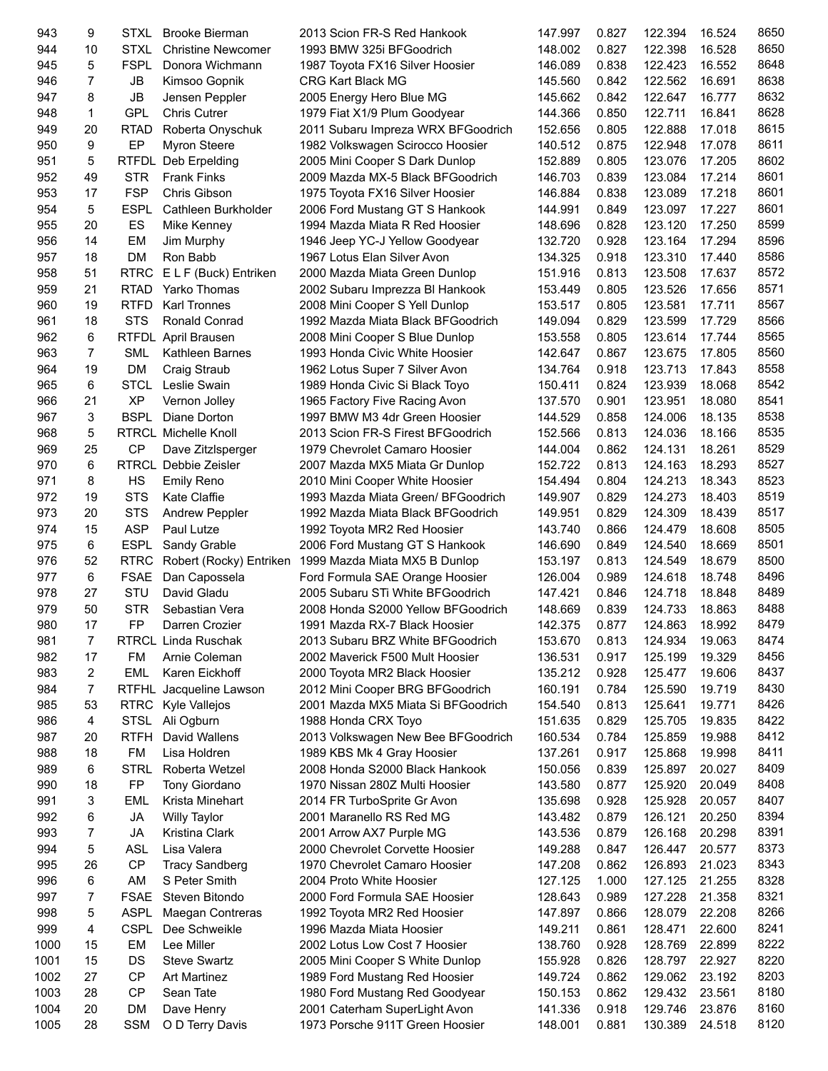| 943        | 9              | STXL                | <b>Brooke Bierman</b>       | 2013 Scion FR-S Red Hankook                                      | 147.997            | 0.827          | 122.394            | 16.524           | 8650 |
|------------|----------------|---------------------|-----------------------------|------------------------------------------------------------------|--------------------|----------------|--------------------|------------------|------|
| 944        | 10             | <b>STXL</b>         | <b>Christine Newcomer</b>   | 1993 BMW 325i BFGoodrich                                         | 148.002            | 0.827          | 122.398            | 16.528           | 8650 |
| 945        | 5              | <b>FSPL</b>         | Donora Wichmann             | 1987 Toyota FX16 Silver Hoosier                                  | 146.089            | 0.838          | 122.423            | 16.552           | 8648 |
| 946        | $\overline{7}$ | JB                  | Kimsoo Gopnik               | <b>CRG Kart Black MG</b>                                         | 145.560            | 0.842          | 122.562            | 16.691           | 8638 |
| 947        | 8              | JB                  | Jensen Peppler              | 2005 Energy Hero Blue MG                                         | 145.662            | 0.842          | 122.647            | 16.777           | 8632 |
| 948        | 1              | <b>GPL</b>          | <b>Chris Cutrer</b>         | 1979 Fiat X1/9 Plum Goodyear                                     | 144.366            | 0.850          | 122.711            | 16.841           | 8628 |
| 949        | 20             | <b>RTAD</b>         | Roberta Onyschuk            | 2011 Subaru Impreza WRX BFGoodrich                               | 152.656            | 0.805          | 122.888            | 17.018           | 8615 |
| 950        | 9              | EP                  | <b>Myron Steere</b>         | 1982 Volkswagen Scirocco Hoosier                                 | 140.512            | 0.875          | 122.948            | 17.078           | 8611 |
| 951        | 5              | <b>RTFDL</b>        | Deb Erpelding               | 2005 Mini Cooper S Dark Dunlop                                   | 152.889            | 0.805          | 123.076            | 17.205           | 8602 |
| 952        | 49             | <b>STR</b>          | <b>Frank Finks</b>          | 2009 Mazda MX-5 Black BFGoodrich                                 | 146.703            | 0.839          | 123.084            | 17.214           | 8601 |
| 953        | 17             | <b>FSP</b>          | Chris Gibson                | 1975 Toyota FX16 Silver Hoosier                                  | 146.884            | 0.838          | 123.089            | 17.218           | 8601 |
| 954        | 5              | <b>ESPL</b>         | Cathleen Burkholder         | 2006 Ford Mustang GT S Hankook                                   | 144.991            | 0.849          | 123.097            | 17.227           | 8601 |
| 955        | 20             | ES                  | Mike Kenney                 | 1994 Mazda Miata R Red Hoosier                                   | 148.696            | 0.828          | 123.120            | 17.250           | 8599 |
| 956        | 14             | EM                  | Jim Murphy                  | 1946 Jeep YC-J Yellow Goodyear                                   | 132.720            | 0.928          | 123.164            | 17.294           | 8596 |
| 957        | 18             | <b>DM</b>           | Ron Babb                    | 1967 Lotus Elan Silver Avon                                      | 134.325            | 0.918          | 123.310            | 17.440           | 8586 |
| 958        | 51             | <b>RTRC</b>         | E L F (Buck) Entriken       | 2000 Mazda Miata Green Dunlop                                    | 151.916            | 0.813          | 123.508            | 17.637           | 8572 |
| 959        | 21             | <b>RTAD</b>         | Yarko Thomas                | 2002 Subaru Imprezza BI Hankook                                  | 153.449            | 0.805          | 123.526            | 17.656           | 8571 |
| 960        | 19             | <b>RTFD</b>         | <b>Karl Tronnes</b>         | 2008 Mini Cooper S Yell Dunlop                                   | 153.517            | 0.805          | 123.581            | 17.711           | 8567 |
| 961        | 18             | <b>STS</b>          | Ronald Conrad               | 1992 Mazda Miata Black BFGoodrich                                | 149.094            | 0.829          | 123.599            | 17.729           | 8566 |
| 962        | 6              |                     | RTFDL April Brausen         | 2008 Mini Cooper S Blue Dunlop                                   | 153.558            | 0.805          | 123.614            | 17.744           | 8565 |
| 963        | $\overline{7}$ | <b>SML</b>          | Kathleen Barnes             | 1993 Honda Civic White Hoosier                                   | 142.647            | 0.867          | 123.675            | 17.805           | 8560 |
| 964        | 19             | <b>DM</b>           | Craig Straub                | 1962 Lotus Super 7 Silver Avon                                   | 134.764            | 0.918          | 123.713            | 17.843           | 8558 |
| 965        | 6              | <b>STCL</b>         | Leslie Swain                | 1989 Honda Civic Si Black Toyo                                   | 150.411            | 0.824          | 123.939            | 18.068           | 8542 |
| 966        | 21             | <b>XP</b>           | Vernon Jolley               | 1965 Factory Five Racing Avon                                    | 137.570            | 0.901          | 123.951            | 18.080           | 8541 |
| 967        | 3              | <b>BSPL</b>         | Diane Dorton                | 1997 BMW M3 4dr Green Hoosier                                    | 144.529            | 0.858          | 124.006            | 18.135           | 8538 |
| 968        | 5              |                     | <b>RTRCL Michelle Knoll</b> | 2013 Scion FR-S Firest BFGoodrich                                | 152.566            | 0.813          | 124.036            | 18.166           | 8535 |
| 969        | 25             | <b>CP</b>           | Dave Zitzlsperger           | 1979 Chevrolet Camaro Hoosier                                    | 144.004            | 0.862          | 124.131            | 18.261           | 8529 |
| 970        | 6              |                     | <b>RTRCL Debbie Zeisler</b> | 2007 Mazda MX5 Miata Gr Dunlop                                   | 152.722            | 0.813          | 124.163            | 18.293           | 8527 |
| 971        | 8              | HS                  | <b>Emily Reno</b>           | 2010 Mini Cooper White Hoosier                                   | 154.494            | 0.804          | 124.213            | 18.343           | 8523 |
| 972        | 19             | <b>STS</b>          | <b>Kate Claffie</b>         | 1993 Mazda Miata Green/ BFGoodrich                               | 149.907            | 0.829          | 124.273            | 18.403           | 8519 |
| 973        | 20             | <b>STS</b>          | Andrew Peppler              | 1992 Mazda Miata Black BFGoodrich                                | 149.951            | 0.829          | 124.309            | 18.439           | 8517 |
| 974        | 15             | <b>ASP</b>          | Paul Lutze                  | 1992 Toyota MR2 Red Hoosier                                      | 143.740            | 0.866          | 124.479            | 18.608           | 8505 |
| 975        | 6              | <b>ESPL</b>         | Sandy Grable                | 2006 Ford Mustang GT S Hankook                                   | 146.690            | 0.849          | 124.540            | 18.669           | 8501 |
| 976        | 52             | <b>RTRC</b>         |                             | Robert (Rocky) Entriken 1999 Mazda Miata MX5 B Dunlop            | 153.197            | 0.813          | 124.549            | 18.679           | 8500 |
| 977        | 6              | <b>FSAE</b>         | Dan Capossela               | Ford Formula SAE Orange Hoosier                                  | 126.004            | 0.989          | 124.618            | 18.748           | 8496 |
| 978        | 27             | STU                 | David Gladu                 | 2005 Subaru STi White BFGoodrich                                 | 147.421            | 0.846          | 124.718            | 18.848           | 8489 |
| 979        | 50             | <b>STR</b>          | Sebastian Vera              | 2008 Honda S2000 Yellow BFGoodrich                               | 148.669            | 0.839          | 124.733            | 18.863           | 8488 |
| 980        | 17             | <b>FP</b>           | Darren Crozier              | 1991 Mazda RX-7 Black Hoosier                                    | 142.375            | 0.877          | 124.863            | 18.992           | 8479 |
| 981        | 7              |                     | RTRCL Linda Ruschak         | 2013 Subaru BRZ White BFGoodrich                                 | 153.670            | 0.813          | 124.934            | 19.063           | 8474 |
| 982        | 17             | FM                  | Arnie Coleman               | 2002 Maverick F500 Mult Hoosier                                  | 136.531            | 0.917          | 125.199            | 19.329           | 8456 |
| 983        | 2              | <b>EML</b>          | Karen Eickhoff              | 2000 Toyota MR2 Black Hoosier                                    | 135.212            | 0.928          | 125.477            | 19.606           | 8437 |
| 984        | 7              |                     |                             | 2012 Mini Cooper BRG BFGoodrich                                  | 160.191            | 0.784          | 125.590            | 19.719           | 8430 |
|            |                |                     | RTFHL Jacqueline Lawson     |                                                                  |                    |                |                    |                  | 8426 |
| 985<br>986 | 53<br>4        | <b>RTRC</b><br>STSL | Kyle Vallejos<br>Ali Ogburn | 2001 Mazda MX5 Miata Si BFGoodrich<br>1988 Honda CRX Toyo        | 154.540<br>151.635 | 0.813<br>0.829 | 125.641<br>125.705 | 19.771<br>19.835 | 8422 |
| 987        | 20             | <b>RTFH</b>         | David Wallens               | 2013 Volkswagen New Bee BFGoodrich                               | 160.534            | 0.784          | 125.859            | 19.988           | 8412 |
|            | 18             | <b>FM</b>           | Lisa Holdren                | 1989 KBS Mk 4 Gray Hoosier                                       | 137.261            |                |                    |                  | 8411 |
| 988        |                |                     |                             |                                                                  |                    | 0.917          | 125.868<br>125.897 | 19.998           | 8409 |
| 989<br>990 | 6              | <b>STRL</b><br>FP   | Roberta Wetzel              | 2008 Honda S2000 Black Hankook<br>1970 Nissan 280Z Multi Hoosier | 150.056            | 0.839<br>0.877 |                    | 20.027<br>20.049 | 8408 |
|            | 18             |                     | Tony Giordano               | 2014 FR TurboSprite Gr Avon                                      | 143.580            |                | 125.920            |                  | 8407 |
| 991        | 3              | EML                 | Krista Minehart             |                                                                  | 135.698            | 0.928          | 125.928            | 20.057           | 8394 |
| 992        | 6<br>7         | <b>JA</b>           | <b>Willy Taylor</b>         | 2001 Maranello RS Red MG                                         | 143.482            | 0.879          | 126.121            | 20.250           | 8391 |
| 993        |                | JA                  | Kristina Clark              | 2001 Arrow AX7 Purple MG                                         | 143.536            | 0.879          | 126.168            | 20.298           | 8373 |
| 994        | 5              | <b>ASL</b>          | Lisa Valera                 | 2000 Chevrolet Corvette Hoosier                                  | 149.288            | 0.847          | 126.447            | 20.577           | 8343 |
| 995        | 26             | <b>CP</b>           | <b>Tracy Sandberg</b>       | 1970 Chevrolet Camaro Hoosier                                    | 147.208            | 0.862          | 126.893            | 21.023           |      |
| 996        | 6              | AM                  | S Peter Smith               | 2004 Proto White Hoosier                                         | 127.125            | 1.000          | 127.125            | 21.255           | 8328 |
| 997        | 7              | <b>FSAE</b>         | Steven Bitondo              | 2000 Ford Formula SAE Hoosier                                    | 128.643            | 0.989          | 127.228            | 21.358           | 8321 |
| 998        | 5              | <b>ASPL</b>         | Maegan Contreras            | 1992 Toyota MR2 Red Hoosier                                      | 147.897            | 0.866          | 128.079            | 22.208           | 8266 |
| 999        | 4              | <b>CSPL</b>         | Dee Schweikle               | 1996 Mazda Miata Hoosier                                         | 149.211            | 0.861          | 128.471            | 22.600           | 8241 |
| 1000       | 15             | EM                  | Lee Miller                  | 2002 Lotus Low Cost 7 Hoosier                                    | 138.760            | 0.928          | 128.769            | 22.899           | 8222 |
| 1001       | 15             | DS                  | <b>Steve Swartz</b>         | 2005 Mini Cooper S White Dunlop                                  | 155.928            | 0.826          | 128.797            | 22.927           | 8220 |
| 1002       | 27             | <b>CP</b>           | <b>Art Martinez</b>         | 1989 Ford Mustang Red Hoosier                                    | 149.724            | 0.862          | 129.062            | 23.192           | 8203 |
| 1003       | 28             | <b>CP</b>           | Sean Tate                   | 1980 Ford Mustang Red Goodyear                                   | 150.153            | 0.862          | 129.432            | 23.561           | 8180 |
| 1004       | 20             | DM                  | Dave Henry                  | 2001 Caterham SuperLight Avon                                    | 141.336            | 0.918          | 129.746            | 23.876           | 8160 |
| 1005       | 28             | <b>SSM</b>          | O D Terry Davis             | 1973 Porsche 911T Green Hoosier                                  | 148.001            | 0.881          | 130.389            | 24.518           | 8120 |